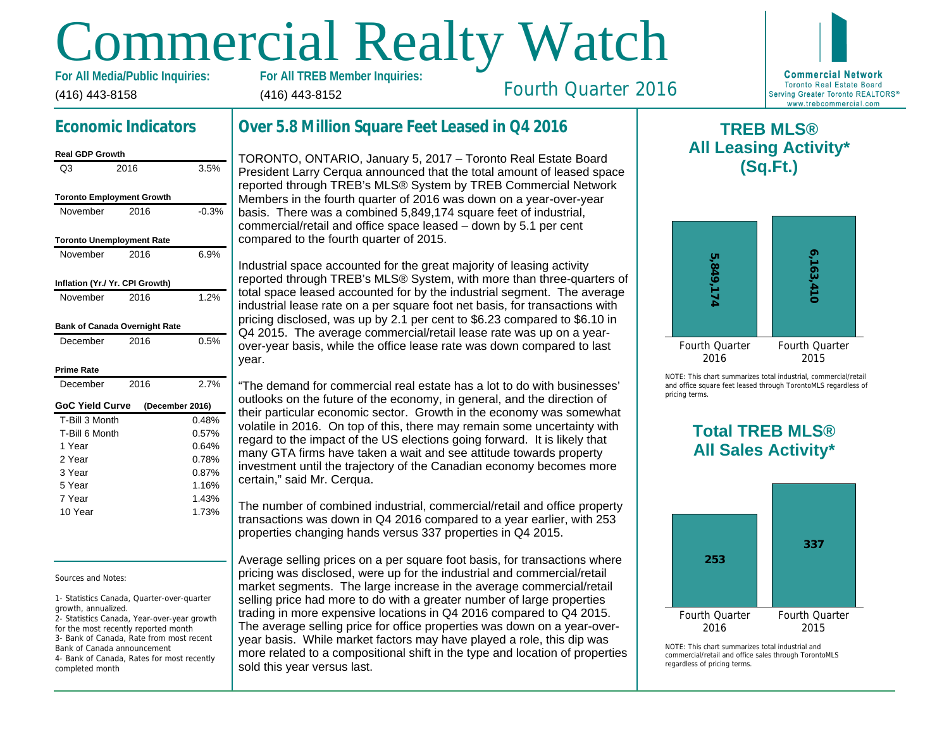# Commercial Realty Watch

(416) 443-8158 For All Media/Public Inquiries: (416) 443-8152

## Economic Indicators

| Real GDP Growth                  |      |                 |
|----------------------------------|------|-----------------|
| Q3                               | 2016 | 3.5%            |
| <b>Toronto Employment Growth</b> |      |                 |
| November                         | 2016 | $-0.3%$         |
| <b>Toronto Unemployment Rate</b> |      |                 |
| November                         | 2016 | 6.9%            |
| Inflation (Yr./ Yr. CPI Growth)  |      |                 |
| November                         | 2016 | 1.2%            |
| Bank of Canada Overnight Rate    |      |                 |
| December                         | 2016 | 0.5%            |
| Prime Rate                       |      |                 |
| December                         | 2016 | 2.7%            |
| GoC Yield Curve                  |      | (December 2016) |
| T-Bill 3 Month                   |      | 0.48%           |
| T-Bill 6 Month                   |      | 0.57%           |
| 1 Year                           |      | 0.64%           |
| 2 Year                           |      | 0.78%           |
| 3 Year                           |      | 0.87%           |
| 5 Year                           |      | 1.16%           |
| 7 Year                           |      | 1.43%           |
| 10 Year                          |      | 1.73%           |

Sources and Notes:

1- Statistics Canada, Quarter-over-quarter growth, annualized.

2- Statistics Canada, Year-over-year growth for the most recently reported month 3- Bank of Canada, Rate from most recent Bank of Canada announcement 4- Bank of Canada, Rates for most recently completed month

## Over 5.8 Million Square Feet Leased in Q4 2016

TORONTO, ONTARIO, January 5, 2017 – Toronto Real Estate Board President Larry Cerqua announced that the total amount of leased space reported through TREB's MLS® System by TREB Commercial Network Members in the fourth quarter of 2016 was down on a year-over-year basis. There was a combined 5,849,174 square feet of industrial, commercial/retail and office space leased – down by 5.1 per cent compared to the fourth quarter of 2015.

Industrial space accounted for the great majority of leasing activity reported through TREB's MLS® System, with more than three-quarters of total space leased accounted for by the industrial segment. The average industrial lease rate on a per square foot net basis, for transactions with pricing disclosed, was up by 2.1 per cent to \$6.23 compared to \$6.10 in Q4 2015. The average commercial/retail lease rate was up on a yearover-year basis, while the office lease rate was down compared to last year.

"The demand for commercial real estate has a lot to do with businesses' outlooks on the future of the economy, in general, and the direction of their particular economic sector. Growth in the economy was somewhat volatile in 2016. On top of this, there may remain some uncertainty with regard to the impact of the US elections going forward. It is likely that many GTA firms have taken a wait and see attitude towards property investment until the trajectory of the Canadian economy becomes more certain," said Mr. Cerqua.

The number of combined industrial, commercial/retail and office property transactions was down in Q4 2016 compared to a year earlier, with 253 properties changing hands versus 337 properties in Q4 2015.

Average selling prices on a per square foot basis, for transactions where pricing was disclosed, were up for the industrial and commercial/retail market segments. The large increase in the average commercial/retail selling price had more to do with a greater number of large properties trading in more expensive locations in Q4 2016 compared to Q4 2015. The average selling price for office properties was down on a year-overyear basis. While market factors may have played a role, this dip was more related to a compositional shift in the type and location of properties sold this year versus last.

 $\mathsf T$ All Lea

Fourth Quarter 2016

NOTE: This chart sur and office square fee pricing terms.

# Total All Sa

 $NOTF: This chart sur$ commercial/retail and regardless of pricing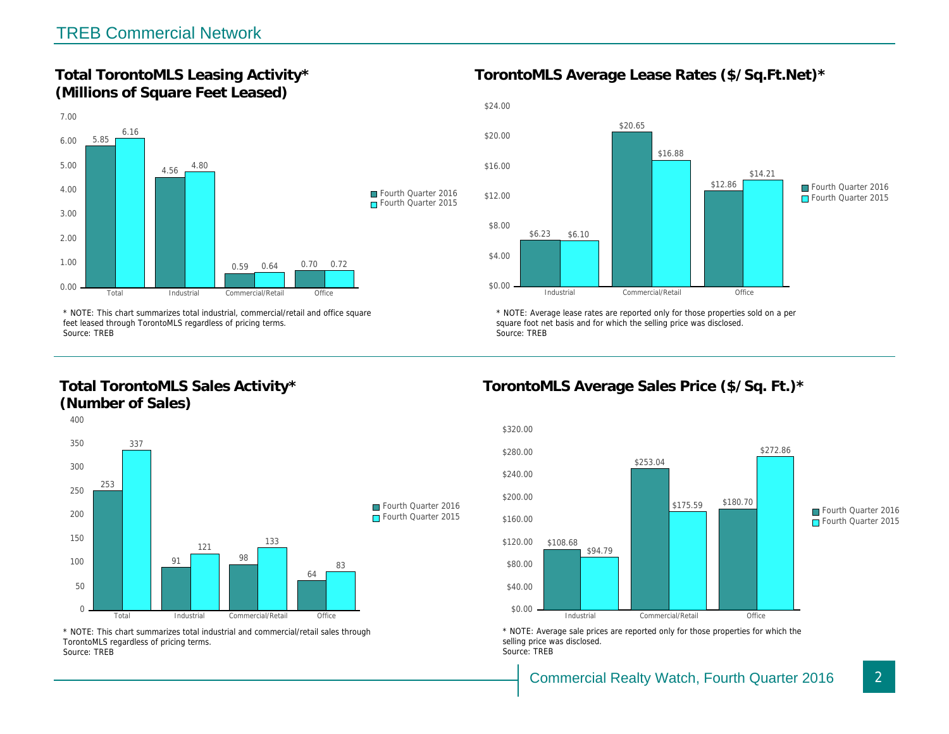Total TorontoMLS Leasing Activity\* (Millions of Square Feet Leased)

TorontoMLS Average Lease Rates (\$/Sq.

\* NOTE: This chart summarizes total industrial, commercial/retail and office square feet leased through TorontoMLS regardless of pricing terms. Source: TREB

Total TorontoMLS Sales Activity\* (Number of Sales)

\* NOTE: Average lease rates are reported only for those proper square foot net basis and for which the selling price was disclos Source: TREB

TorontoMLS Average Sales Price (\$/Sq.

\* NOTE: This chart summarizes total industrial and commercial/retail sales through TorontoMLS regardless of pricing terms. Source: TREB

\* NOTE: Average sale prices are reported only for those prope selling price was disclosed. Source: TREB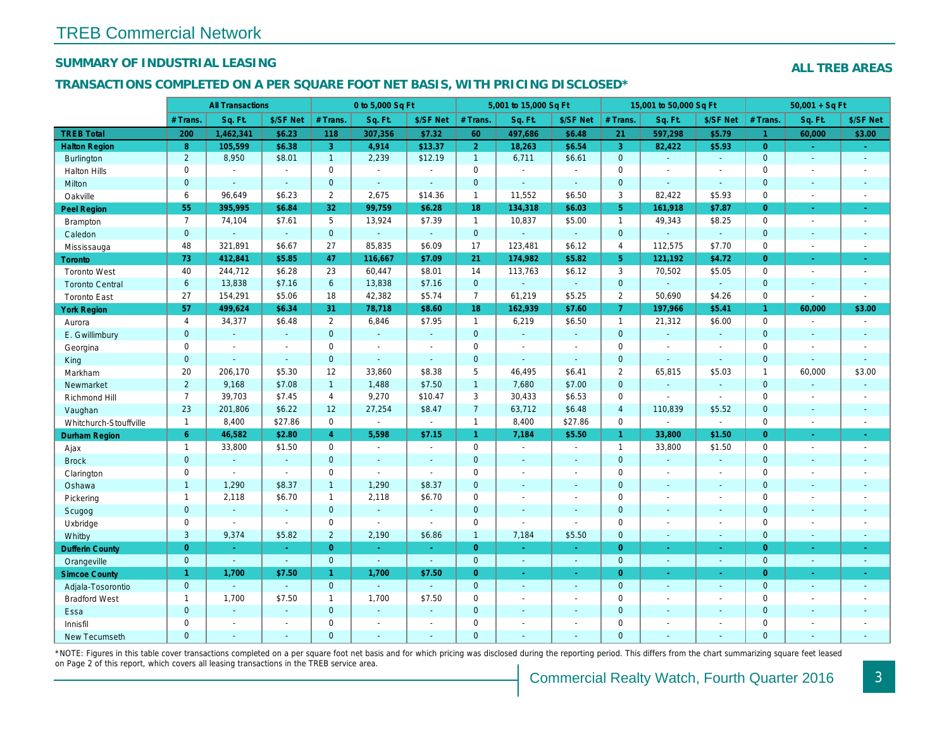## SUMMARY OF INDUSTRIAL LEASING

#### TRANSACTIONS COMPLETED ON A PER SQUARE FOOT NET BASIS, WITH PRICING DISCLOSED\*

|                        |                | <b>All Transactions</b>  |                          |                       | 0 to 5,000 Sq Ft |                          |                | 5,001 to 15,000 Sq Ft |                      |                | 15,001 to 50,000 Sq Ft |                          |
|------------------------|----------------|--------------------------|--------------------------|-----------------------|------------------|--------------------------|----------------|-----------------------|----------------------|----------------|------------------------|--------------------------|
|                        | # Trans.       | Sq. Ft.                  | \$/SF Net                | # Trans.              | Sq. Ft.          | \$/SF Net                | # Trans.       | Sq. Ft.               | \$/SF Net            | # Trans.       | Sq. Ft.                | \$/SF Ne                 |
| <b>TREB Total</b>      | 200            | 1,462,341                | \$6.23                   | 118                   | 307,356          | \$7.32                   | 60             | 497,686               | \$6.48               | 21             | 597,298                | \$5.79                   |
| <b>Halton Region</b>   | 8              | 105,599                  | \$6.38                   | 3 <sup>1</sup>        | 4,914            | \$13.37                  | $\overline{2}$ | 18,263                | \$6.54               | $\overline{3}$ | 82,422                 | \$5.93                   |
| <b>Burlington</b>      | $\overline{2}$ | 8,950                    | \$8.01                   | $\mathbf{1}$          | 2,239            | \$12.19                  | $\mathbf{1}$   | 6,711                 | \$6.61               | $\mathbf{0}$   | $\omega$               | $\omega$                 |
| <b>Halton Hills</b>    | 0              | $\sim$                   | $\sim$                   | 0                     | $\sim$           | $\sim$                   | $\mathbf 0$    | $\blacksquare$        | ä,                   | $\mathbf 0$    | $\blacksquare$         | $\blacksquare$           |
| Milton                 | $\overline{0}$ | $\mathbf{r}$             | $\omega$                 | $\overline{0}$        | $\Delta$         | $\blacksquare$           | $\pmb{0}$      | ä,                    | $\omega$             | $\mathbf{0}$   | $\Delta$               | $\omega$                 |
| Oakville               | 6              | 96,649                   | \$6.23                   | $\mathbf{2}^{\prime}$ | 2,675            | \$14.36                  | $\mathbf{1}$   | 11,552                | \$6.50               | 3              | 82,422                 | \$5.93                   |
| <b>Peel Region</b>     | 55             | 395,995                  | \$6.84                   | 32                    | 99,759           | \$6.28                   | 18             | 134,318               | \$6.03               | 5 <sup>5</sup> | 161,918                | \$7.87                   |
| <b>Brampton</b>        | $\overline{7}$ | 74,104                   | \$7.61                   | 5                     | 13,924           | \$7.39                   | $\mathbf{1}$   | 10,837                | \$5.00               | $\mathbf{1}$   | 49,343                 | \$8.25                   |
| Caledon                | $\overline{0}$ | $\blacksquare$           | $\omega$                 | $\mathbf{0}$          | $\omega$         | $\omega$                 | $\mathbf{0}$   | $\blacksquare$        | $\omega$             | $\overline{0}$ | $\omega$               | $\blacksquare$           |
| Mississauga            | 48             | 321,891                  | \$6.67                   | 27                    | 85,835           | \$6.09                   | 17             | 123,481               | \$6.12               | $\overline{4}$ | 112,575                | \$7.70                   |
| Toronto                | 73             | 412,841                  | \$5.85                   | 47                    | 116,667          | \$7.09                   | 21             | 174,982               | \$5.82               | 5 <sup>5</sup> | 121,192                | \$4.72                   |
| <b>Toronto West</b>    | 40             | 244,712                  | \$6.28                   | 23                    | 60,447           | \$8.01                   | 14             | 113,763               | \$6.12               | 3              | 70,502                 | \$5.05                   |
| <b>Toronto Central</b> | 6              | 13,838                   | \$7.16                   | 6                     | 13,838           | \$7.16                   | $\overline{0}$ | $\omega_{\rm c}$      | ¥.                   | $\mathbf 0$    | $\Delta$               | $\sim$                   |
| <b>Toronto East</b>    | 27             | 154,291                  | \$5.06                   | 18                    | 42,382           | \$5.74                   | $\overline{7}$ | 61,219                | \$5.25               | $\overline{2}$ | 50,690                 | \$4.26                   |
| <b>York Region</b>     | 57             | 499,624                  | \$6.34                   | 31                    | 78,718           | \$8.60                   | 18             | 162,939               | \$7.60               | $\overline{7}$ | 197,966                | \$5.41                   |
| Aurora                 | $\overline{4}$ | 34,377                   | \$6.48                   | $\overline{2}$        | 6,846            | \$7.95                   | $\mathbf{1}$   | 6,219                 | \$6.50               | $\mathbf{1}$   | 21,312                 | \$6.00                   |
| E. Gwillimbury         | $\overline{0}$ | $\mathbf{r}$             | $\mathbf{r}$             | $\overline{0}$        | $\Delta$         | $\blacksquare$           | $\mathbf{0}$   | $\Box$                | ÷.                   | $\mathbf{0}$   |                        | $\blacksquare$           |
| Georgina               | $\mathbf{0}$   | $\blacksquare$           | $\sim$                   | $\mathbf 0$           | $\blacksquare$   | $\blacksquare$           | $\mathbf 0$    | $\blacksquare$        | $\blacksquare$       | $\mathbf 0$    | $\blacksquare$         | $\blacksquare$           |
| King                   | $\overline{0}$ | $\sim$                   | $\sim$                   | $\mathbf{0}$          | $\sim$           | $\sim$                   | $\mathbf{0}$   | $\blacksquare$        | $\sim$               | $\mathbf{0}$   | $\omega$               | $\blacksquare$           |
| Markham                | 20             | 206,170                  | \$5.30                   | 12                    | 33,860           | \$8.38                   | 5              | 46,495                | \$6.41               | 2              | 65,815                 | \$5.03                   |
| Newmarket              | $\overline{2}$ | 9,168                    | \$7.08                   | $\mathbf{1}$          | 1,488            | \$7.50                   | $\mathbf{1}$   | 7,680                 | \$7.00               | $\mathbf{0}$   | $\blacksquare$         | $\sim$                   |
| Richmond Hill          | $\overline{7}$ | 39,703                   | \$7.45                   | 4                     | 9,270            | \$10.47                  | 3              | 30,433                | \$6.53               | $\mathbf 0$    | $\mathbf{r}$           | $\blacksquare$           |
| Vaughan                | 23             | 201,806                  | \$6.22                   | 12                    | 27,254           | \$8.47                   | $\overline{7}$ | 63,712                | \$6.48               | $\overline{4}$ | 110,839                | \$5.52                   |
| Whitchurch-Stouffville | $\mathbf{1}$   | 8,400                    | \$27.86                  | $\mathbf 0$           | $\omega$         | $\blacksquare$           | $\mathbf{1}$   | 8,400                 | \$27.86              | $\mathbf 0$    |                        | $\blacksquare$           |
| Durham Region          | 6              | 46,582                   | \$2.80                   | $\overline{4}$        | 5,598            | \$7.15                   | $\mathbf{1}$   | 7,184                 | \$5.50               | $\mathbf{1}$   | 33,800                 | \$1.50                   |
| Ajax                   | $\mathbf{1}$   | 33,800                   | \$1.50                   | $\mathbf 0$           | $\sim$           | $\sim$                   | $\mathsf{O}$   | $\blacksquare$        | $\sim$               | $\mathbf{1}$   | 33,800                 | \$1.50                   |
| <b>Brock</b>           | $\mathbf{0}$   | $\omega$                 | $\blacksquare$           | $\mathbf 0$           | $\omega$         | $\blacksquare$           | $\overline{0}$ | $\omega$              | $\omega$             | $\mathbf 0$    | $\omega$               | $\blacksquare$           |
| Clarington             | 0              | $\blacksquare$           | $\blacksquare$           | $\mathbf 0$           | $\sim$           | $\blacksquare$           | $\mathbf 0$    | $\blacksquare$        | $\blacksquare$       | $\mathbf 0$    | $\blacksquare$         | $\blacksquare$           |
| Oshawa                 | $\mathbf{1}$   | 1,290                    | \$8.37                   | 1                     | 1,290            | \$8.37                   | $\mathbf{0}$   | $\omega$              | $\omega$             | $\mathbf{0}$   | $\sim$                 | $\blacksquare$           |
| Pickering              | $\mathbf{1}$   | 2,118                    | \$6.70                   | $\mathbf{1}$          | 2,118            | \$6.70                   | $\mathbf 0$    | $\blacksquare$        | $\ddot{\phantom{1}}$ | $\mathbf 0$    | $\sim$                 | $\overline{\phantom{a}}$ |
| Scugog                 | $\mathbf{0}$   | $\sim$                   | $\sim$                   | $\overline{0}$        | ÷.               | $\blacksquare$           | $\mathbf{0}$   | $\omega$              | $\omega$             | $\mathbf{0}$   | $\sim$                 | $\blacksquare$           |
| Uxbridge               | 0              | $\sim$                   | $\blacksquare$           | 0                     | $\blacksquare$   | $\blacksquare$           | $\mathsf 0$    | $\overline{a}$        | $\omega$             | $\mathbf 0$    | ÷,                     | $\overline{\phantom{a}}$ |
| Whitby                 | 3              | 9,374                    | \$5.82                   | $\overline{2}$        | 2,190            | \$6.86                   | $\mathbf{1}$   | 7,184                 | \$5.50               | $\mathbf{0}$   | $\sim$                 | $\sim$                   |
| <b>Dufferin County</b> | $\overline{0}$ | $\sim$                   | $\sim$                   | $\overline{0}$        | $\sim$           | $\sim$                   | $\overline{0}$ | ÷.                    | $\omega_{\rm c}$     | $\overline{0}$ | $\omega$               | $\omega$                 |
| Orangeville            | $\mathbf{0}$   | $\omega$                 | $\omega$                 | $\overline{0}$        | $\omega$         | $\omega$                 | $\mathbf{0}$   | $\omega$              | $\blacksquare$       | $\mathbf 0$    | $\omega$               | $\blacksquare$           |
| <b>Simcoe County</b>   | $\mathbf{1}$   | 1,700                    | \$7.50                   | $\mathbf{1}$          | 1,700            | \$7.50                   | $\overline{0}$ | $\blacksquare$        | $\blacksquare$       | $\overline{0}$ | $\omega$               | $\sigma_{\rm c}$         |
| Adjala-Tosorontio      | $\mathbf{0}$   | $\sim$                   | $\sim$                   | $\mathbf{0}$          | $\Delta$         | $\sim$                   | $\mathbf{0}$   | $\blacksquare$        | $\blacksquare$       | $\mathbf{0}$   | $\blacksquare$         | $\sim$                   |
| <b>Bradford West</b>   | $\mathbf{1}$   | 1,700                    | \$7.50                   | $\mathbf{1}$          | 1,700            | \$7.50                   | $\mathbf 0$    | $\blacksquare$        | $\blacksquare$       | $\mathbf 0$    | $\blacksquare$         | $\blacksquare$           |
| Essa                   | $\mathbf{0}$   | $\omega$                 | $\sim$                   | $\mathbf 0$           | $\mathbb{Z}$     | $\blacksquare$           | $\mathbf 0$    | $\blacksquare$        | $\blacksquare$       | $\mathbf{0}$   | $\omega$               | $\blacksquare$           |
| Innisfil               | $\mathbf 0$    | $\overline{\phantom{a}}$ | $\overline{\phantom{a}}$ | $\mathbf 0$           | $\sim$           | $\overline{\phantom{a}}$ | $\mathbf 0$    | $\blacksquare$        | $\blacksquare$       | $\mathbf 0$    | $\blacksquare$         | $\blacksquare$           |
| <b>New Tecumseth</b>   | $\Omega$       | $\sim$                   | $\sim$                   | $\mathbf{0}$          | $\overline{a}$   | $\sim$                   | $\mathbf{0}$   | $\blacksquare$        | $\blacksquare$       | $\mathbf{0}$   | $\sim$                 | $\sim$                   |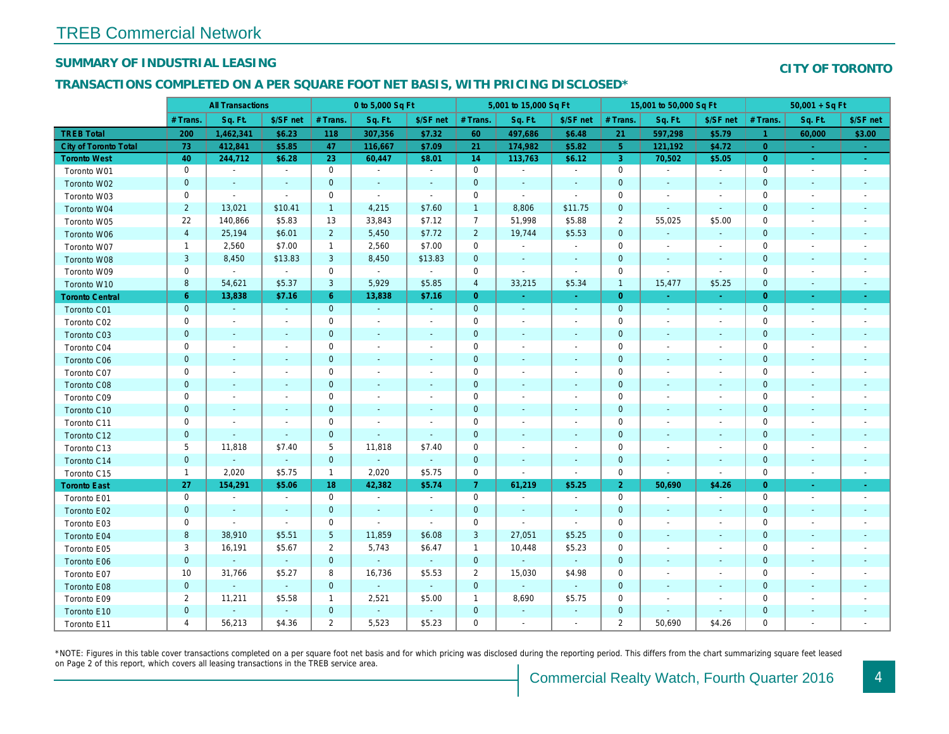## SUMMARY OF INDUSTRIAL LEASING

#### TRANSACTIONS COMPLETED ON A PER SQUARE FOOT NET BASIS, WITH PRICING DISCLOSED\*

|                        | <b>All Transactions</b> |                          | 0 to 5,000 Sq Ft         |                 |                |                          | 5,001 to 15,000 Sq Ft |                          |                          | 15,001 to 50,000 Sq Ft |                          |                          |
|------------------------|-------------------------|--------------------------|--------------------------|-----------------|----------------|--------------------------|-----------------------|--------------------------|--------------------------|------------------------|--------------------------|--------------------------|
|                        | # Trans.                | Sq. Ft.                  | \$/SF net                | # Trans.        | Sq. Ft.        | \$/SF net                | # Trans.              | Sq. Ft.                  | \$/SF net                | # Trans.               | Sq. Ft.                  | \$/SF ne                 |
| <b>TREB Total</b>      | 200                     | 1,462,341                | \$6.23                   | 118             | 307,356        | \$7.32                   | 60                    | 497,686                  | \$6.48                   | 21                     | 597,298                  | \$5.79                   |
| City of Toronto Total  | 73                      | 412,841                  | \$5.85                   | 47              | 116,667        | \$7.09                   | 21                    | 174,982                  | \$5.82                   | 5 <sup>5</sup>         | 121,192                  | \$4.72                   |
| <b>Toronto West</b>    | 40                      | 244,712                  | \$6.28                   | 23              | 60,447         | \$8.01                   | 14                    | 113,763                  | \$6.12                   | 3                      | 70,502                   | \$5.05                   |
| Toronto W01            | $\pmb{0}$               | $\sim$                   | $\blacksquare$           | $\mathbf 0$     | $\blacksquare$ | $\sim$                   | $\mathbf 0$           | $\blacksquare$           | $\blacksquare$           | $\mathbf 0$            | $\sim$                   | $\sim$                   |
| Toronto W02            | $\pmb{0}$               | $\sim$                   | $\blacksquare$           | $\mathbf 0$     | $\blacksquare$ | $\blacksquare$           | $\mathbf 0$           | $\sim$                   | $\sim$                   | $\mathbf 0$            |                          | $\sim$                   |
| Toronto W03            | $\pmb{0}$               | $\sim$                   | $\sim$                   | 0               | $\omega$       | $\blacksquare$           | 0                     | $\blacksquare$           | $\blacksquare$           | 0                      | $\overline{\phantom{a}}$ | $\sim$                   |
| Toronto W04            | $\overline{2}$          | 13,021                   | \$10.41                  | $\mathbf{1}$    | 4,215          | \$7.60                   | $\overline{1}$        | 8,806                    | \$11.75                  | 0                      | $\sim$                   | $\sim$                   |
| Toronto W05            | 22                      | 140,866                  | \$5.83                   | 13              | 33,843         | \$7.12                   | $\overline{7}$        | 51,998                   | \$5.88                   | $\overline{2}$         | 55,025                   | \$5.00                   |
| Toronto W06            | $\overline{4}$          | 25,194                   | \$6.01                   | $\overline{2}$  | 5,450          | \$7.72                   | $\overline{2}$        | 19,744                   | \$5.53                   | $\mathbf{0}$           | $\sim$                   | $\sim$                   |
| Toronto W07            | $\mathbf{1}$            | 2,560                    | \$7.00                   | $\mathbf{1}$    | 2,560          | \$7.00                   | $\mathbf 0$           | $\blacksquare$           | $\blacksquare$           | $\mathbf 0$            | $\sim$                   | $\blacksquare$           |
| Toronto W08            | $\mathbf{3}$            | 8,450                    | \$13.83                  | 3               | 8,450          | \$13.83                  | $\mathbf 0$           | $\blacksquare$           | $\sim$                   | $\mathbf 0$            | $\sim$                   | $\sim$                   |
| Toronto W09            | $\mathbf 0$             | $\omega$                 | $\sim$                   | $\mathbf 0$     | $\sim$         | $\blacksquare$           | $\mathbf 0$           | $\omega$                 | $\blacksquare$           | 0                      | $\overline{\phantom{a}}$ | $\blacksquare$           |
| Toronto W10            | 8                       | 54,621                   | \$5.37                   | 3               | 5,929          | \$5.85                   | $\overline{4}$        | 33,215                   | \$5.34                   | $\mathbf{1}$           | 15,477                   | \$5.25                   |
| <b>Toronto Central</b> | $6^{\circ}$             | 13,838                   | \$7.16                   | $6^{\circ}$     | 13,838         | \$7.16                   | $\overline{0}$        | $\sim$                   | $\sim$                   | $\overline{0}$         | $\sim$                   | $\sim$                   |
| Toronto C01            | $\mathbf 0$             | $\sim$                   | $\sim$                   | $\mathbf{0}$    | $\blacksquare$ | $\sim$                   | $\mathbf{0}$          | $\omega$                 | $\blacksquare$           | $\mathbf{0}$           | $\blacksquare$           | $\sim$                   |
| Toronto C02            | $\mathbf 0$             | $\blacksquare$           | $\blacksquare$           | $\mathbf 0$     | $\sim$         | $\blacksquare$           | $\mathbf 0$           | $\blacksquare$           | $\overline{\phantom{a}}$ | 0                      |                          | $\sim$                   |
| Toronto C03            | $\pmb{0}$               | $\blacksquare$           | $\blacksquare$           | $\mathbf 0$     | $\blacksquare$ | $\blacksquare$           | $\mathbf 0$           | $\overline{\phantom{a}}$ |                          | $\mathbf 0$            |                          | $\sim$                   |
| Toronto C04            | 0                       | $\overline{\phantom{a}}$ | $\overline{\phantom{a}}$ | 0               | $\blacksquare$ | $\overline{\phantom{a}}$ | 0                     | $\overline{\phantom{a}}$ | $\overline{\phantom{a}}$ | 0                      |                          | $\overline{\phantom{a}}$ |
| <b>Toronto C06</b>     | $\pmb{0}$               | $\blacksquare$           | $\blacksquare$           | $\mathbf 0$     | $\blacksquare$ | $\overline{\phantom{a}}$ | $\mathbf 0$           | $\blacksquare$           | $\overline{\phantom{a}}$ | $\mathbf 0$            | $\overline{\phantom{a}}$ | $\sim$                   |
| Toronto C07            | $\mathbf 0$             | $\blacksquare$           | $\blacksquare$           | $\mathbf 0$     | $\overline{a}$ | $\sim$                   | $\mathbf 0$           | $\blacksquare$           | $\overline{\phantom{a}}$ | $\mathbf 0$            |                          | $\blacksquare$           |
| Toronto C08            | $\mathbf 0$             | $\blacksquare$           | $\sim$                   | $\mathbf 0$     | $\blacksquare$ | ٠                        | $\mathbf{0}$          | $\sim$                   | $\sim$                   | $\mathbf 0$            | $\overline{a}$           | $\sim$                   |
| Toronto C09            | $\mathbf 0$             | $\blacksquare$           | $\blacksquare$           | $\mathbf 0$     | $\blacksquare$ | $\blacksquare$           | $\mathbf 0$           | $\overline{\phantom{a}}$ | $\blacksquare$           | $\mathbf 0$            |                          | $\overline{a}$           |
| Toronto C10            | $\mathbf 0$             | $\blacksquare$           | $\blacksquare$           | $\mathbf{0}$    | $\blacksquare$ | $\blacksquare$           | $\mathbf 0$           | $\blacksquare$           | $\blacksquare$           | $\mathbf 0$            | $\blacksquare$           | $\sim$                   |
| Toronto C11            | $\mathbf 0$             | $\blacksquare$           | $\blacksquare$           | $\mathbf 0$     | ä,             | $\overline{\phantom{a}}$ | $\mathbf 0$           | $\blacksquare$           | $\overline{\phantom{a}}$ | 0                      |                          | $\overline{\phantom{a}}$ |
| Toronto C12            | $\pmb{0}$               | $\blacksquare$           | $\blacksquare$           | $\mathbf{0}$    | ٠              | ٠                        | $\mathbf 0$           | $\blacksquare$           | $\sim$                   | $\mathbf 0$            | $\sim$                   | $\sim$                   |
| Toronto C13            | 5                       | 11,818                   | \$7.40                   | 5               | 11,818         | \$7.40                   | 0                     | $\overline{\phantom{a}}$ | $\sim$                   | 0                      |                          | $\overline{a}$           |
| Toronto C14            | $\pmb{0}$               | $\omega$                 | $\omega$                 | $\mathbf{0}$    | $\omega$       | $\blacksquare$           | $\mathbf 0$           | $\blacksquare$           | $\blacksquare$           | $\mathbf 0$            | $\blacksquare$           | $\bullet$                |
| Toronto C15            | $\mathbf{1}$            | 2,020                    | \$5.75                   | $\mathbf{1}$    | 2,020          | \$5.75                   | $\mathbf 0$           | $\blacksquare$           | $\blacksquare$           | $\mathbf 0$            | $\overline{\phantom{a}}$ | $\blacksquare$           |
| <b>Toronto East</b>    | 27                      | 154,291                  | \$5.06                   | 18              | 42,382         | \$5.74                   | $\mathbf{7}$          | 61,219                   | \$5.25                   | $\overline{2}$         | 50,690                   | \$4.26                   |
| Toronto E01            | 0                       | $\sim$                   | $\sim$                   | $\mathbf 0$     | $\blacksquare$ | $\blacksquare$           | 0                     | $\sim$                   | $\blacksquare$           | $\mathbf 0$            | $\overline{\phantom{a}}$ | $\sim$                   |
| Toronto E02            | $\mathbf 0$             | $\sim$                   | $\sim$                   | $\mathbf{0}$    | $\omega$       | $\blacksquare$           | $\mathbf 0$           | $\sim$                   | $\blacksquare$           | $\mathbf{0}$           | $\blacksquare$           | $\sim$                   |
| Toronto E03            | $\mathbf 0$             | $\sim$                   | $\blacksquare$           | $\mathbf 0$     | $\blacksquare$ | $\blacksquare$           | $\mathbf 0$           | $\sim$                   | $\blacksquare$           | $\mathbf 0$            |                          | $\sim$                   |
| Toronto E04            | $\boldsymbol{8}$        | 38,910                   | \$5.51                   | $5\phantom{.0}$ | 11,859         | \$6.08                   | 3                     | 27,051                   | \$5.25                   | $\mathbf 0$            | $\sim$                   | $\sim$                   |
| Toronto E05            | 3                       | 16,191                   | \$5.67                   | $\overline{2}$  | 5,743          | \$6.47                   | $\mathbf{1}$          | 10,448                   | \$5.23                   | $\mathbf 0$            |                          |                          |
| Toronto E06            | $\mathbf 0$             | $\omega$                 | $\sim$                   | $\mathbf{0}$    | $\omega$       | $\omega$                 | $\mathbf 0$           | $\blacksquare$           | $\omega$                 | $\mathbf 0$            | $\blacksquare$           | $\blacksquare$           |
| Toronto E07            | 10                      | 31,766                   | \$5.27                   | 8               | 16,736         | \$5.53                   | $\overline{2}$        | 15,030                   | \$4.98                   | $\mathbf 0$            |                          | $\overline{\phantom{a}}$ |
| Toronto E08            | $\pmb{0}$               | $\omega$                 | $\sim$                   | $\mathbf{0}$    | $\omega$       | $\blacksquare$           | $\mathbf 0$           | $\blacksquare$           | $\blacksquare$           | $\mathbf 0$            |                          | $\blacksquare$           |
| Toronto E09            | $\overline{2}$          | 11,211                   | \$5.58                   | $\mathbf{1}$    | 2,521          | \$5.00                   | $\mathbf{1}$          | 8,690                    | \$5.75                   | 0                      |                          |                          |
| Toronto E10            | $\pmb{0}$               | $\blacksquare$           | $\blacksquare$           | $\mathbf{0}$    | $\blacksquare$ | $\blacksquare$           | $\mathbf 0$           | $\blacksquare$           | $\blacksquare$           | $\mathbf 0$            | $\blacksquare$           |                          |
| Toronto E11            | 4                       | 56,213                   | \$4.36                   | $\overline{2}$  | 5,523          | \$5.23                   | 0                     | $\blacksquare$           | $\overline{\phantom{a}}$ | $\mathbf{2}$           | 50,690                   | \$4.26                   |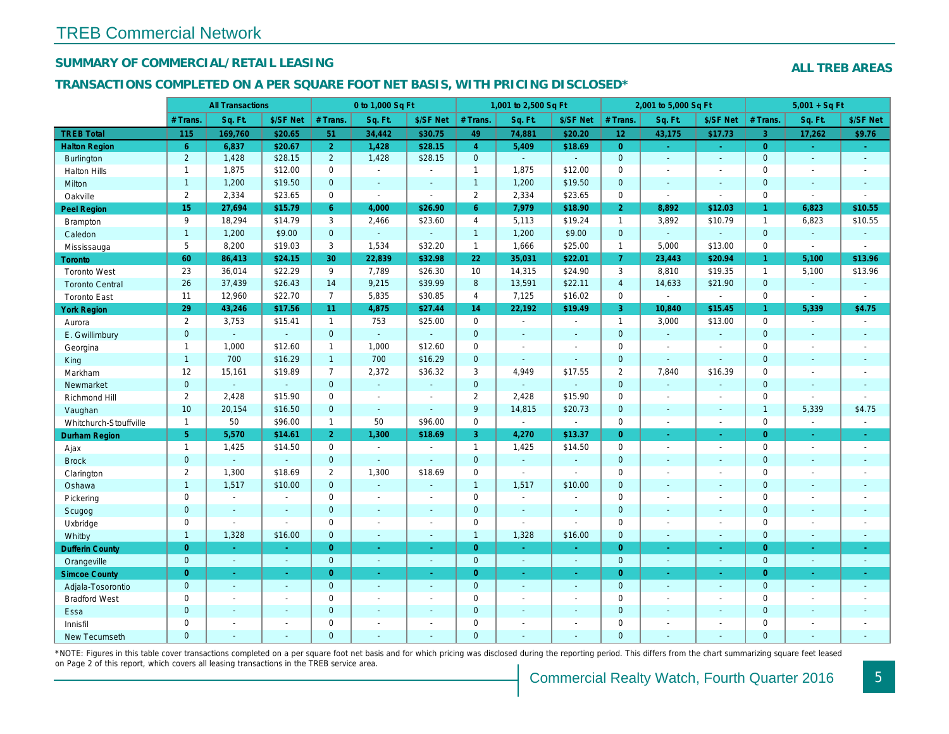## SUMMARY OF COMMERCIAL/RETAIL LEASING

#### TRANSACTIONS COMPLETED ON A PER SQUARE FOOT NET BASIS, WITH PRICING DISCLOSED\*

|                        |                 | <b>All Transactions</b> |                |                | 0 to 1,000 Sq Ft |                          |                | 1,001 to 2,500 Sq Ft |                  |                 | 2,001 to 5,000 Sq Ft     |                |
|------------------------|-----------------|-------------------------|----------------|----------------|------------------|--------------------------|----------------|----------------------|------------------|-----------------|--------------------------|----------------|
|                        | # Trans.        | Sq. Ft.                 | \$/SF Net      | # Trans.       | Sq. Ft.          | \$/SF Net                | # Trans.       | Sq. Ft.              | \$/SF Net        | # Trans.        | Sq. Ft.                  | \$/SF Ne       |
| <b>TREB Total</b>      | 115             | 169,760                 | \$20.65        | 51             | 34,442           | \$30.75                  | 49             | 74,881               | \$20.20          | 12 <sub>2</sub> | 43,175                   | \$17.73        |
| <b>Halton Region</b>   | $6^{\circ}$     | 6,837                   | \$20.67        | 2 <sup>1</sup> | 1,428            | \$28.15                  | $\overline{4}$ | 5,409                | \$18.69          | $\overline{0}$  | $\omega$                 | $\sim$         |
| Burlington             | $\overline{2}$  | 1,428                   | \$28.15        | $\overline{2}$ | 1,428            | \$28.15                  | $\mathbf{0}$   | $\omega$             | $\overline{a}$   | $\mathbf{0}$    | $\omega$                 | $\sim$         |
| <b>Halton Hills</b>    | $\mathbf{1}$    | 1,875                   | \$12.00        | $\mathbf 0$    | $\mathbf{r}$     | ÷.                       | $\mathbf{1}$   | 1,875                | \$12.00          | $\mathbf 0$     | $\blacksquare$           | $\blacksquare$ |
| Milton                 | $\mathbf{1}$    | 1,200                   | \$19.50        | $\mathbf{0}$   | $\sim$           | $\sim$                   | $\mathbf{1}$   | 1,200                | \$19.50          | $\mathbf{0}$    | $\mathbf{r}$             | $\omega$       |
| Oakville               | $\overline{2}$  | 2,334                   | \$23.65        | $\mathbf 0$    | $\mathbf{r}$     | $\sim$                   | $\overline{2}$ | 2,334                | \$23.65          | $\mathbf 0$     | $\sim$                   | $\sim$         |
| Peel Region            | 15              | 27,694                  | \$15.79        | 6 <sup>1</sup> | 4,000            | \$26.90                  | 6 <sup>°</sup> | 7,979                | \$18.90          | $\overline{2}$  | 8,892                    | \$12.03        |
| <b>Brampton</b>        | 9               | 18,294                  | \$14.79        | 3              | 2,466            | \$23.60                  | $\overline{4}$ | 5,113                | \$19.24          | $\mathbf{1}$    | 3,892                    | \$10.79        |
| Caledon                | $\mathbf{1}$    | 1,200                   | \$9.00         | $\overline{0}$ | $\omega$         | $\blacksquare$           | $\overline{1}$ | 1,200                | \$9.00           | $\mathbf{0}$    | $\omega$                 | $\omega$       |
| Mississauga            | 5               | 8,200                   | \$19.03        | 3              | 1,534            | \$32.20                  | $\mathbf{1}$   | 1,666                | \$25.00          | $\mathbf{1}$    | 5,000                    | \$13.00        |
| <b>Toronto</b>         | 60              | 86,413                  | \$24.15        | 30             | 22,839           | \$32.98                  | 22             | 35,031               | \$22.01          | $\overline{7}$  | 23,443                   | \$20.94        |
| <b>Toronto West</b>    | 23              | 36,014                  | \$22.29        | 9              | 7,789            | \$26.30                  | 10             | 14,315               | \$24.90          | 3               | 8,810                    | \$19.35        |
| <b>Toronto Central</b> | 26              | 37,439                  | \$26.43        | 14             | 9,215            | \$39.99                  | 8              | 13,591               | \$22.11          | $\overline{4}$  | 14,633                   | \$21.90        |
| <b>Toronto East</b>    | 11              | 12,960                  | \$22.70        | $\overline{7}$ | 5,835            | \$30.85                  | $\overline{4}$ | 7,125                | \$16.02          | $\mathbf 0$     | $\overline{\phantom{a}}$ | $\blacksquare$ |
| <b>York Region</b>     | 29              | 43,246                  | \$17.56        | 11             | 4,875            | \$27.44                  | 14             | 22,192               | \$19.49          | $\mathbf{3}$    | 10,840                   | \$15.45        |
| Aurora                 | $\overline{2}$  | 3,753                   | \$15.41        | $\mathbf{1}$   | 753              | \$25.00                  | 0              | $\blacksquare$       | $\blacksquare$   | $\mathbf{1}$    | 3,000                    | \$13.00        |
| E. Gwillimbury         | $\overline{0}$  | $\omega$                | $\omega$       | $\mathbf{0}$   | $\omega$         | $\mathbf{r}$             | $\mathbf 0$    | ä,                   | $\blacksquare$   | $\mathbf{0}$    | $\omega$                 | $\sim$         |
| Georgina               | $\mathbf{1}$    | 1,000                   | \$12.60        | $\mathbf{1}$   | 1,000            | \$12.60                  | $\pmb{0}$      | $\blacksquare$       | $\overline{a}$   | $\mathbf 0$     | $\blacksquare$           | $\blacksquare$ |
| King                   | $\mathbf{1}$    | 700                     | \$16.29        | $\mathbf{1}$   | 700              | \$16.29                  | $\mathbf 0$    | $\blacksquare$       | $\blacksquare$   | $\mathbf 0$     | $\omega$                 | $\blacksquare$ |
| Markham                | 12              | 15,161                  | \$19.89        | $\overline{7}$ | 2,372            | \$36.32                  | 3              | 4,949                | \$17.55          | 2               | 7,840                    | \$16.39        |
| Newmarket              | $\overline{0}$  | $\mathbf{u}$            | $\omega$       | $\Omega$       | $\sim$           | $\blacksquare$           | $\mathbf 0$    | ä,                   | ä,               | $\mathbf{0}$    | ä,                       | $\blacksquare$ |
| Richmond Hill          | $\overline{2}$  | 2,428                   | \$15.90        | $\mathbf 0$    | $\sim$           |                          | $\overline{2}$ | 2,428                | \$15.90          | $\mathbf 0$     | $\blacksquare$           | $\blacksquare$ |
| Vaughan                | 10 <sup>°</sup> | 20,154                  | \$16.50        | $\mathbf{0}$   | $\omega$         | $\sim$                   | 9              | 14,815               | \$20.73          | $\mathbf{0}$    | $\omega$                 | $\sim$         |
| Whitchurch-Stouffville | $\mathbf{1}$    | 50                      | \$96.00        | $\mathbf{1}$   | 50               | \$96.00                  | 0              | $\blacksquare$       | $\blacksquare$   | $\mathbf 0$     | $\blacksquare$           | $\blacksquare$ |
| <b>Durham Region</b>   | 5 <sub>5</sub>  | 5,570                   | \$14.61        | 2 <sup>1</sup> | 1,300            | \$18.69                  | 3              | 4,270                | \$13.37          | $\overline{0}$  | $\blacksquare$           | $\sim$         |
| Ajax                   | $\mathbf{1}$    | 1,425                   | \$14.50        | $\mathbf{0}$   | $\sim$           |                          | $\mathbf{1}$   | 1,425                | \$14.50          | $\mathbf 0$     | $\blacksquare$           | $\sim$         |
| <b>Brock</b>           | $\mathbf{0}$    | $\omega$                | $\Delta$       | $\mathbf{0}$   | $\sim$           | $\Delta$                 | $\pmb{0}$      | ä,                   | $\omega$         | $\mathbf 0$     | $\omega$                 | $\blacksquare$ |
| Clarington             | $\overline{2}$  | 1,300                   | \$18.69        | $\overline{2}$ | 1,300            | \$18.69                  | 0              | $\blacksquare$       | $\sim$           | $\mathbf 0$     | $\blacksquare$           | $\blacksquare$ |
| Oshawa                 | $\mathbf{1}$    | 1,517                   | \$10.00        | $\overline{0}$ | $\sim$           | $\sim$                   | $\mathbf{1}$   | 1,517                | \$10.00          | $\mathbf{0}$    | $\blacksquare$           | $\sim$         |
| Pickering              | $\mathbf 0$     | $\blacksquare$          | $\omega$       | $\mathbf 0$    | $\blacksquare$   | $\sim$                   | $\pmb{0}$      | $\blacksquare$       | $\overline{a}$   | $\mathbf 0$     | $\blacksquare$           | $\blacksquare$ |
| Scugog                 | $\mathbf{0}$    | $\blacksquare$          | $\blacksquare$ | $\mathbf{0}$   | $\sim$           | $\sim$                   | $\mathbf 0$    | $\blacksquare$       | $\blacksquare$   | $\mathbf{0}$    | $\blacksquare$           | $\blacksquare$ |
| Uxbridge               | $\mathbf 0$     | $\blacksquare$          | $\sim$         | $\mathbf 0$    | $\sim$           | $\sim$                   | $\pmb{0}$      | $\blacksquare$       | $\sim$           | $\mathbf 0$     | $\blacksquare$           | $\blacksquare$ |
| Whitby                 | $\mathbf{1}$    | 1,328                   | \$16.00        | $\mathbf{0}$   | $\Delta$         | $\blacksquare$           | $\mathbf{1}$   | 1,328                | \$16.00          | $\mathbf{0}$    | $\blacksquare$           | $\blacksquare$ |
| <b>Dufferin County</b> | $\overline{0}$  | $\omega$                | $\omega$       | $\overline{0}$ | $\sim$           | $\bullet$                | $\overline{0}$ | $\blacksquare$       | $\omega_{\rm c}$ | $\overline{0}$  | $\blacksquare$           | $\bullet$      |
| Orangeville            | $\mathbf{0}$    | $\omega$                | $\sim$         | $\overline{0}$ | $\sim$           | $\sim$                   | $\overline{0}$ | $\sim$               | $\sim$           | $\mathbf{0}$    | $\omega$                 | $\sim$         |
| <b>Simcoe County</b>   | $\overline{0}$  | $\bullet$               | $\sim$         | $\overline{0}$ | $\omega$         | $\blacksquare$           | $\overline{0}$ | $\blacksquare$       | $\bullet$ .      | $\overline{0}$  | $\blacksquare$           | ÷              |
| Adjala-Tosorontio      | $\mathbf{0}$    | $\sim$                  | $\sim$         | $\overline{0}$ | $\sim$           | $\sim$                   | $\mathbf{0}$   | $\sim$               | $\sim$           | $\mathbf{0}$    | $\overline{a}$           | $\sim$         |
| <b>Bradford West</b>   | $\mathbf 0$     | $\sim$                  | $\blacksquare$ | $\mathbf 0$    | $\sim$           | $\sim$                   | $\mathbf 0$    | $\blacksquare$       | $\sim$           | $\mathbf 0$     | $\blacksquare$           | $\sim$         |
| Essa                   | $\mathbf{0}$    | $\sim$                  | $\sim$         | $\overline{0}$ | ÷.               | $\overline{\phantom{a}}$ | $\mathbf 0$    | $\blacksquare$       | $\blacksquare$   | $\mathbf{0}$    | $\blacksquare$           | $\blacksquare$ |
| Innisfil               | $\mathbf 0$     | $\blacksquare$          | $\blacksquare$ | $\mathbf 0$    | $\sim$           |                          | $\pmb{0}$      | $\blacksquare$       | $\blacksquare$   | $\mathbf 0$     | $\blacksquare$           | $\blacksquare$ |
| <b>New Tecumseth</b>   | $\Omega$        | $\sim$                  | ÷.             | $\Omega$       | $\overline{a}$   |                          | $\overline{0}$ | ä,                   | $\blacksquare$   | $\Omega$        | $\blacksquare$           | $\sim$         |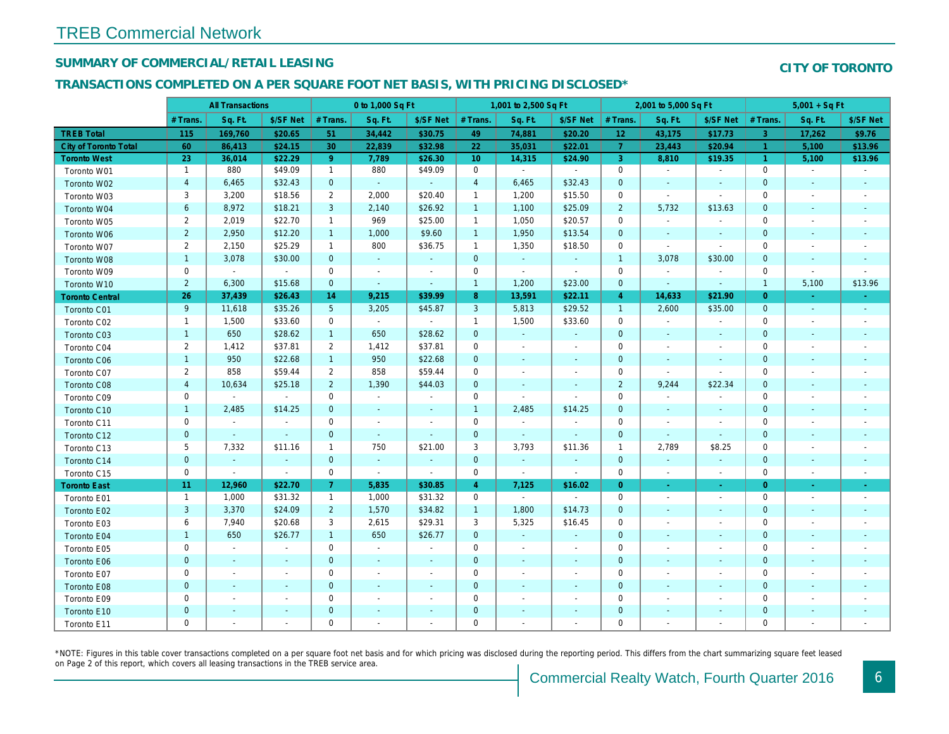## SUMMARY OF COMMERCIAL/RETAIL LEASING

## TRANSACTIONS COMPLETED ON A PER SQUARE FOOT NET BASIS, WITH PRICING DISCLOSED\*

|                              |                         | <b>All Transactions</b> |                          |                 | 0 to 1,000 Sq Ft |                |                 | 1,001 to 2,500 Sq Ft     |                |                 | 2,001 to 5,000 Sq Ft     |                          |
|------------------------------|-------------------------|-------------------------|--------------------------|-----------------|------------------|----------------|-----------------|--------------------------|----------------|-----------------|--------------------------|--------------------------|
|                              | # Trans.                | Sq. Ft.                 | \$/SF Net                | # Trans.        | Sq. Ft.          | \$/SF Net      | # Trans.        | Sq. Ft.                  | \$/SF Net      | # Trans.        | Sq. Ft.                  | \$/SF Ne                 |
| <b>TREB Total</b>            | 115                     | 169,760                 | \$20.65                  | 51              | 34,442           | \$30.75        | 49              | 74,881                   | \$20.20        | 12 <sub>2</sub> | 43,175                   | \$17.73                  |
| <b>City of Toronto Total</b> | 60                      | 86,413                  | \$24.15                  | 30              | 22,839           | \$32.98        | 22              | 35,031                   | \$22.01        | $\overline{7}$  | 23,443                   | \$20.94                  |
| <b>Toronto West</b>          | 23                      | 36,014                  | \$22.29                  | 9 <sup>°</sup>  | 7,789            | \$26.30        | 10 <sub>1</sub> | 14,315                   | \$24.90        | $\mathbf{3}$    | 8,810                    | \$19.35                  |
| Toronto W01                  | $\mathbf{1}$            | 880                     | \$49.09                  | $\mathbf{1}$    | 880              | \$49.09        | $\mathbf 0$     | $\blacksquare$           | $\sim$         | $\mathbf 0$     | $\blacksquare$           | $\blacksquare$           |
| Toronto W02                  | $\overline{4}$          | 6,465                   | \$32.43                  | $\mathbf{0}$    | $\sim$           | $\mathcal{L}$  | $\overline{4}$  | 6,465                    | \$32.43        | $\mathbf{0}$    | $\sim$                   | $\sim$                   |
| Toronto W03                  | 3                       | 3,200                   | \$18.56                  | $\overline{2}$  | 2,000            | \$20.40        | $\mathbf{1}$    | 1,200                    | \$15.50        | 0               | $\blacksquare$           | $\blacksquare$           |
| Toronto W04                  | 6                       | 8,972                   | \$18.21                  | 3               | 2,140            | \$26.92        | $\mathbf{1}$    | 1,100                    | \$25.09        | $\overline{2}$  | 5,732                    | \$13.63                  |
| Toronto W05                  | $\overline{2}$          | 2,019                   | \$22.70                  | $\mathbf{1}$    | 969              | \$25.00        | $\mathbf{1}$    | 1,050                    | \$20.57        | $\mathbf 0$     | $\blacksquare$           | $\blacksquare$           |
| Toronto W06                  | $\overline{2}$          | 2,950                   | \$12.20                  | $\mathbf{1}$    | 1,000            | \$9.60         | $\mathbf{1}$    | 1,950                    | \$13.54        | $\mathbf{0}$    | $\sim$                   | $\blacksquare$           |
| Toronto W07                  | $\overline{2}$          | 2,150                   | \$25.29                  | $\mathbf{1}$    | 800              | \$36.75        | $\mathbf{1}$    | 1,350                    | \$18.50        | $\mathbf 0$     | $\blacksquare$           | $\blacksquare$           |
| Toronto W08                  | $\mathbf{1}$            | 3,078                   | \$30.00                  | $\mathbf{0}$    | $\omega$         | $\omega$       | $\mathbf 0$     | $\omega$                 | $\omega$       | $\overline{1}$  | 3,078                    | \$30.00                  |
| Toronto W09                  | 0                       | $\blacksquare$          | $\sim$                   | $\mathbf 0$     | $\blacksquare$   | $\blacksquare$ | $\mathbf 0$     | $\blacksquare$           | $\blacksquare$ | 0               | $\blacksquare$           | $\blacksquare$           |
| Toronto W10                  | $\overline{2}$          | 6,300                   | \$15.68                  | $\mathbf{0}$    | $\sim$           | $\blacksquare$ | $\mathbf{1}$    | 1,200                    | \$23.00        | $\mathbf 0$     | $\blacksquare$           | $\sim$                   |
| <b>Toronto Central</b>       | 26                      | 37,439                  | \$26.43                  | 14              | 9,215            | \$39.99        | 8               | 13,591                   | \$22.11        | $\overline{4}$  | 14,633                   | \$21.90                  |
| Toronto C01                  | 9                       | 11,618                  | \$35.26                  | $5\phantom{.0}$ | 3,205            | \$45.87        | 3               | 5,813                    | \$29.52        | $\overline{1}$  | 2,600                    | \$35.00                  |
| Toronto C02                  | $\mathbf{1}$            | 1,500                   | \$33.60                  | $\mathbf 0$     | $\sim$           | $\blacksquare$ | $\mathbf{1}$    | 1,500                    | \$33.60        | $\mathbf 0$     | $\blacksquare$           | $\blacksquare$           |
| Toronto C03                  | $\mathbf{1}$            | 650                     | \$28.62                  | $\mathbf{1}$    | 650              | \$28.62        | $\mathbf 0$     | $\blacksquare$           | $\blacksquare$ | $\mathbf 0$     | $\blacksquare$           | $\blacksquare$           |
| Toronto C04                  | $\overline{2}$          | 1,412                   | \$37.81                  | $\overline{2}$  | 1,412            | \$37.81        | $\mathbf 0$     | $\blacksquare$           | $\blacksquare$ | 0               | $\blacksquare$           | $\blacksquare$           |
| Toronto C06                  | $\mathbf{1}$            | 950                     | \$22.68                  | $\mathbf{1}$    | 950              | \$22.68        | $\mathbf 0$     | $\blacksquare$           | $\blacksquare$ | $\mathbf 0$     | $\blacksquare$           | $\blacksquare$           |
| Toronto C07                  | 2                       | 858                     | \$59.44                  | $\overline{2}$  | 858              | \$59.44        | $\mathbf 0$     | $\blacksquare$           | $\blacksquare$ | $\mathbf 0$     | $\blacksquare$           | $\blacksquare$           |
| Toronto C08                  | $\overline{\mathbf{4}}$ | 10,634                  | \$25.18                  | $\overline{2}$  | 1,390            | \$44.03        | $\mathbf 0$     | $\sim$                   | ٠              | $\overline{2}$  | 9,244                    | \$22.34                  |
| Toronto C09                  | 0                       | $\blacksquare$          | $\sim$                   | $\mathbf 0$     | $\blacksquare$   | $\blacksquare$ | $\mathbf 0$     | $\sim$                   | $\omega$       | 0               | $\blacksquare$           | $\blacksquare$           |
| Toronto C10                  | $\mathbf{1}$            | 2,485                   | \$14.25                  | $\mathbf{0}$    | $\omega$         | ◆              | $\mathbf{1}$    | 2,485                    | \$14.25        | $\mathbf 0$     | $\blacksquare$           | $\blacksquare$           |
| Toronto C11                  | 0                       | $\blacksquare$          | $\sim$                   | 0               | $\sim$           | $\blacksquare$ | $\mathbf 0$     | $\blacksquare$           | $\blacksquare$ | 0               | $\blacksquare$           | $\overline{\phantom{a}}$ |
| Toronto C12                  | $\mathbf 0$             | $\sim$                  | $\sim$                   | $\mathbf{0}$    | $\sim$           | $\sim$         | $\mathbf 0$     | $\blacksquare$           | $\sim$         | $\mathbf{0}$    | $\sim$                   | $\sim$                   |
| Toronto C13                  | 5                       | 7,332                   | \$11.16                  | $\mathbf{1}$    | 750              | \$21.00        | 3               | 3,793                    | \$11.36        | $\overline{1}$  | 2,789                    | \$8.25                   |
| Toronto C14                  | $\pmb{0}$               | $\blacksquare$          | $\sim$                   | $\mathbf{0}$    | $\omega$         | $\blacksquare$ | $\mathbf 0$     | $\omega$                 | $\blacksquare$ | $\mathbf{0}$    | $\blacksquare$           | $\blacksquare$           |
| Toronto C15                  | 0                       | $\blacksquare$          | $\sim$                   | 0               | $\blacksquare$   | $\blacksquare$ | $\mathbf 0$     | $\blacksquare$           | $\blacksquare$ | $\mathbf 0$     | $\blacksquare$           | $\blacksquare$           |
| <b>Toronto East</b>          | 11                      | 12,960                  | \$22.70                  | $\overline{7}$  | 5,835            | \$30.85        | $\overline{4}$  | 7,125                    | \$16.02        | $\overline{0}$  | $\blacksquare$           | $\sigma$                 |
| Toronto E01                  | $\mathbf{1}$            | 1,000                   | \$31.32                  | $\mathbf{1}$    | 1,000            | \$31.32        | $\mathbf 0$     | $\sim$                   | $\sim$         | $\mathbf 0$     | $\overline{\phantom{a}}$ | $\sim$                   |
| Toronto E02                  | 3                       | 3,370                   | \$24.09                  | $2^{\circ}$     | 1,570            | \$34.82        | $\mathbf{1}$    | 1,800                    | \$14.73        | $\mathbf{0}$    | $\blacksquare$           | $\blacksquare$           |
| Toronto E03                  | 6                       | 7,940                   | \$20.68                  | 3               | 2,615            | \$29.31        | 3               | 5,325                    | \$16.45        | $\mathbf 0$     | $\blacksquare$           | $\blacksquare$           |
| Toronto E04                  | $\mathbf{1}$            | 650                     | \$26.77                  | $\mathbf{1}$    | 650              | \$26.77        | $\mathbf 0$     | $\blacksquare$           | $\blacksquare$ | $\mathbf{0}$    | $\blacksquare$           | $\blacksquare$           |
| Toronto E05                  | 0                       | $\blacksquare$          | $\blacksquare$           | 0               | $\blacksquare$   | $\blacksquare$ | $\mathbf 0$     | $\blacksquare$           | $\blacksquare$ | $\mathbf 0$     | $\blacksquare$           | $\blacksquare$           |
| Toronto E06                  | $\mathbf 0$             | $\sim$                  | $\sim$                   | $\mathbf 0$     | $\sim$           | $\blacksquare$ | $\mathbf 0$     | $\blacksquare$           | $\blacksquare$ | $\mathbf 0$     | $\blacksquare$           | $\blacksquare$           |
| Toronto E07                  | $\mathbf 0$             | $\sim$                  | $\sim$                   | $\mathbf 0$     | $\sim$           | $\blacksquare$ | $\mathbf 0$     |                          | $\sim$         | $\mathbf 0$     | $\sim$                   | $\blacksquare$           |
| Toronto E08                  | $\mathbf{0}$            | $\sim$                  | $\sim$                   | $\overline{0}$  | $\blacksquare$   | $\blacksquare$ | $\mathbf 0$     | ٠                        | $\blacksquare$ | $\mathbf{0}$    | $\blacksquare$           | $\blacksquare$           |
| Toronto E09                  | 0                       | $\blacksquare$          | $\overline{\phantom{a}}$ | $\mathbf 0$     | $\blacksquare$   | $\blacksquare$ | $\mathbf 0$     | $\overline{\phantom{a}}$ | $\blacksquare$ | $\mathbf 0$     | $\overline{\phantom{a}}$ | $\overline{\phantom{a}}$ |
| Toronto E10                  | $\pmb{0}$               | $\sim$                  | $\sim$                   | $\mathbf 0$     | $\blacksquare$   | $\blacksquare$ | $\mathbf 0$     | $\blacksquare$           | $\blacksquare$ | $\mathbf 0$     | $\blacksquare$           | $\overline{\phantom{a}}$ |
| Toronto E11                  | $\mathbf 0$             | $\sim$                  |                          | $\mathbf 0$     | $\blacksquare$   | $\blacksquare$ | $\mathbf 0$     | $\sim$                   | ä,             | $\mathbf 0$     | $\blacksquare$           |                          |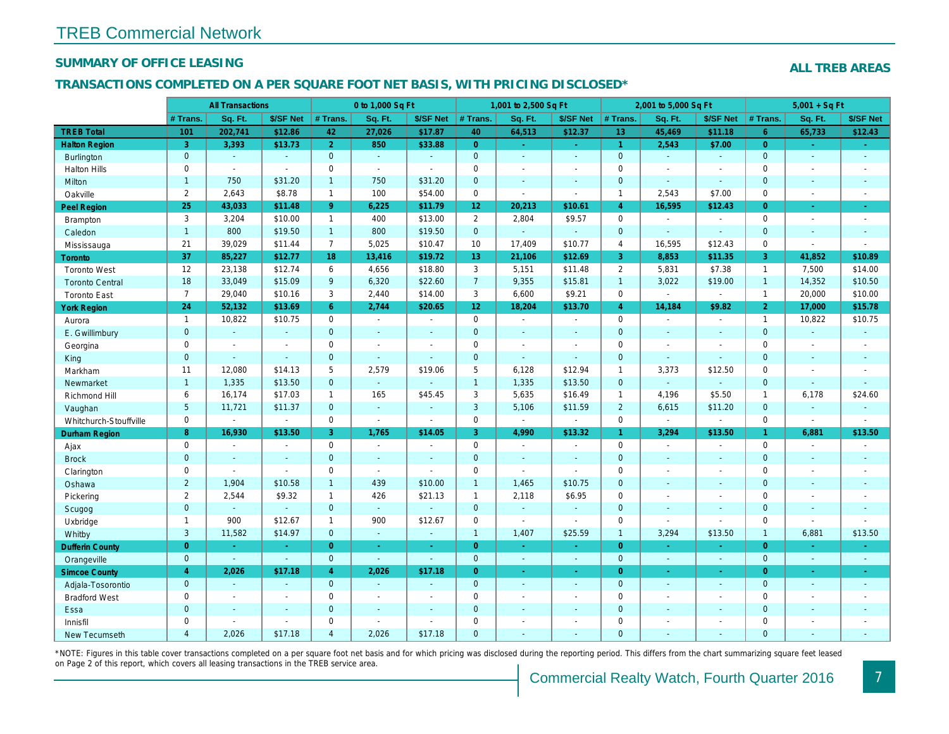#### SUMMARY OF OFFICE LEASING

#### TRANSACTIONS COMPLETED ON A PER SQUARE FOOT NET BASIS, WITH PRICING DISCLOSED\*

|                        |                     | <b>All Transactions</b> |                |                | 0 to 1,000 Sq Ft      |                       |                     | 1,001 to 2,500 Sq Ft  |                  |                | 2,001 to 5,000 Sq Ft  |                          |
|------------------------|---------------------|-------------------------|----------------|----------------|-----------------------|-----------------------|---------------------|-----------------------|------------------|----------------|-----------------------|--------------------------|
|                        | # Trans.            | Sq. Ft.                 | \$/SF Net      | # Trans.       | Sq. Ft.               | \$/SF Net             | # Trans.            | Sq. Ft.               | \$/SF Net        | # Trans.       | Sq. Ft.               | \$/SF Ne                 |
| <b>TREB Total</b>      | 101                 | 202,741                 | \$12.86        | 42             | 27,026                | \$17.87               | 40                  | 64,513                | \$12.37          | 13             | 45,469                | \$11.18                  |
| <b>Halton Region</b>   | $\overline{3}$      | 3,393                   | \$13.73        | $\overline{2}$ | 850                   | \$33.88               | $\overline{0}$      | $\sim$                | $\omega_{\rm c}$ | $\vert$ 1      | 2,543                 | \$7.00                   |
| <b>Burlington</b>      | $\mathbf 0$         | $\sim$                  | $\Delta$       | $\mathbf{0}$   | $\sim$                | $\blacksquare$        | $\mathbf{0}$        | $\blacksquare$        | $\blacksquare$   | $\overline{0}$ | $\blacksquare$        | $\blacksquare$           |
| <b>Halton Hills</b>    | 0                   | $\mathbf{r}$            | ÷.             | $\mathbf 0$    | $\mathbf{r}$          | $\blacksquare$        | $\mathbf 0$         | $\blacksquare$        | $\overline{a}$   | $\mathbf 0$    | ÷.                    | $\blacksquare$           |
| <b>Milton</b>          | $\mathbf{1}$        | 750                     | \$31.20        | $\mathbf{1}$   | 750                   | \$31.20               | $\mathbf 0$         | $\Delta$              | $\mathbf{r}$     | $\mathbf{0}$   | $\Delta$              | $\sim$                   |
| Oakville               | $\overline{2}$      | 2,643                   | \$8.78         | $\mathbf{1}$   | 100                   | \$54.00               | $\mathbf 0$         | $\omega$              | $\omega$         | $\overline{1}$ | 2,543                 | \$7.00                   |
| <b>Peel Region</b>     | 25                  | 43,033                  | \$11.48        | 9 <sup>°</sup> | 6,225                 | \$11.79               | 12 <sub>2</sub>     | 20,213                | \$10.61          | $\overline{4}$ | 16,595                | \$12.43                  |
| Brampton               | 3                   | 3,204                   | \$10.00        | $\mathbf{1}$   | 400                   | \$13.00               | $\overline{2}$      | 2,804                 | \$9.57           | $\mathbf 0$    | $\blacksquare$        | $\sim$                   |
| Caledon                | $\mathbf{1}$        | 800                     | \$19.50        | 1              | 800                   | \$19.50               | $\mathbf 0$         | $\omega$              | $\omega$         | $\mathbf{0}$   | $\omega$              | $\blacksquare$           |
| Mississauga            | 21                  | 39,029                  | \$11.44        | $\overline{7}$ | 5,025                 | \$10.47               | 10                  | 17,409                | \$10.77          | $\overline{4}$ | 16,595                | \$12.43                  |
| Toronto                | 37                  | 85,227                  | \$12.77        | 18             | 13,416                | \$19.72               | 13 <sup>°</sup>     | 21,106                | \$12.69          | 3              | 8,853                 | \$11.35                  |
| <b>Toronto West</b>    | 12                  | 23,138                  | \$12.74        | 6              | 4,656                 | \$18.80               | 3                   | 5,151                 | \$11.48          | $\overline{2}$ | 5,831                 | \$7.38                   |
| <b>Toronto Central</b> | 18                  | 33,049                  | \$15.09        | 9              | 6,320                 | \$22.60               | $\overline{7}$      | 9,355                 | \$15.81          | $\overline{1}$ | 3,022                 | \$19.00                  |
| <b>Toronto East</b>    | $\overline{7}$      | 29,040                  | \$10.16        | 3              | 2,440                 | \$14.00               | 3                   | 6,600                 | \$9.21           | $\mathbf 0$    | $\blacksquare$        | $\blacksquare$           |
| <b>York Region</b>     | 24                  | 52,132                  | \$13.69        | 6 <sup>1</sup> | 2,744                 | \$20.65               | 12 <sub>2</sub>     | 18,204                | \$13.70          | $\overline{4}$ | 14,184                | \$9.82                   |
| Aurora                 | $\mathbf{1}$        | 10,822                  | \$10.75        | 0              | $\bullet$             | $\blacksquare$        | $\mathsf{O}\xspace$ | $\blacksquare$        | $\blacksquare$   | $\mathbf 0$    | $\blacksquare$        | $\blacksquare$           |
| E. Gwillimbury         | $\mathbf 0$         | $\omega$                | $\omega$       | $\mathbf{0}$   | $\blacksquare$        | $\blacksquare$        | $\mathbf{0}$        | $\blacksquare$        | $\blacksquare$   | $\overline{0}$ | $\sim$                | $\blacksquare$           |
| Georgina               | 0                   | $\sim$                  | $\overline{a}$ | $\mathbf 0$    | $\blacksquare$        | $\blacksquare$        | $\mathbf 0$         | $\omega$              | ÷.               | $\mathbf 0$    | $\omega$              | $\overline{\phantom{a}}$ |
| King                   | $\mathbf 0$         | $\sim$                  | $\sim$         | $\overline{0}$ | ä,                    | $\sim$                | $\mathbf{0}$        | ÷.                    | ÷.               | $\overline{0}$ | $\Delta$              | $\sim$                   |
| Markham                | 11                  | 12,080                  | \$14.13        | 5              | 2,579                 | \$19.06               | $\overline{5}$      | 6,128                 | \$12.94          | $\mathbf{1}$   | 3,373                 | \$12.50                  |
| Newmarket              | $\mathbf{1}$        | 1,335                   | \$13.50        | $\overline{0}$ | $\omega$              | ÷,                    | $\overline{1}$      | 1,335                 | \$13.50          | $\overline{0}$ | $\omega$              |                          |
| Richmond Hill          | 6                   | 16,174                  | \$17.03        | $\mathbf{1}$   | 165                   | \$45.45               | 3                   | 5,635                 | \$16.49          | $\mathbf{1}$   | 4,196                 | \$5.50                   |
| Vaughan                | 5                   | 11,721                  | \$11.37        | $\overline{0}$ | $\sim$                | $\sim$                | $\mathbf{3}$        | 5,106                 | \$11.59          | $\overline{2}$ | 6,615                 | \$11.20                  |
| Whitchurch-Stouffville | $\mathsf{O}\xspace$ | $\sim$                  | $\blacksquare$ | 0              | $\blacksquare$        | $\blacksquare$        | $\mathsf 0$         | $\blacksquare$        | $\omega$         | $\mathbf 0$    | $\blacksquare$        | $\blacksquare$           |
| Durham Region          | 8                   | 16,930                  | \$13.50        | 3              | 1,765                 | \$14.05               | $\overline{3}$      | 4,990                 | \$13.32          | 1 <sup>1</sup> | 3,294                 | \$13.50                  |
| Ajax                   | $\mathbf 0$         | $\sim$                  | $\blacksquare$ | $\mathbf 0$    | $\sim$                | $\blacksquare$        | $\mathbf 0$         | $\blacksquare$        | $\blacksquare$   | $\Omega$       | $\sim$                | $\blacksquare$           |
| <b>Brock</b>           | $\mathbf 0$         | $\omega$                | $\omega$       | $\mathbf{0}$   | $\omega$              | $\blacksquare$        | $\mathbf{0}$        | $\omega$              | $\blacksquare$   | $\mathbf{0}$   | $\omega$              | $\blacksquare$           |
| Clarington             | $\mathsf 0$         | $\blacksquare$          | $\sim$         | $\mathbf 0$    | $\blacksquare$        | $\blacksquare$        | $\mathbf 0$         | $\tilde{\phantom{a}}$ | $\blacksquare$   | $\mathbf 0$    | $\blacksquare$        | $\blacksquare$           |
| Oshawa                 | $\overline{2}$      | 1,904                   | \$10.58        | $\mathbf{1}$   | 439                   | \$10.00               | $\overline{1}$      | 1,465                 | \$10.75          | $\mathbf{0}$   | $\blacksquare$        | $\blacksquare$           |
| Pickering              | 2                   | 2,544                   | \$9.32         | $\mathbf{1}$   | 426                   | \$21.13               | $\mathbf{1}$        | 2,118                 | \$6.95           | $\mathbf 0$    | $\blacksquare$        | $\blacksquare$           |
| Scugog                 | $\mathbf 0$         | $\omega$                | $\Delta$       | $\overline{0}$ | $\omega$              | $\blacksquare$        | $\mathbf{0}$        | $\omega$              | $\blacksquare$   | $\mathbf{0}$   | $\blacksquare$        | $\blacksquare$           |
| Uxbridge               | $\mathbf{1}$        | 900                     | \$12.67        | $\mathbf{1}$   | 900                   | \$12.67               | $\mathbf 0$         | $\blacksquare$        | $\blacksquare$   | $\mathbf 0$    | $\blacksquare$        | $\blacksquare$           |
| Whitby                 | 3                   | 11,582                  | \$14.97        | $\overline{0}$ | $\omega$              | $\blacksquare$        | $\overline{1}$      | 1,407                 | \$25.59          | $\mathbf{1}$   | 3,294                 | \$13.50                  |
| <b>Dufferin County</b> | $\pmb{0}$           | ÷.                      | $\sim$         | $\overline{0}$ | ÷.                    | $\blacksquare$        | $\overline{0}$      | ÷.                    | $\sim$           | $\overline{0}$ | ÷.                    | $\sim$                   |
| Orangeville            | $\mathbf 0$         | $\omega$                | $\omega$       | $\overline{0}$ | $\omega$              | $\blacksquare$        | $\mathbf{0}$        | $\omega$              | $\blacksquare$   | $\mathbf{0}$   | $\Box$                | $\bullet$ .              |
| <b>Simcoe County</b>   | $\overline{4}$      | 2,026                   | \$17.18        | $\overline{4}$ | 2,026                 | \$17.18               | $\overline{0}$      | $\omega$              | $\omega$         | $\overline{0}$ | $\omega$              | $\omega_{\rm c}$         |
| Adjala-Tosorontio      | $\mathbf 0$         | $\sim$                  | ÷.             | $\overline{0}$ | $\omega$              | ä,                    | $\mathbf{0}$        | $\Delta$              | $\blacksquare$   | $\overline{0}$ | $\Delta$              | $\sim$                   |
| <b>Bradford West</b>   | 0                   | $\blacksquare$          | $\blacksquare$ | $\pmb{0}$      | $\tilde{\phantom{a}}$ | $\tilde{\phantom{a}}$ | $\mathsf 0$         | $\tilde{\phantom{a}}$ | $\blacksquare$   | $\mathbf 0$    | $\tilde{\phantom{a}}$ | $\blacksquare$           |
| Essa                   | $\mathbf 0$         | $\blacksquare$          | $\sim$         | $\mathbf 0$    | $\blacksquare$        | $\blacksquare$        | $\mathbf 0$         | $\blacksquare$        | $\blacksquare$   | $\mathbf{0}$   | $\blacksquare$        | $\blacksquare$           |
| Innisfil               | 0                   | $\blacksquare$          | $\sim$         | $\mathbf 0$    | $\blacksquare$        | $\blacksquare$        | $\mathbf 0$         | $\blacksquare$        | $\blacksquare$   | $\mathbf 0$    | $\blacksquare$        | $\blacksquare$           |
| <b>New Tecumseth</b>   | $\overline{4}$      | 2.026                   | \$17.18        | $\overline{4}$ | 2.026                 | \$17.18               | $\overline{0}$      |                       |                  | $\Omega$       |                       |                          |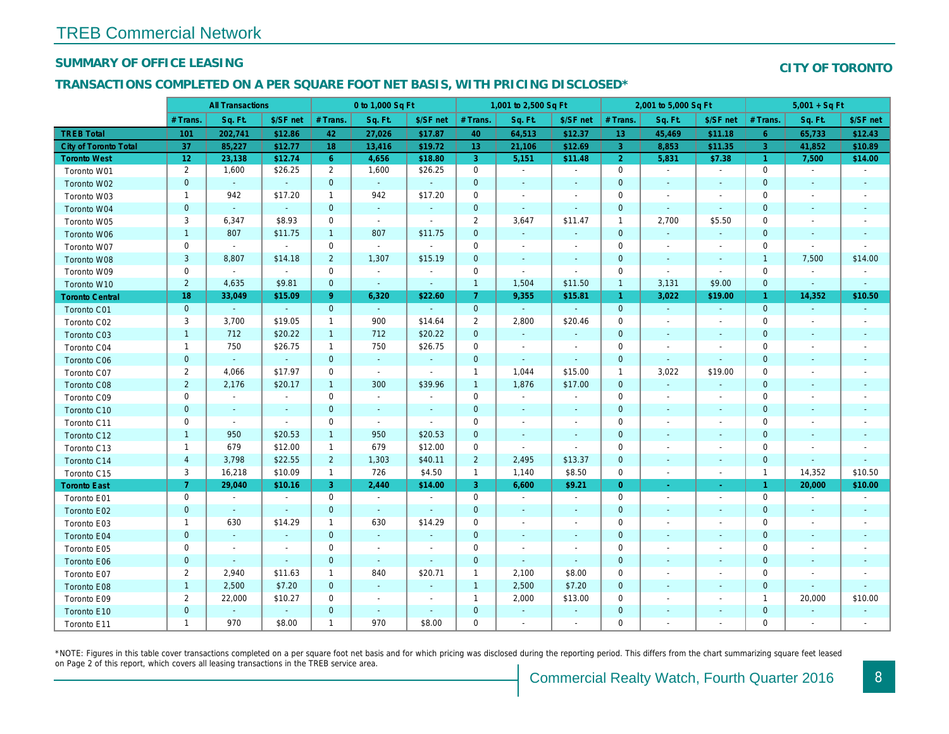## SUMMARY OF OFFICE LEASING

#### TRANSACTIONS COMPLETED ON A PER SQUARE FOOT NET BASIS, WITH PRICING DISCLOSED\*

|                        | <b>All Transactions</b> |                             | 0 to 1,000 Sq Ft         |                |                          |                          | 1,001 to 2,500 Sq Ft |                          |                          | 2,001 to 5,000 Sq Ft |                          |                          |
|------------------------|-------------------------|-----------------------------|--------------------------|----------------|--------------------------|--------------------------|----------------------|--------------------------|--------------------------|----------------------|--------------------------|--------------------------|
|                        | # Trans.                | Sq. Ft.                     | \$/SF net                | # Trans.       | Sq. Ft.                  | \$/SF net                | # Trans.             | Sq. Ft.                  | \$/SF net                | # Trans.             | Sq. Ft.                  | \$/SF ne                 |
| <b>TREB Total</b>      | 101                     | 202,741                     | \$12.86                  | 42             | 27,026                   | \$17.87                  | 40                   | 64,513                   | \$12.37                  | 13                   | 45,469                   | \$11.18                  |
| City of Toronto Total  | 37                      | 85,227                      | \$12.77                  | 18             | 13,416                   | \$19.72                  | 13 <sup>°</sup>      | 21,106                   | \$12.69                  | 3                    | 8,853                    | \$11.35                  |
| <b>Toronto West</b>    | 12                      | 23,138                      | \$12.74                  | $6^{\circ}$    | 4,656                    | \$18.80                  | $\mathbf{3}$         | 5,151                    | \$11.48                  | $\overline{2}$       | 5,831                    | \$7.38                   |
| Toronto W01            | $\overline{2}$          | 1,600                       | \$26.25                  | $\overline{2}$ | 1,600                    | \$26.25                  | $\mathbf 0$          | $\blacksquare$           | $\blacksquare$           | $\mathbf 0$          | $\sim$                   | $\sim$                   |
| Toronto W02            | $\pmb{0}$               | $\sim$                      | $\blacksquare$           | $\mathbf 0$    | $\omega$                 | $\blacksquare$           | $\mathbf 0$          | $\blacksquare$           | $\sim$                   | $\mathbf 0$          | $\sim$                   | $\sim$                   |
| Toronto W03            | 1                       | 942                         | \$17.20                  | $\mathbf{1}$   | 942                      | \$17.20                  | 0                    | $\blacksquare$           | $\blacksquare$           | 0                    | $\overline{\phantom{a}}$ | $\sim$                   |
| Toronto W04            | $\mathbf 0$             | $\blacksquare$              | $\sim$                   | $\mathbf{0}$   | $\omega$                 | $\blacksquare$           | $\mathbf 0$          | $\omega$                 | $\sim$                   | $\mathbf{0}$         | $\sim$                   | $\sim$                   |
| Toronto W05            | 3                       | 6,347                       | \$8.93                   | $\mathbf 0$    | $\omega$                 | $\omega$                 | $\overline{2}$       | 3,647                    | \$11.47                  | $\mathbf{1}$         | 2,700                    | \$5.50                   |
| Toronto W06            | $\mathbf{1}$            | 807                         | \$11.75                  | $\overline{1}$ | 807                      | \$11.75                  | $\mathbf 0$          | $\sim$                   | $\sim$                   | $\mathbf 0$          | $\sim$                   | $\sim$                   |
| Toronto W07            | $\mathbf 0$             | $\omega$                    | $\sim$                   | $\mathbf 0$    | $\omega$                 | $\omega$                 | $\mathbf 0$          | $\blacksquare$           | $\blacksquare$           | 0                    | $\sim$                   | $\overline{\phantom{a}}$ |
| Toronto W08            | $\sqrt{3}$              | 8,807                       | \$14.18                  | $\overline{2}$ | 1,307                    | \$15.19                  | $\mathbf 0$          | $\blacksquare$           | $\sim$                   | $\mathbf 0$          | $\sim$                   | $\sim$                   |
| Toronto W09            | $\mathbf 0$             | $\blacksquare$              | $\sim$                   | $\mathbf 0$    | $\blacksquare$           | $\overline{\phantom{a}}$ | $\mathbf 0$          | $\blacksquare$           | $\blacksquare$           | 0                    | $\blacksquare$           | $\blacksquare$           |
| Toronto W10            | $\overline{2}$          | 4,635                       | \$9.81                   | $\mathbf 0$    | $\omega$                 | $\blacksquare$           | $\mathbf{1}$         | 1,504                    | \$11.50                  | $\mathbf{1}$         | 3,131                    | \$9.00                   |
| <b>Toronto Central</b> | 18                      | 33,049                      | \$15.09                  | $9^{\circ}$    | 6,320                    | \$22.60                  | $\mathbf{7}$         | 9,355                    | \$15.81                  | $\mathbf{1}$         | 3,022                    | \$19.00                  |
| Toronto C01            | $\mathbf{0}$            | $\omega$                    | $\sim$                   | $\mathbf{0}$   | $\omega$                 | $\sim$                   | $\mathbf 0$          | $\sim$                   | $\sim$                   | $\mathbf{0}$         | $\sim$                   | $\sim$                   |
| Toronto C02            | 3                       | 3,700                       | \$19.05                  | $\mathbf{1}$   | 900                      | \$14.64                  | $\overline{2}$       | 2,800                    | \$20.46                  | $\mathbf 0$          | $\sim$                   | $\sim$                   |
| Toronto C03            | $\mathbf{1}$            | 712                         | \$20.22                  | $\mathbf{1}$   | 712                      | \$20.22                  | $\mathbf{0}$         | $\blacksquare$           | ۰                        | $\mathbf 0$          | $\sim$                   |                          |
| Toronto C04            | $\mathbf{1}$            | 750                         | \$26.75                  | $\mathbf{1}$   | 750                      | \$26.75                  | $\mathbf 0$          | $\blacksquare$           | $\blacksquare$           | $\mathbf 0$          |                          |                          |
| Toronto C06            | $\pmb{0}$               | $\omega$                    | $\omega_{\rm c}$         | $\mathbf{0}$   | $\blacksquare$           | ۰                        | $\mathbf 0$          | $\blacksquare$           | $\blacksquare$           | $\mathbf 0$          | $\blacksquare$           | $\sim$                   |
| Toronto C07            | $\overline{2}$          | 4,066                       | \$17.97                  | $\mathbf 0$    | $\blacksquare$           | $\blacksquare$           | $\mathbf{1}$         | 1,044                    | \$15.00                  | $\mathbf{1}$         | 3,022                    | \$19.00                  |
| Toronto C08            | $\overline{2}$          | 2,176                       | \$20.17                  | $\mathbf{1}$   | 300                      | \$39.96                  | $\mathbf{1}$         | 1,876                    | \$17.00                  | $\mathbf 0$          | $\blacksquare$           | $\blacksquare$           |
| Toronto C09            | $\pmb{0}$               | $\overline{\phantom{a}}$    | $\blacksquare$           | $\mathbf 0$    | $\sim$                   | $\overline{\phantom{a}}$ | $\mathbf 0$          | $\blacksquare$           | $\overline{\phantom{a}}$ | 0                    | $\overline{\phantom{a}}$ | $\overline{\phantom{a}}$ |
| Toronto C10            | $\pmb{0}$               | $\bullet$                   | $\blacksquare$           | $\mathbf{0}$   | $\blacksquare$           | $\blacksquare$           | $\mathbf 0$          | $\blacksquare$           | $\blacksquare$           | $\mathbf 0$          | $\blacksquare$           | $\blacksquare$           |
| Toronto C11            | $\pmb{0}$               | $\sim$                      | $\blacksquare$           | $\mathbf 0$    | $\blacksquare$           | $\blacksquare$           | $\mathbf 0$          | $\blacksquare$           | $\overline{\phantom{a}}$ | $\mathbf 0$          |                          | $\overline{\phantom{a}}$ |
| Toronto C12            | $\mathbf{1}$            | 950                         | \$20.53                  | $\mathbf{1}$   | 950                      | \$20.53                  | $\mathbf 0$          | $\blacksquare$           | $\blacksquare$           | $\mathbf{0}$         |                          | $\sim$                   |
| Toronto C13            | $\mathbf{1}$            | 679                         | \$12.00                  | $\mathbf{1}$   | 679                      | \$12.00                  | $\mathbf 0$          | $\blacksquare$           | $\blacksquare$           | $\mathbf 0$          |                          |                          |
| Toronto C14            | $\overline{4}$          | 3,798                       | \$22.55                  | $\overline{2}$ | 1,303                    | \$40.11                  | $\overline{2}$       | 2,495                    | \$13.37                  | $\mathbf 0$          | $\blacksquare$           | $\sim$                   |
| Toronto C15            | 3                       | 16,218                      | \$10.09                  | $\mathbf{1}$   | 726                      | \$4.50                   | $\mathbf{1}$         | 1,140                    | \$8.50                   | $\mathbf 0$          | $\sim$                   | $\blacksquare$           |
| <b>Toronto East</b>    | $\mathbf{7}$            | 29,040                      | \$10.16                  | 3              | 2,440                    | \$14.00                  | 3                    | 6,600                    | \$9.21                   | $\overline{0}$       | $\blacksquare$           | $\sigma_{\rm c}$         |
| Toronto E01            | $\pmb{0}$               | $\overline{\phantom{a}}$    | $\sim$                   | $\mathbf 0$    | $\blacksquare$           | $\blacksquare$           | $\mathbf 0$          | $\blacksquare$           | $\blacksquare$           | $\mathbf 0$          | $\overline{\phantom{a}}$ | $\sim$                   |
| Toronto E02            | $\pmb{0}$               | $\blacksquare$              | $\blacksquare$           | $\mathbf{0}$   | $\blacksquare$           | $\blacksquare$           | $\mathbf 0$          | $\blacksquare$           | $\blacksquare$           | $\mathbf 0$          | $\blacksquare$           | $\blacksquare$           |
| Toronto E03            | $\mathbf{1}$            | 630                         | \$14.29                  | $\mathbf{1}$   | 630                      | \$14.29                  | $\mathbf 0$          | $\overline{\phantom{a}}$ | $\overline{\phantom{a}}$ | $\mathbf 0$          |                          | $\overline{\phantom{a}}$ |
| Toronto E04            | $\mathbf 0$             | $\mathcal{L}_{\mathcal{C}}$ | $\blacksquare$           | $\mathbf{0}$   | $\omega$                 | $\blacksquare$           | $\mathbf{0}$         | $\blacksquare$           | $\sim$                   | $\mathbf{0}$         |                          | $\sim$                   |
| Toronto E05            | $\mathbf 0$             | $\blacksquare$              | $\overline{\phantom{a}}$ | $\mathbf 0$    | $\overline{\phantom{a}}$ | $\sim$                   | $\mathbf 0$          | $\blacksquare$           | $\sim$                   | $\mathbf 0$          |                          | $\overline{\phantom{a}}$ |
| Toronto E06            | $\mathbf 0$             | $\blacksquare$              | $\sim$                   | $\mathbf{0}$   | $\omega$                 | $\blacksquare$           | $\mathbf 0$          | $\blacksquare$           | $\omega$                 | $\mathbf 0$          | $\sim$                   | $\sim$                   |
| Toronto E07            | $\overline{2}$          | 2,940                       | \$11.63                  | $\mathbf{1}$   | 840                      | \$20.71                  | $\mathbf{1}$         | 2,100                    | \$8.00                   | 0                    |                          | $\overline{\phantom{a}}$ |
| Toronto E08            | $\mathbf{1}$            | 2,500                       | \$7.20                   | $\mathbf{0}$   | $\blacksquare$           | $\blacksquare$           | $\mathbf{1}$         | 2,500                    | \$7.20                   | $\mathbf 0$          | $\overline{\phantom{a}}$ | $\sim$                   |
| Toronto E09            | $\overline{2}$          | 22,000                      | \$10.27                  | 0              | $\blacksquare$           | $\overline{\phantom{a}}$ | $\mathbf{1}$         | 2,000                    | \$13.00                  | 0                    |                          | $\overline{\phantom{a}}$ |
| Toronto E10            | $\pmb{0}$               | $\mathcal{L}_{\mathcal{C}}$ | $\sim$                   | $\mathbf 0$    | $\omega$                 | $\blacksquare$           | $\mathbf 0$          | $\blacksquare$           | $\sim$                   | $\mathbf 0$          | $\blacksquare$           | $\sim$                   |
| Toronto E11            | $\mathbf{1}$            | 970                         | \$8.00                   | $\mathbf{1}$   | 970                      | \$8.00                   | $\mathbf 0$          | $\blacksquare$           | $\overline{\phantom{a}}$ | $\mathbf 0$          |                          |                          |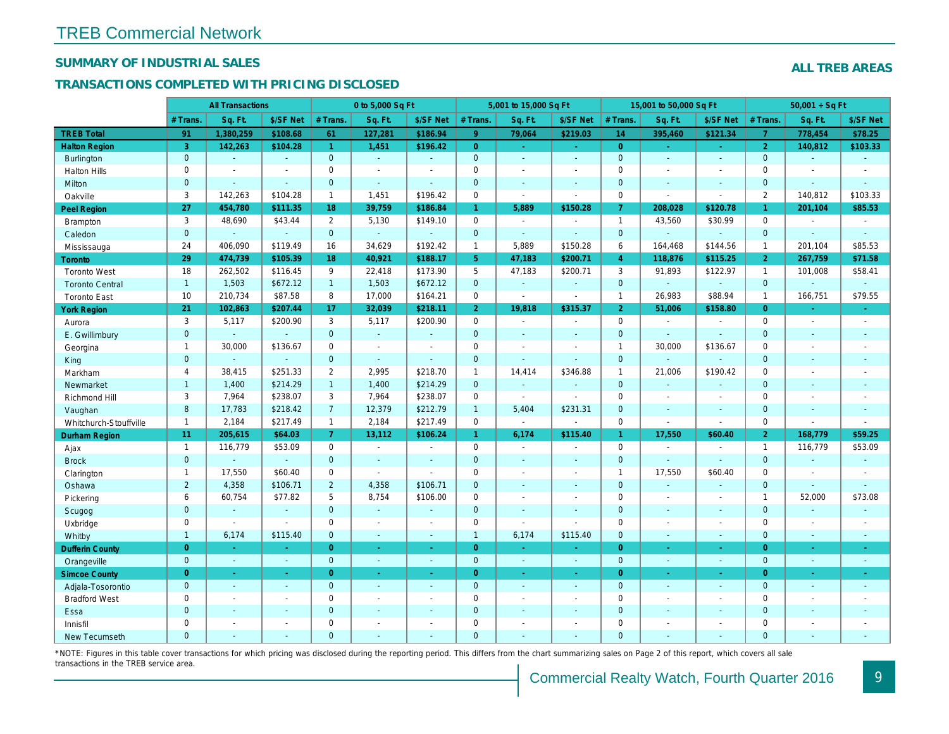## SUMMARY OF INDUSTRIAL SALES

## TRANSACTIONS COMPLETED WITH PRICING DISCLOSED

|                        |                | <b>All Transactions</b>  |                |                | 0 to 5,000 Sq Ft |                |                     | 5,001 to 15,000 Sq Ft |                          |                | 15,001 to 50,000 Sq Ft   |                          |
|------------------------|----------------|--------------------------|----------------|----------------|------------------|----------------|---------------------|-----------------------|--------------------------|----------------|--------------------------|--------------------------|
|                        | # Trans        | Sq. Ft.                  | \$/SF Net      | # Trans.       | Sq. Ft.          | \$/SF Net      | # Trans.            | Sq. Ft.               | \$/SF Net                | # Trans.       | Sq. Ft.                  | \$/SF Ne                 |
| <b>TREB Total</b>      | 91             | 1,380,259                | \$108.68       | 61             | 127,281          | \$186.94       | 9 <sup>°</sup>      | 79,064                | \$219.03                 | 14             | 395,460                  | \$121.34                 |
| <b>Halton Region</b>   | 3              | 142,263                  | \$104.28       | $\mathbf{1}$   | 1,451            | \$196.42       | $\overline{0}$      | ÷.                    | $\omega_{\rm c}$         | $\overline{0}$ |                          | $\sim$                   |
| Burlington             | $\overline{0}$ | $\omega$                 | $\omega$       | $\overline{0}$ | $\omega$         | $\blacksquare$ | $\overline{0}$      | ä,                    | $\mathbf{r}$             | $\mathbf{0}$   | $\Delta$                 | $\omega$                 |
| <b>Halton Hills</b>    | 0              | $\overline{\phantom{a}}$ | $\sim$         | 0              | $\blacksquare$   |                | $\mathsf{O}\xspace$ | $\blacksquare$        | ä,                       | $\mathbf 0$    | ÷,                       | $\blacksquare$           |
| Milton                 | $\mathbf{0}$   | $\sim$                   | $\mathbf{r}$   | $\mathbf{0}$   | $\omega$         | ä,             | $\mathbf{0}$        | $\omega$              | $\blacksquare$           | $\mathbf{0}$   | $\Delta$                 | $\sim$                   |
| Oakville               | 3              | 142,263                  | \$104.28       | $\mathbf{1}$   | 1.451            | \$196.42       | $\mathsf{O}$        | $\Delta$              | $\overline{\phantom{a}}$ | $\mathbf 0$    | $\sim$                   | $\blacksquare$           |
| Peel Region            | 27             | 454,780                  | \$111.35       | 18             | 39,759           | \$186.84       | $\mathbf{1}$        | 5,889                 | \$150.28                 | $\overline{7}$ | 208,028                  | \$120.78                 |
| <b>Brampton</b>        | 3              | 48,690                   | \$43.44        | 2              | 5,130            | \$149.10       | $\mathbf 0$         | $\blacksquare$        | $\overline{a}$           | $\mathbf{1}$   | 43,560                   | \$30.99                  |
| Caledon                | $\overline{0}$ | $\omega$                 | $\omega$       | $\mathbf{0}$   | $\omega$         | $\mathbf{r}$   | $\mathbf{0}$        | $\blacksquare$        | $\omega$                 | $\overline{0}$ | $\omega$                 | $\omega$                 |
| Mississauga            | 24             | 406,090                  | \$119.49       | 16             | 34,629           | \$192.42       | $\mathbf{1}$        | 5,889                 | \$150.28                 | 6              | 164,468                  | \$144.56                 |
| Toronto                | 29             | 474,739                  | \$105.39       | 18             | 40,921           | \$188.17       | 5 <sub>1</sub>      | 47,183                | \$200.71                 | $\overline{4}$ | 118,876                  | \$115.25                 |
| <b>Toronto West</b>    | 18             | 262,502                  | \$116.45       | 9              | 22,418           | \$173.90       | 5                   | 47,183                | \$200.71                 | 3              | 91,893                   | \$122.97                 |
| <b>Toronto Central</b> | $\mathbf{1}$   | 1,503                    | \$672.12       | 1              | 1,503            | \$672.12       | $\mathbf{0}$        | $\blacksquare$        | $\omega$                 | $\mathbf 0$    | $\omega$                 | $\blacksquare$           |
| <b>Toronto East</b>    | 10             | 210,734                  | \$87.58        | 8              | 17,000           | \$164.21       | $\mathsf{O}$        | $\blacksquare$        | $\blacksquare$           | $\mathbf{1}$   | 26,983                   | \$88.94                  |
| <b>York Region</b>     | 21             | 102,863                  | \$207.44       | 17             | 32,039           | \$218.11       | 2 <sup>1</sup>      | 19,818                | \$315.37                 | $\overline{2}$ | 51,006                   | \$158.80                 |
| Aurora                 | 3              | 5,117                    | \$200.90       | 3              | 5,117            | \$200.90       | $\mathsf{O}$        | $\sim$                | $\blacksquare$           | $\mathbf 0$    | $\blacksquare$           | $\sim$                   |
| E. Gwillimbury         | $\mathbf{0}$   | $\mathbf{r}$             | $\omega$       | $\mathbf{0}$   | $\omega$         | $\blacksquare$ | $\mathbf{0}$        | $\blacksquare$        | ä,                       | $\mathbf{0}$   | $\omega$                 | $\omega$                 |
| Georgina               | $\mathbf{1}$   | 30,000                   | \$136.67       | $\Omega$       | $\sim$           | $\sim$         | $\mathbf 0$         | $\blacksquare$        | $\blacksquare$           | $\mathbf{1}$   | 30,000                   | \$136.67                 |
| King                   | $\mathbf{0}$   | $\sim$                   | $\blacksquare$ | $\mathbf{0}$   | $\blacksquare$   | $\blacksquare$ | $\mathbf 0$         | $\blacksquare$        | $\blacksquare$           | $\mathbf{0}$   | $\blacksquare$           | $\blacksquare$           |
| Markham                | $\overline{4}$ | 38,415                   | \$251.33       | $\overline{2}$ | 2,995            | \$218.70       | $\mathbf{1}$        | 14,414                | \$346.88                 | $\mathbf{1}$   | 21,006                   | \$190.42                 |
| Newmarket              | $\mathbf{1}$   | 1,400                    | \$214.29       | 1              | 1,400            | \$214.29       | $\overline{0}$      | $\omega_{\rm c}$      | $\blacksquare$           | $\mathbf{0}$   | $\Delta$                 | $\blacksquare$           |
| Richmond Hill          | 3              | 7,964                    | \$238.07       | 3              | 7,964            | \$238.07       | $\mathbf 0$         | $\blacksquare$        | $\sim$                   | $\mathbf 0$    | $\blacksquare$           | $\overline{\phantom{a}}$ |
| Vaughan                | 8              | 17,783                   | \$218.42       | $\overline{7}$ | 12,379           | \$212.79       | $\mathbf{1}$        | 5,404                 | \$231.31                 | $\mathbf{0}$   | $\omega$                 | $\sim$                   |
| Whitchurch-Stouffville | $\overline{1}$ | 2,184                    | \$217.49       | $\mathbf{1}$   | 2,184            | \$217.49       | $\mathsf{O}\xspace$ | $\blacksquare$        | $\overline{\phantom{a}}$ | $\mathbf 0$    | $\overline{\phantom{a}}$ | $\blacksquare$           |
| Durham Region          | 11             | 205,615                  | \$64.03        | 7 <sup>1</sup> | 13,112           | \$106.24       | $\mathbf{1}$        | 6,174                 | \$115.40                 | $\mathbf{1}$   | 17,550                   | \$60.40                  |
| Ajax                   | $\mathbf{1}$   | 116,779                  | \$53.09        | $\mathbf 0$    | $\sim$           | $\sim$         | $\mathsf{O}$        | $\blacksquare$        | $\blacksquare$           | $\mathbf 0$    | $\blacksquare$           | $\omega$                 |
| <b>Brock</b>           | $\mathbf 0$    | $\mathbf{r}$             | $\omega$       | $\mathbf 0$    | $\omega$         | $\mathbf{r}$   | $\mathbf{0}$        | $\Box$                | $\omega$                 | $\mathbf{0}$   | $\omega$                 | $\omega$                 |
| Clarington             | $\mathbf{1}$   | 17,550                   | \$60.40        | 0              | $\blacksquare$   | $\sim$         | $\mathbf 0$         | $\sim$                | $\blacksquare$           | $\mathbf{1}$   | 17,550                   | \$60.40                  |
| Oshawa                 | $\overline{2}$ | 4,358                    | \$106.71       | $\overline{2}$ | 4,358            | \$106.71       | $\mathbf{0}$        | ä,                    | ä,                       | $\mathbf{0}$   | $\blacksquare$           | $\blacksquare$           |
| Pickering              | 6              | 60,754                   | \$77.82        | 5              | 8,754            | \$106.00       | $\mathsf{O}$        | $\overline{a}$        | $\overline{a}$           | $\mathbf 0$    | ÷,                       | $\blacksquare$           |
| Scugog                 | $\mathbf{0}$   | $\blacksquare$           | $\blacksquare$ | $\overline{0}$ | $\omega$         | $\blacksquare$ | $\mathbf{0}$        | $\blacksquare$        | $\blacksquare$           | $\mathbf{0}$   | $\blacksquare$           | $\blacksquare$           |
| Uxbridge               | 0              | $\sim$                   | $\blacksquare$ | $\mathbf 0$    | $\blacksquare$   | $\blacksquare$ | $\mathsf{O}$        | ä,                    | $\blacksquare$           | $\mathbf 0$    | $\sim$                   | $\blacksquare$           |
| Whitby                 | $\mathbf{1}$   | 6,174                    | \$115.40       | $\mathbf 0$    | $\sim$           | $\sim$         | $\mathbf{1}$        | 6,174                 | \$115.40                 | $\mathbf{0}$   | $\blacksquare$           | $\blacksquare$           |
| <b>Dufferin County</b> | $\overline{0}$ | $\sim$                   |                | $\overline{0}$ | ÷.               | $\sim$         | $\overline{0}$      | ×.                    | ٠                        | $\overline{0}$ | $\sim$                   | $\sim$                   |
| Orangeville            | $\overline{0}$ | $\omega$                 | $\sim$         | $\overline{0}$ | ◆                | $\omega$       | $\overline{0}$      | $\omega$              | $\omega$                 | $\mathbf{0}$   | $\omega$                 | $\sim$                   |
| <b>Simcoe County</b>   | $\overline{0}$ | $\sim$                   | $\sim$         | $\overline{0}$ | $\omega$         | $\blacksquare$ | $\overline{0}$      | $\omega$              | $\omega$                 | $\overline{0}$ | $\blacksquare$           | $\sim$                   |
| Adjala-Tosorontio      | $\mathbf{0}$   | $\omega$                 | $\sim$         | $\mathbf 0$    | $\omega$         | $\blacksquare$ | $\mathbf{0}$        | $\blacksquare$        | $\blacksquare$           | $\mathbf 0$    | $\Delta$                 | $\sim$                   |
| <b>Bradford West</b>   | 0              | $\sim$                   | $\sim$         | 0              | $\blacksquare$   | $\blacksquare$ | $\mathbf 0$         | $\blacksquare$        | $\blacksquare$           | $\mathbf 0$    | $\blacksquare$           | $\blacksquare$           |
| Essa                   | $\mathbf 0$    | $\sim$                   | $\sim$         | $\mathbf 0$    | $\blacksquare$   | $\blacksquare$ | $\mathbf 0$         | ä,                    | ä,                       | $\mathbf 0$    | $\sim$                   |                          |
| Innisfil               | 0              | $\sim$                   | $\sim$         | 0              | $\blacksquare$   | $\blacksquare$ | $\mathbf 0$         | $\blacksquare$        | $\blacksquare$           | $\mathbf 0$    | $\sim$                   | $\blacksquare$           |
| <b>New Tecumseth</b>   | $\Omega$       |                          |                | $\Omega$       |                  |                | $\mathbf{0}$        |                       |                          | $\Omega$       |                          |                          |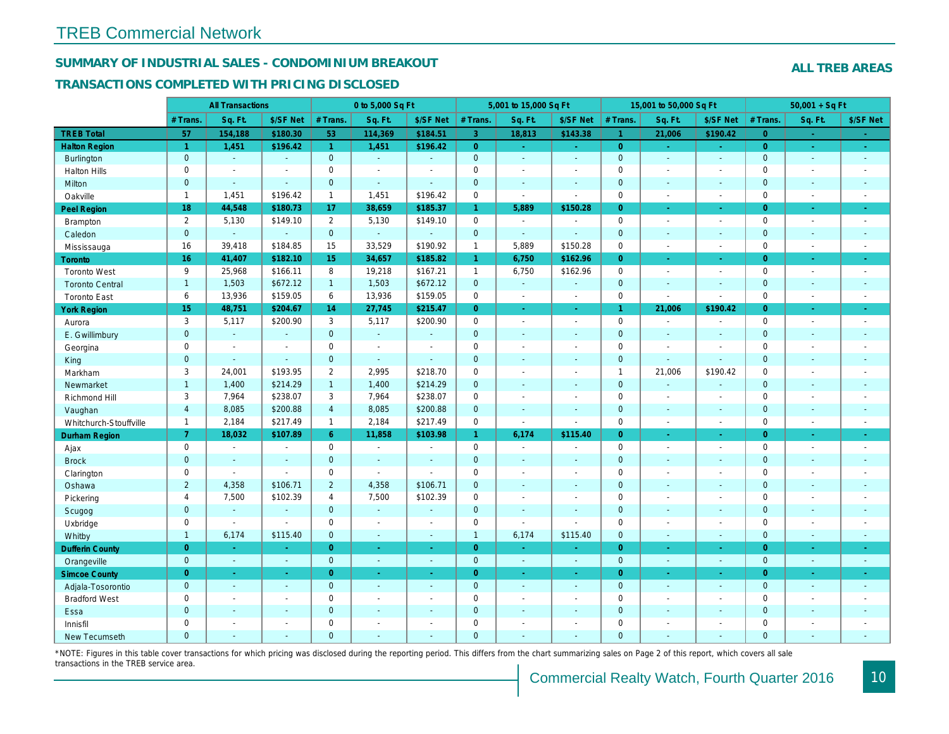## SUMMARY OF INDUSTRIAL SALES - CONDOMINIUM BREAKOUT

#### TRANSACTIONS COMPLETED WITH PRICING DISCLOSED

|                        |                      | <b>All Transactions</b> |                          |                       | 0 to 5,000 Sq Ft         |                          |                | 5,001 to 15,000 Sq Ft |                          |                      | 15,001 to 50,000 Sq Ft |                  |
|------------------------|----------------------|-------------------------|--------------------------|-----------------------|--------------------------|--------------------------|----------------|-----------------------|--------------------------|----------------------|------------------------|------------------|
|                        | # Trans.             | Sq. Ft.                 | \$/SF Net                | # Trans.              | Sq. Ft.                  | \$/SF Net                | # Trans.       | Sq. Ft.               | \$/SF Net                | # Trans.             | Sq. Ft.                | \$/SF Ne         |
| <b>TREB Total</b>      | 57                   | 154,188                 | \$180.30                 | 53                    | 114,369                  | \$184.51                 | 3 <sup>°</sup> | 18,813                | \$143.38                 | $\blacktriangleleft$ | 21,006                 | \$190.42         |
| <b>Halton Region</b>   | $\blacktriangleleft$ | 1,451                   | \$196.42                 | $\mathbf{1}$          | 1,451                    | \$196.42                 | $\overline{0}$ | $\omega$              | $\omega_{\rm c}$         | $\overline{0}$       | $\omega$               | $\omega_{\rm c}$ |
| <b>Burlington</b>      | $\overline{0}$       | $\omega$                | $\mathbf{r}$             | $\overline{0}$        | $\omega$                 | $\omega$                 | $\mathbf{0}$   | $\blacksquare$        | $\mathbf{u}$             | $\mathbf{0}$         | $\blacksquare$         | $\sim$           |
| <b>Halton Hills</b>    | 0                    | $\sim$                  | $\blacksquare$           | $\mathbf 0$           | $\sim$                   | $\overline{\phantom{a}}$ | $\mathbf 0$    | $\blacksquare$        | $\blacksquare$           | $\mathbf 0$          | ÷,                     | $\blacksquare$   |
| Milton                 | $\overline{0}$       | $\omega$                | $\omega$                 | $\overline{0}$        | $\omega$                 | $\sim$                   | $\overline{0}$ | $\omega$              | $\blacksquare$           | $\mathbf{0}$         | $\blacksquare$         | $\blacksquare$   |
| Oakville               | $\mathbf{1}$         | 1,451                   | \$196.42                 | $\mathbf{1}$          | 1,451                    | \$196.42                 | $\mathsf{O}$   | $\blacksquare$        | $\blacksquare$           | $\mathbf 0$          | $\sim$                 | $\blacksquare$   |
| Peel Region            | 18                   | 44,548                  | \$180.73                 | 17                    | 38,659                   | \$185.37                 | $\mathbf{1}$   | 5,889                 | \$150.28                 | $\overline{0}$       | $\blacksquare$         | $\sim$           |
| <b>Brampton</b>        | 2                    | 5,130                   | \$149.10                 | $\overline{2}$        | 5,130                    | \$149.10                 | $\mathbf 0$    | $\sim$                | $\blacksquare$           | $\mathbf 0$          | $\overline{a}$         | $\sim$           |
| Caledon                | $\mathbf{0}$         | ÷.                      | $\omega$                 | $\mathbf 0$           | $\omega$                 | $\sim$                   | $\pmb{0}$      | $\omega$              | $\mathbf{r}$             | $\mathbf 0$          | $\omega$               | $\sim$           |
| Mississauga            | 16                   | 39,418                  | \$184.85                 | 15                    | 33,529                   | \$190.92                 | $\mathbf{1}$   | 5,889                 | \$150.28                 | $\mathbf 0$          | $\sim$                 | $\blacksquare$   |
| <b>Toronto</b>         | 16 <sup>°</sup>      | 41,407                  | \$182.10                 | 15                    | 34,657                   | \$185.82                 | $\mathbf{1}$   | 6,750                 | \$162.96                 | $\Omega$             | ÷.                     | $\omega_{\rm c}$ |
| <b>Toronto West</b>    | 9                    | 25,968                  | \$166.11                 | 8                     | 19,218                   | \$167.21                 | $\mathbf{1}$   | 6,750                 | \$162.96                 | $\mathbf 0$          | ÷,                     | $\sim$           |
| <b>Toronto Central</b> | $\overline{1}$       | 1,503                   | \$672.12                 | $\mathbf{1}$          | 1,503                    | \$672.12                 | $\mathbf 0$    | $\omega$              | $\blacksquare$           | $\mathbf{0}$         | $\blacksquare$         | $\blacksquare$   |
| <b>Toronto East</b>    | 6                    | 13,936                  | \$159.05                 | 6                     | 13,936                   | \$159.05                 | $\mathbf 0$    | $\blacksquare$        | $\blacksquare$           | $\mathbf 0$          | $\blacksquare$         | $\blacksquare$   |
| <b>York Region</b>     | 15                   | 48,751                  | \$204.67                 | 14                    | 27,745                   | \$215.47                 | $\overline{0}$ | $\omega$              | $\omega$                 | $\mathbf{1}$         | 21,006                 | \$190.42         |
| Aurora                 | 3                    | 5,117                   | \$200.90                 | 3                     | 5,117                    | \$200.90                 | $\mathbf 0$    | $\sim$                | $\sim$                   | $\mathbf 0$          | $\blacksquare$         | $\blacksquare$   |
| E. Gwillimbury         | $\mathbf{0}$         | $\omega$                | $\omega$                 | $\mathbf 0$           | $\omega$                 | $\blacksquare$           | $\pmb{0}$      | $\sim$                | $\blacksquare$           | $\mathbf{0}$         | ä,                     | $\blacksquare$   |
| Georgina               | 0                    | $\blacksquare$          | $\blacksquare$           | $\mathbf 0$           | $\blacksquare$           | $\overline{\phantom{a}}$ | $\mathbf 0$    | $\blacksquare$        | $\blacksquare$           | $\mathbf 0$          | $\sim$                 | $\sim$           |
| King                   | $\mathbf{0}$         | $\sim$                  | $\mathbf{r}$             | $\overline{0}$        | $\omega$                 | $\sim$                   | $\mathbf 0$    | $\sim$                | $\sim$                   | $\mathbf{0}$         | ä,                     | $\blacksquare$   |
| Markham                | 3                    | 24,001                  | \$193.95                 | $\mathbf{2}^{\prime}$ | 2,995                    | \$218.70                 | $\pmb{0}$      | $\blacksquare$        | $\sim$                   | $\mathbf{1}$         | 21,006                 | \$190.42         |
| Newmarket              | $\overline{1}$       | 1,400                   | \$214.29                 | $\mathbf{1}$          | 1,400                    | \$214.29                 | $\mathbf 0$    | $\sim$                | $\blacksquare$           | $\mathbf{0}$         | $\sim$                 | $\blacksquare$   |
| Richmond Hill          | 3                    | 7,964                   | \$238.07                 | 3                     | 7,964                    | \$238.07                 | $\pmb{0}$      | $\sim$                | $\blacksquare$           | $\mathbf 0$          | $\sim$                 | $\sim$           |
| Vaughan                | $\overline{4}$       | 8,085                   | \$200.88                 | $\overline{4}$        | 8,085                    | \$200.88                 | $\mathbf 0$    | $\sim$                | $\blacksquare$           | $\mathbf{0}$         | $\omega$               | $\sim$           |
| Whitchurch-Stouffville | $\mathbf{1}$         | 2,184                   | \$217.49                 | $\mathbf{1}$          | 2,184                    | \$217.49                 | 0              | $\blacksquare$        | $\sim$                   | $\mathbf 0$          | $\overline{a}$         | $\blacksquare$   |
| <b>Durham Region</b>   | $\overline{7}$       | 18,032                  | \$107.89                 | $6\phantom{1}$        | 11,858                   | \$103.98                 | $\mathbf{1}$   | 6,174                 | \$115.40                 | $\overline{0}$       | $\blacksquare$         | $\sigma$         |
| Ajax                   | $\mathbf 0$          | $\blacksquare$          | $\sim$                   | $\mathbf 0$           | $\sim$                   | $\overline{\phantom{a}}$ | $\mathbf 0$    | $\sim$                | $\blacksquare$           | $\mathbf 0$          | $\blacksquare$         | $\blacksquare$   |
| <b>Brock</b>           | $\overline{0}$       | $\blacksquare$          | $\blacksquare$           | $\overline{0}$        | $\sim$                   | $\blacksquare$           | $\mathbf{0}$   | $\blacksquare$        | $\blacksquare$           | $\mathbf{0}$         | $\blacksquare$         | $\blacksquare$   |
| Clarington             | 0                    | $\sim$                  | $\overline{\phantom{a}}$ | 0                     | $\sim$                   | $\sim$                   | $\mathbf 0$    | $\tilde{\phantom{a}}$ | $\blacksquare$           | $\mathbf 0$          | ÷,                     | $\blacksquare$   |
| Oshawa                 | $\overline{2}$       | 4,358                   | \$106.71                 | $\overline{2}$        | 4,358                    | \$106.71                 | $\mathbf 0$    | $\blacksquare$        | $\blacksquare$           | $\mathbf{0}$         | $\blacksquare$         | $\sim$           |
| Pickering              | $\overline{4}$       | 7,500                   | \$102.39                 | $\overline{4}$        | 7,500                    | \$102.39                 | $\mathbf 0$    | $\blacksquare$        | $\overline{a}$           | $\mathbf 0$          | L.                     | $\sim$           |
| Scugog                 | $\mathbf{0}$         | $\blacksquare$          | $\blacksquare$           | $\mathbf 0$           | $\sim$                   | $\sim$                   | $\mathbf 0$    | $\blacksquare$        | $\sim$                   | $\mathbf 0$          | $\blacksquare$         | $\blacksquare$   |
| Uxbridge               | $\mathbf 0$          | $\sim$                  | $\blacksquare$           | $\mathbf 0$           | $\sim$                   | $\sim$                   | $\mathbf 0$    | $\blacksquare$        | $\blacksquare$           | $\mathbf 0$          | ÷,                     | $\blacksquare$   |
| Whitby                 | $\overline{1}$       | 6,174                   | \$115.40                 | $\overline{0}$        | $\omega$                 | $\sim$                   | $\mathbf{1}$   | 6,174                 | \$115.40                 | $\overline{0}$       | $\blacksquare$         | $\sim$           |
| <b>Dufferin County</b> | $\overline{0}$       | $\sim$                  | ÷.                       | $\overline{0}$        | $\sim$                   | $\sim$                   | $\overline{0}$ | $\sim$                | $\omega$                 | $\overline{0}$       | $\omega$               | $\sim$           |
| Orangeville            | $\mathbf{0}$         | $\omega$                | $\omega$                 | $\overline{0}$        | $\omega$                 | $\omega$                 | $\mathbf{0}$   | $\sim$                | $\omega$                 | $\mathbf{0}$         | $\omega$               | $\sim$           |
| <b>Simcoe County</b>   | $\overline{0}$       | $\omega$                | $\omega$                 | $\overline{0}$        | $\bullet$                | $\blacksquare$           | $\overline{0}$ | $\blacksquare$        | $\omega$                 | $\overline{0}$       | ÷                      | $\sigma$         |
| Adjala-Tosorontio      | $\mathbf{0}$         | $\omega$                | $\blacksquare$           | $\overline{0}$        | $\sim$                   | $\sim$                   | $\mathbf{0}$   | $\sim$                | $\sim$                   | $\mathbf{0}$         | $\blacksquare$         | $\sim$           |
| <b>Bradford West</b>   | 0                    | $\blacksquare$          | $\blacksquare$           | $\mathbf 0$           | $\blacksquare$           | $\blacksquare$           | $\mathbf 0$    | $\blacksquare$        | $\blacksquare$           | $\mathbf 0$          | $\blacksquare$         | $\blacksquare$   |
| Essa                   | $\mathbf{0}$         | $\blacksquare$          | $\blacksquare$           | $\mathbf 0$           | $\sim$                   | $\sim$                   | $\pmb{0}$      | $\blacksquare$        | $\sim$                   | $\mathbf 0$          | $\blacksquare$         | $\blacksquare$   |
| Innisfil               | $\mathbf 0$          | $\sim$                  | $\blacksquare$           | $\mathbf 0$           | $\overline{\phantom{a}}$ | $\overline{\phantom{a}}$ | $\mathbf 0$    | $\blacksquare$        | $\blacksquare$           | $\mathbf 0$          | $\blacksquare$         | $\blacksquare$   |
| <b>New Tecumseth</b>   | $\Omega$             | $\sim$                  | $\overline{\phantom{a}}$ | $\Omega$              |                          |                          | $\overline{0}$ | ÷.                    | $\overline{\phantom{a}}$ | $\mathbf{0}$         | ÷.                     | $\sim$           |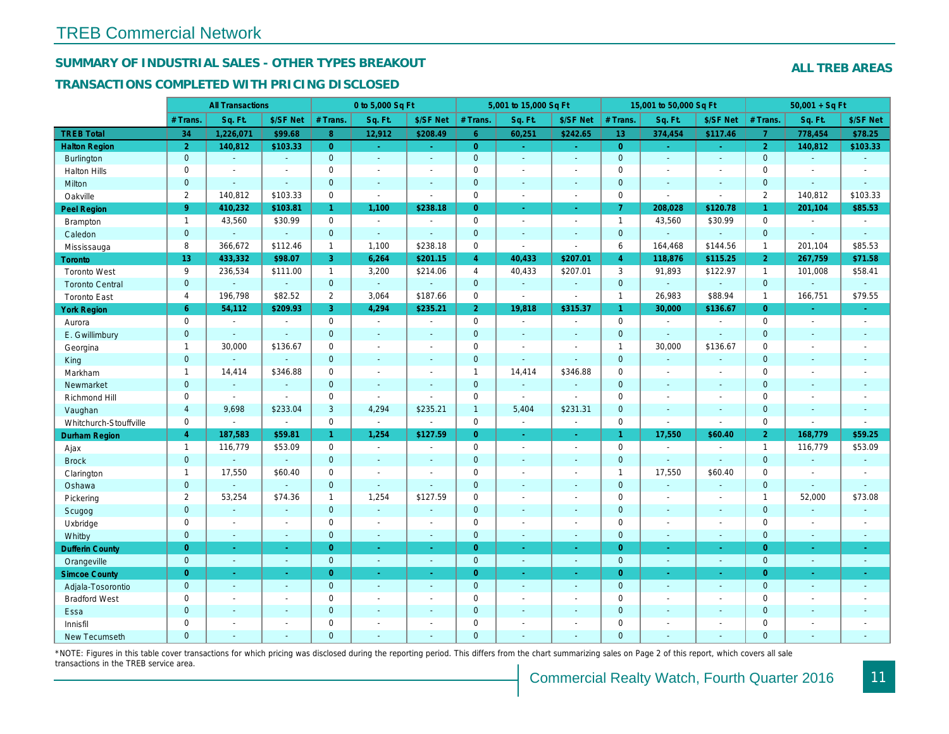## SUMMARY OF INDUSTRIAL SALES - OTHER TYPES BREAKOUT

#### TRANSACTIONS COMPLETED WITH PRICING DISCLOSED

|                        |                | <b>All Transactions</b> |                |                | 0 to 5,000 Sq Ft |                |                     | 5,001 to 15,000 Sq Ft |                          |                 | 15,001 to 50,000 Sq Ft |                  |
|------------------------|----------------|-------------------------|----------------|----------------|------------------|----------------|---------------------|-----------------------|--------------------------|-----------------|------------------------|------------------|
|                        | # Trans        | Sq. Ft.                 | \$/SF Net      | # Trans.       | Sq. Ft.          | \$/SF Net      | # Trans.            | Sq. Ft.               | \$/SF Net                | # Trans.        | Sq. Ft.                | \$/SF Ne         |
| <b>TREB Total</b>      | 34             | 1,226,071               | \$99.68        | 8              | 12,912           | \$208.49       | 6 <sup>1</sup>      | 60,251                | \$242.65                 | 13 <sup>°</sup> | 374,454                | \$117.46         |
| <b>Halton Region</b>   | $\overline{2}$ | 140,812                 | \$103.33       | $\overline{0}$ | $\sim$           | $\sim$         | $\overline{0}$      | $\omega_{\rm c}$      | $\sim$ .                 | $\overline{0}$  | $\blacksquare$         | $\omega_{\rm c}$ |
| Burlington             | $\mathbf{0}$   | $\omega$                | $\blacksquare$ | $\mathbf{0}$   | $\blacksquare$   | $\sim$         | $\mathbf 0$         | $\omega$              | $\omega$                 | $\mathbf{0}$    | $\omega$               | $\sim$           |
| <b>Halton Hills</b>    | $\mathbf 0$    | $\tilde{\phantom{a}}$   | $\sim$         | $\mathbf 0$    | $\sim$           |                | $\pmb{0}$           | $\tilde{\phantom{a}}$ | $\overline{a}$           | $\mathbf 0$     | ÷,                     | $\blacksquare$   |
| Milton                 | $\overline{0}$ | $\blacksquare$          | $\omega$       | $\mathbf{0}$   | $\sim$           | $\blacksquare$ | $\mathbf 0$         | $\blacksquare$        | $\blacksquare$           | $\mathbf 0$     | $\blacksquare$         | $\sim$           |
| Oakville               | $\overline{2}$ | 140,812                 | \$103.33       | $\mathbf 0$    | $\blacksquare$   | $\sim$         | 0                   | $\blacksquare$        | $\sim$                   | $\mathbf 0$     | $\blacksquare$         | $\blacksquare$   |
| Peel Region            | 9 <sup>°</sup> | 410,232                 | \$103.81       | 1 <sup>1</sup> | 1,100            | \$238.18       | $\overline{0}$      | $\blacksquare$        | $\bullet$ .              | $\overline{7}$  | 208,028                | \$120.7          |
| Brampton               | $\mathbf{1}$   | 43,560                  | \$30.99        | $\mathbf{0}$   | $\sim$           | $\sim$         | 0                   | $\blacksquare$        | $\blacksquare$           | $\overline{1}$  | 43,560                 | \$30.99          |
| Caledon                | $\mathbf{0}$   | $\sim$                  | $\sim$         | $\mathbf{0}$   | $\Delta$         | $\sim$         | $\mathbf 0$         | $\omega$              | $\sim$                   | $\mathbf 0$     | a.                     | $\sim$           |
| Mississauga            | 8              | 366,672                 | \$112.46       | $\mathbf{1}$   | 1,100            | \$238.18       | 0                   | $\overline{a}$        | $\sim$                   | 6               | 164,468                | \$144.56         |
| Toronto                | 13             | 433,332                 | \$98.07        | 3              | 6,264            | \$201.15       | $\overline{4}$      | 40,433                | \$207.01                 | $\overline{4}$  | 118,876                | \$115.25         |
| <b>Toronto West</b>    | 9              | 236,534                 | \$111.00       | $\mathbf{1}$   | 3,200            | \$214.06       | $\overline{4}$      | 40,433                | \$207.01                 | 3               | 91,893                 | \$122.97         |
| <b>Toronto Central</b> | $\mathbf{0}$   | $\blacksquare$          | $\omega$       | $\mathbf{0}$   | $\omega$         | $\sim$         | $\pmb{0}$           | $\omega$              | $\blacksquare$           | $\mathbf 0$     | $\omega$               | $\blacksquare$   |
| <b>Toronto East</b>    | 4              | 196,798                 | \$82.52        | 2              | 3,064            | \$187.66       | 0                   | $\blacksquare$        | $\sim$                   | $\mathbf{1}$    | 26,983                 | \$88.94          |
| <b>York Region</b>     | $6^{\circ}$    | 54,112                  | \$209.93       | 3 <sup>°</sup> | 4.294            | \$235.21       | 2 <sup>1</sup>      | 19,818                | \$315.37                 | $\mathbf{1}$    | 30,000                 | \$136.67         |
| Aurora                 | $\mathbf 0$    | $\sim$                  | $\blacksquare$ | $\mathbf 0$    | $\bullet$        | $\blacksquare$ | 0                   | $\sim$                | $\blacksquare$           | $\mathbf 0$     | $\blacksquare$         | $\blacksquare$   |
| E. Gwillimbury         | $\mathbf{0}$   | $\blacksquare$          | $\sim$         | $\mathbf{0}$   | ÷.               | $\sim$         | $\mathbf 0$         | $\blacksquare$        | $\blacksquare$           | $\mathbf{0}$    | $\blacksquare$         | $\sim$           |
| Georgina               | $\mathbf{1}$   | 30,000                  | \$136.67       | $\mathbf 0$    | $\sim$           | $\sim$         | $\mathbf 0$         | $\blacksquare$        | $\blacksquare$           | $\mathbf{1}$    | 30,000                 | \$136.67         |
| King                   | $\mathbf{0}$   | $\sim$                  | $\sim$         | $\mathbf{0}$   | $\sim$           | $\sim$         | $\pmb{0}$           | $\blacksquare$        | $\blacksquare$           | $\mathbf 0$     | $\sim$                 | $\sim$           |
| Markham                | $\mathbf{1}$   | 14,414                  | \$346.88       | $\mathbf 0$    | $\sim$           | $\overline{a}$ | $\mathbf{1}$        | 14,414                | \$346.88                 | $\mathbf 0$     | $\sim$                 | $\sim$           |
| Newmarket              | $\mathbf{0}$   | $\omega$                | $\sim$         | $\mathbf{0}$   | $\sim$           | $\sim$         | $\pmb{0}$           | $\omega$              | $\sim$                   | $\mathbf{0}$    | ÷.                     | $\sim$           |
| Richmond Hill          | $\mathbf 0$    | $\blacksquare$          | $\blacksquare$ | $\mathbf 0$    | $\sim$           | $\overline{a}$ | $\pmb{0}$           | $\blacksquare$        | $\sim$                   | $\mathbf 0$     | $\sim$                 | $\blacksquare$   |
| Vaughan                | $\overline{4}$ | 9,698                   | \$233.04       | 3              | 4,294            | \$235.21       | $\mathbf{1}$        | 5,404                 | \$231.31                 | $\mathbf{0}$    | $\mathbf{r}$           | $\sim$           |
| Whitchurch-Stouffville | $\mathbf 0$    | $\blacksquare$          | $\blacksquare$ | $\mathbf 0$    | $\omega$         | $\sim$         | $\mathsf{O}\xspace$ | $\omega$              | $\sim$                   | $\mathbf 0$     | $\overline{a}$         | $\blacksquare$   |
| Durham Region          | $\overline{4}$ | 187,583                 | \$59.81        | $\mathbf{1}$   | 1,254            | \$127.59       | $\overline{0}$      | $\frac{1}{\sqrt{2}}$  | ÷                        | $\mathbf{1}$    | 17,550                 | \$60.40          |
| Ajax                   | $\overline{1}$ | 116,779                 | \$53.09        | $\mathbf 0$    | $\sim$           |                | $\pmb{0}$           | $\blacksquare$        | $\sim$                   | $\mathbf 0$     | $\blacksquare$         | $\sim$           |
| <b>Brock</b>           | $\mathbf{0}$   | $\omega$                | $\omega$       | $\mathbf{0}$   | $\omega$         | $\blacksquare$ | $\mathbf 0$         | $\omega$              | $\omega$                 | $\mathbf 0$     | ä,                     | $\blacksquare$   |
| Clarington             | $\mathbf{1}$   | 17,550                  | \$60.40        | $\mathbf 0$    | $\sim$           |                | $\pmb{0}$           | $\blacksquare$        | $\blacksquare$           | $\mathbf{1}$    | 17,550                 | \$60.40          |
| Oshawa                 | $\mathbf{0}$   |                         | $\omega$       | $\mathbf{0}$   | $\sim$           | $\sim$         | $\overline{0}$      | $\blacksquare$        | $\blacksquare$           | $\mathbf{0}$    | $\omega$               | $\blacksquare$   |
| Pickering              | $\overline{2}$ | 53,254                  | \$74.36        | $\mathbf{1}$   | 1,254            | \$127.59       | $\pmb{0}$           | $\blacksquare$        | $\blacksquare$           | $\mathbf 0$     | $\overline{a}$         | $\blacksquare$   |
| Scugog                 | $\mathbf{0}$   | $\blacksquare$          | $\blacksquare$ | $\mathbf{0}$   | $\sim$           | $\sim$         | $\mathbf 0$         | $\blacksquare$        | $\sim$                   | $\mathbf 0$     | $\blacksquare$         | $\blacksquare$   |
| Uxbridge               | $\mathbf 0$    | $\sim$                  | $\sim$         | $\mathbf 0$    | $\sim$           | $\sim$         | $\mathbf 0$         | $\blacksquare$        | $\blacksquare$           | $\mathbf 0$     | $\overline{a}$         | $\sim$           |
| Whitby                 | $\mathbf{0}$   | $\sim$                  | $\sim$         | $\mathbf{0}$   | $\sim$           | $\sim$         | $\mathbf 0$         | $\blacksquare$        | $\blacksquare$           | $\mathbf{0}$    | $\blacksquare$         | ٠.               |
| <b>Dufferin County</b> | $\overline{0}$ | $\sim$                  | $\Delta \tau$  | $\overline{0}$ | a.               | $\sim$         | $\overline{0}$      | $\omega$              | $\omega$                 | $\overline{0}$  | $\sim$                 | $\sim$           |
| Orangeville            | $\overline{0}$ | $\omega$                | $\omega$       | $\mathbf{0}$   | $\sim$           | $\sim$         | $\mathbf{0}$        | $\omega$              | ÷.                       | $\mathbf{0}$    | $\omega$               | $\sim$           |
| <b>Simcoe County</b>   | $\overline{0}$ | $\sim$                  | $\blacksquare$ | $\overline{0}$ | $\sim$           | $\bullet$      | $\overline{0}$      | $\blacksquare$        | $\omega$                 | $\overline{0}$  | $\blacksquare$         | $\bullet$        |
| Adjala-Tosorontio      | $\mathbf{0}$   | $\sim$                  | $\sim$         | $\mathbf{0}$   | $\sim$           | $\sim$         | $\mathbf 0$         | $\omega$              | $\blacksquare$           | $\mathbf 0$     | $\blacksquare$         | $\sim$           |
| <b>Bradford West</b>   | $\mathbf 0$    | $\blacksquare$          | $\sim$         | $\mathbf 0$    | $\sim$           | $\sim$         | $\pmb{0}$           | $\blacksquare$        | $\sim$                   | $\mathbf 0$     | $\blacksquare$         | $\sim$           |
| Essa                   | $\mathbf{0}$   | $\blacksquare$          | $\blacksquare$ | $\mathbf{0}$   | $\sim$           | $\sim$         | $\pmb{0}$           | $\blacksquare$        | $\blacksquare$           | $\mathbf 0$     | ÷,                     |                  |
| Innisfil               | $\mathbf 0$    | $\blacksquare$          | $\blacksquare$ | $\mathbf 0$    | $\sim$           | $\blacksquare$ | $\mathbf 0$         | $\blacksquare$        | $\blacksquare$           | $\mathbf 0$     | $\blacksquare$         | $\blacksquare$   |
| <b>New Tecumseth</b>   | $\Omega$       | $\sim$                  | $\sim$         | $\Omega$       |                  |                | $\overline{0}$      | ÷.                    | $\overline{\phantom{a}}$ | $\mathbf{0}$    | ÷.                     | $\sim$           |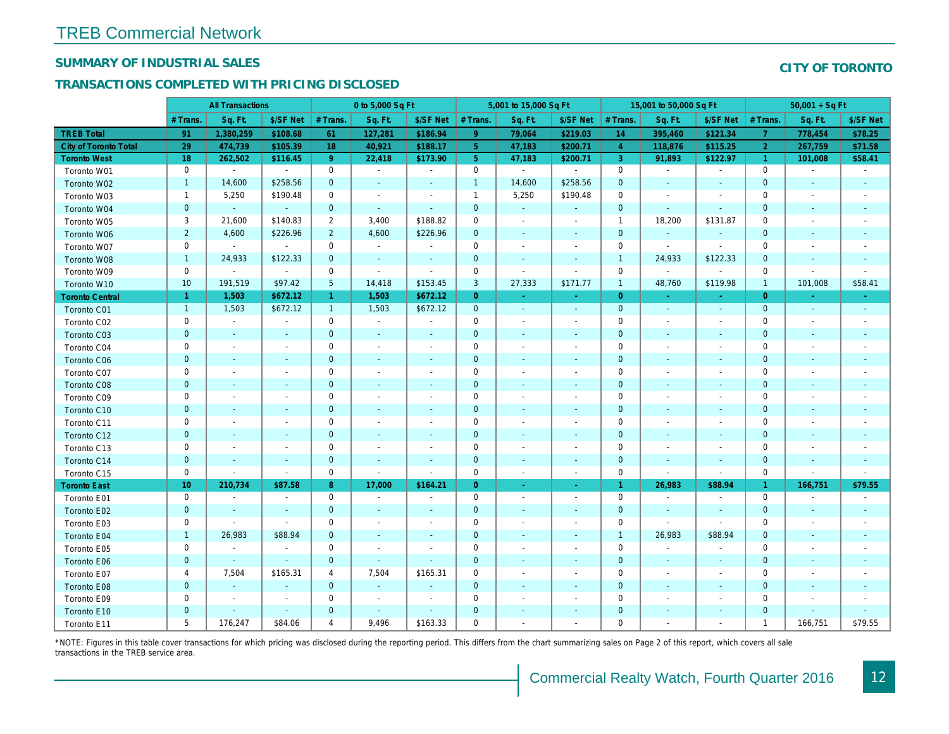## SUMMARY OF INDUSTRIAL SALES

## TRANSACTIONS COMPLETED WITH PRICING DISCLOSED

|                              |                 | <b>All Transactions</b>  |                          |                | 0 to 5,000 Sq Ft         |                          |                | 5,001 to 15,000 Sq Ft    |                          |                | 15,001 to 50,000 Sq Ft   |                          |
|------------------------------|-----------------|--------------------------|--------------------------|----------------|--------------------------|--------------------------|----------------|--------------------------|--------------------------|----------------|--------------------------|--------------------------|
|                              | # Trans         | Sq. Ft.                  | \$/SF Net                | # Trans.       | Sq. Ft.                  | \$/SF Net                | # Trans.       | Sq. Ft.                  | \$/SF Net                | # Trans.       | Sq. Ft.                  | \$/SF Ne                 |
| <b>TREB Total</b>            | 91              | 1,380,259                | \$108.68                 | 61             | 127,281                  | \$186.94                 | 9              | 79,064                   | \$219.03                 | 14             | 395,460                  | \$121.3                  |
| <b>City of Toronto Total</b> | 29              | 474,739                  | \$105.39                 | 18             | 40,921                   | \$188.17                 | 5 <sup>1</sup> | 47,183                   | \$200.71                 | $\overline{4}$ | 118,876                  | \$115.25                 |
| <b>Toronto West</b>          | 18              | 262,502                  | \$116.45                 | 9 <sup>°</sup> | 22,418                   | \$173.90                 | 5 <sup>5</sup> | 47,183                   | \$200.71                 | $\mathbf{3}$   | 91,893                   | \$122.97                 |
| Toronto W01                  | 0               | $\blacksquare$           | $\blacksquare$           | 0              | $\sim$                   | $\blacksquare$           | $\mathsf 0$    | $\blacksquare$           | $\blacksquare$           | $\mathbf 0$    | $\blacksquare$           | $\blacksquare$           |
| Toronto W02                  | $\mathbf{1}$    | 14,600                   | \$258.56                 | $\mathbf 0$    | $\blacksquare$           | $\blacksquare$           | $\mathbf{1}$   | 14,600                   | \$258.56                 | $\mathbf 0$    | $\blacksquare$           | $\blacksquare$           |
| Toronto W03                  | $\mathbf{1}$    | 5,250                    | \$190.48                 | 0              | $\blacksquare$           | $\blacksquare$           | $\mathbf{1}$   | 5,250                    | \$190.48                 | $\mathbf 0$    | $\blacksquare$           | $\overline{\phantom{a}}$ |
| Toronto W04                  | $\mathbf{0}$    | $\omega$                 | $\sim$                   | $\mathbf{0}$   | $\sim$                   | $\blacksquare$           | $\mathbf 0$    | $\omega$                 | $\blacksquare$           | $\mathbf{0}$   | $\blacksquare$           | $\blacksquare$           |
| Toronto W05                  | 3               | 21,600                   | \$140.83                 | $\overline{2}$ | 3,400                    | \$188.82                 | $\mathbf 0$    | $\blacksquare$           | $\sim$                   | $\overline{1}$ | 18,200                   | \$131.87                 |
| Toronto W06                  | $\overline{2}$  | 4,600                    | \$226.96                 | $\overline{2}$ | 4,600                    | \$226.96                 | $\mathbf 0$    | $\blacksquare$           | ٠                        | $\mathbf 0$    | $\blacksquare$           |                          |
| Toronto W07                  | $\mathbf 0$     | $\sim$                   | $\sim$                   | $\mathbf 0$    | $\sim$                   | $\blacksquare$           | $\mathbf 0$    | $\blacksquare$           | $\blacksquare$           | $\mathbf 0$    | $\blacksquare$           | $\sim$                   |
| Toronto W08                  | $\mathbf{1}$    | 24,933                   | \$122.33                 | $\mathbf 0$    | $\blacksquare$           | $\blacksquare$           | $\mathbf 0$    | $\omega$                 | $\omega$                 | $\overline{1}$ | 24,933                   | \$122.33                 |
| Toronto W09                  | 0               | $\blacksquare$           | $\omega$                 | 0              | $\tilde{\phantom{a}}$    | $\blacksquare$           | $\mathbf 0$    | $\blacksquare$           | $\blacksquare$           | $\mathbf 0$    | $\blacksquare$           | $\blacksquare$           |
| Toronto W10                  | 10 <sup>°</sup> | 191,519                  | \$97.42                  | $\overline{5}$ | 14,418                   | \$153.45                 | 3              | 27,333                   | \$171.77                 | $\mathbf{1}$   | 48,760                   | \$119.98                 |
| <b>Toronto Central</b>       | $\mathbf{1}$    | 1,503                    | \$672.12                 | $\mathbf{1}$   | 1,503                    | \$672.12                 | $\overline{0}$ | $\Delta \tau$            | $\Delta \tau$            | $\overline{0}$ | $\sim$                   | $\sim$                   |
| Toronto C01                  | $\mathbf{1}$    | 1,503                    | \$672.12                 | $\mathbf{1}$   | 1,503                    | \$672.12                 | $\mathbf 0$    | $\omega$                 | $\sim$                   | $\mathbf{0}$   | $\omega$                 | $\sim$                   |
| Toronto C02                  | 0               | $\blacksquare$           | $\sim$                   | 0              | $\blacksquare$           | $\blacksquare$           | $\mathbf 0$    | $\blacksquare$           | $\overline{\phantom{a}}$ | $\mathbf 0$    | $\blacksquare$           | $\blacksquare$           |
| Toronto C03                  | $\mathbf 0$     | $\blacksquare$           | $\blacksquare$           | $\mathbf 0$    | $\blacksquare$           | $\blacksquare$           | $\mathbf 0$    | ٠                        | $\blacksquare$           | $\mathbf 0$    | $\blacksquare$           | $\blacksquare$           |
| Toronto C04                  | 0               | $\sim$                   |                          | $\mathbf 0$    | $\blacksquare$           | $\blacksquare$           | $\mathbf 0$    | $\blacksquare$           | $\blacksquare$           | $\mathbf 0$    | $\blacksquare$           | $\blacksquare$           |
| Toronto C06                  | $\mathbf 0$     | $\sim$                   | $\sim$                   | $\mathbf 0$    | $\blacksquare$           | $\blacksquare$           | $\mathbf 0$    | $\blacksquare$           | $\blacksquare$           | $\mathbf{0}$   | $\blacksquare$           | $\blacksquare$           |
| Toronto C07                  | 0               | $\overline{\phantom{a}}$ | $\overline{\phantom{a}}$ | $\mathbf 0$    | $\blacksquare$           | $\blacksquare$           | $\mathbf 0$    | $\blacksquare$           | $\blacksquare$           | $\mathbf 0$    | $\blacksquare$           | $\blacksquare$           |
| Toronto C08                  | $\mathbf{0}$    | $\blacksquare$           | $\blacksquare$           | $\mathbf{0}$   | $\frac{1}{2}$            | $\blacksquare$           | $\mathbf{0}$   |                          | ٠                        | $\mathbf{0}$   | $\blacksquare$           | $\blacksquare$           |
| Toronto C09                  | 0               |                          |                          | $\mathbf 0$    | $\sim$                   | $\blacksquare$           | $\mathbf 0$    |                          | $\sim$                   | $\mathbf 0$    | J.                       |                          |
| Toronto C10                  | $\mathbf{0}$    | $\sim$                   |                          | $\mathbf 0$    | $\blacksquare$           | $\blacksquare$           | $\mathbf 0$    | $\blacksquare$           | $\blacksquare$           | $\mathbf{0}$   | $\blacksquare$           | $\blacksquare$           |
| Toronto C11                  | 0               | $\blacksquare$           |                          | $\mathbf 0$    | $\blacksquare$           | $\blacksquare$           | $\mathbf 0$    | $\overline{\phantom{a}}$ | $\overline{\phantom{a}}$ | 0              | $\overline{\phantom{a}}$ | $\overline{\phantom{a}}$ |
| Toronto C12                  | $\mathbf{0}$    | $\sim$                   | $\sim$                   | $\mathbf{0}$   | $\sim$                   | $\sim$                   | $\mathbf{0}$   | $\sim$                   | $\sim$                   | $\mathbf{0}$   | $\sim$                   | $\sim$                   |
| Toronto C13                  | 0               | $\sim$                   | $\overline{\phantom{a}}$ | $\mathbf 0$    | $\sim$                   | $\blacksquare$           | $\mathbf 0$    | $\sim$                   | $\sim$                   | 0              | $\sim$                   | $\overline{\phantom{a}}$ |
| Toronto C14                  | $\mathbf{0}$    | $\sim$                   | $\sim$                   | $\mathbf 0$    | $\sim$                   | $\blacksquare$           | $\mathbf 0$    | $\sim$                   | $\sim$                   | $\mathbf{0}$   | $\omega$                 | $\sim$                   |
| Toronto C15                  | 0               | $\blacksquare$           | $\blacksquare$           | 0              | $\blacksquare$           | $\blacksquare$           | $\mathbf 0$    | $\blacksquare$           | $\blacksquare$           | $\mathbf 0$    | $\blacksquare$           | $\blacksquare$           |
| <b>Toronto East</b>          | 10 <sup>°</sup> | 210,734                  | \$87.58                  | 8              | 17,000                   | \$164.21                 | $\overline{0}$ | $\omega$                 | $\sim$                   | $\overline{1}$ | 26,983                   | \$88.94                  |
| Toronto E01                  | 0               | $\sim$                   | $\sim$                   | $\mathbf 0$    | $\omega$                 | $\blacksquare$           | $\mathbf 0$    | $\sim$                   | $\blacksquare$           | $\mathbf 0$    | $\blacksquare$           | $\sim$                   |
| Toronto E02                  | $\mathbf 0$     | $\sim$                   | $\sim$                   | $\mathbf{0}$   | $\sim$                   | $\blacksquare$           | $\mathbf 0$    | $\sim$                   | $\sim$                   | $\mathbf{0}$   | $\sim$                   | $\sim$                   |
| Toronto E03                  | 0               | $\sim$                   | $\sim$                   | 0              | $\overline{\phantom{a}}$ | $\overline{\phantom{a}}$ | $\mathbf 0$    | $\blacksquare$           | $\blacksquare$           | 0              | $\omega$                 | $\overline{\phantom{a}}$ |
| Toronto E04                  | $\mathbf{1}$    | 26,983                   | \$88.94                  | $\mathbf{0}$   | $\sim$                   | $\blacksquare$           | $\mathbf 0$    | $\omega$                 | $\sim$                   | $\overline{1}$ | 26,983                   | \$88.94                  |
| Toronto E05                  | 0               | $\blacksquare$           | $\blacksquare$           | $\mathbf 0$    | $\overline{\phantom{a}}$ | $\blacksquare$           | $\mathbf 0$    | $\blacksquare$           | $\blacksquare$           | $\mathbf 0$    | $\blacksquare$           | $\blacksquare$           |
| Toronto E06                  | $\mathbf{0}$    |                          | $\sim$                   | $\mathbf{0}$   | $\blacksquare$           | $\blacksquare$           | $\mathbf 0$    | ٠                        | ٠                        | $\mathbf 0$    | $\blacksquare$           | $\blacksquare$           |
| Toronto E07                  | 4               | 7,504                    | \$165.31                 | 4              | 7,504                    | \$165.31                 | 0              | $\blacksquare$           | $\blacksquare$           | 0              | $\blacksquare$           | $\blacksquare$           |
| Toronto E08                  | $\mathbf{0}$    | $\omega$                 | $\Delta$                 | $\mathbf 0$    | $\sim$                   | $\blacksquare$           | $\mathbf 0$    |                          | $\omega$                 | $\mathbf{0}$   | $\omega$                 |                          |
| Toronto E09                  | 0               | $\blacksquare$           | $\sim$                   | $\mathbf 0$    | $\blacksquare$           | $\blacksquare$           | $\mathbf 0$    | $\sim$                   | $\blacksquare$           | $\mathbf 0$    | $\blacksquare$           | $\blacksquare$           |
| Toronto E10                  | $\mathbf 0$     |                          | $\sim$                   | $\mathbf 0$    | $\blacksquare$           | $\blacksquare$           | $\mathbf 0$    |                          |                          | $\mathbf 0$    | $\blacksquare$           |                          |
| Toronto E11                  | 5               | 176,247                  | \$84.06                  | 4              | 9,496                    | \$163.33                 | $\mathbf 0$    | $\blacksquare$           | $\blacksquare$           | $\mathbf 0$    | $\blacksquare$           | $\overline{\phantom{a}}$ |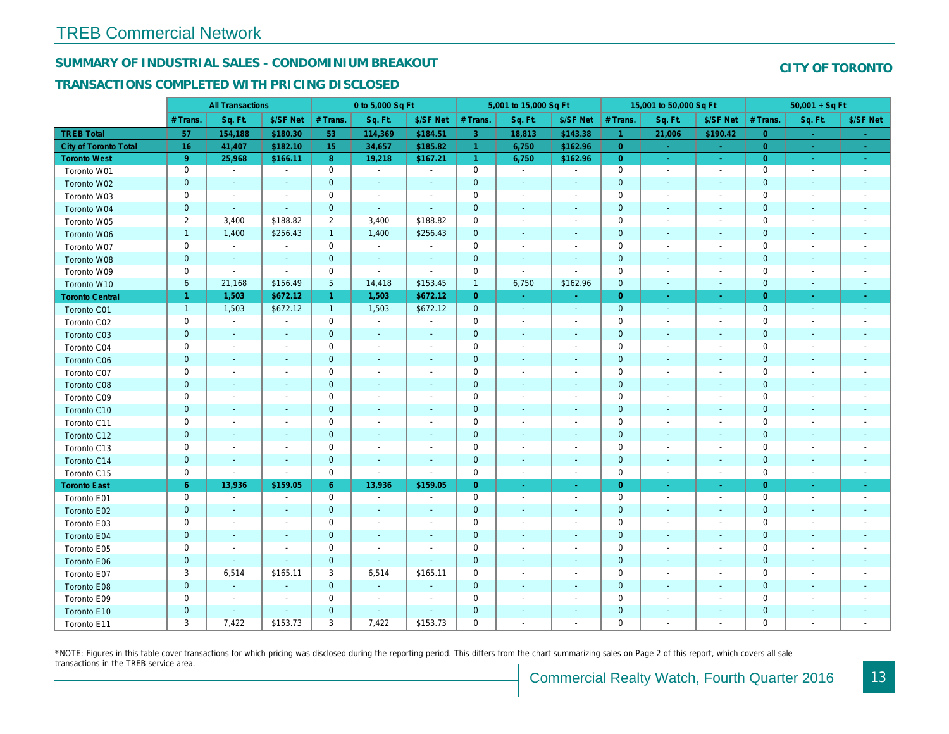## SUMMARY OF INDUSTRIAL SALES - CONDOMINIUM BREAKOUT

#### TRANSACTIONS COMPLETED WITH PRICING DISCLOSED

|                        |                | <b>All Transactions</b>  |                          |                 | 0 to 5,000 Sq Ft         |                          |                      | 5,001 to 15,000 Sq Ft    |                          |                      | 15,001 to 50,000 Sq Ft   |                          |
|------------------------|----------------|--------------------------|--------------------------|-----------------|--------------------------|--------------------------|----------------------|--------------------------|--------------------------|----------------------|--------------------------|--------------------------|
|                        | # Trans.       | Sq. Ft.                  | \$/SF Net                | # Trans.        | Sq. Ft.                  | \$/SF Net                | # Trans.             | Sq. Ft.                  | \$/SF Net                | # Trans.             | Sq. Ft.                  | \$/SF Ne                 |
| <b>TREB Total</b>      | 57             | 154,188                  | \$180.30                 | 53              | 114,369                  | \$184.51                 | 3                    | 18,813                   | \$143.38                 | $\blacktriangleleft$ | 21,006                   | \$190.42                 |
| City of Toronto Total  | 16             | 41,407                   | \$182.10                 | 15              | 34,657                   | \$185.82                 | 4                    | 6,750                    | \$162.96                 | $\overline{0}$       |                          | $\sim$                   |
| <b>Toronto West</b>    | 9 <sup>°</sup> | 25,968                   | \$166.11                 | 8 <sup>°</sup>  | 19,218                   | \$167.21                 | $\blacktriangleleft$ | 6,750                    | \$162.96                 | $\overline{0}$       | $\sim$                   | $\omega_{\rm c}$         |
| Toronto W01            | 0              | $\blacksquare$           | $\blacksquare$           | 0               | $\sim$                   | $\blacksquare$           | $\mathbf 0$          | $\sim$                   | $\blacksquare$           | $\mathbf 0$          | $\blacksquare$           | $\sim$                   |
| Toronto W02            | $\mathbf{0}$   | $\sim$                   | $\sim$                   | $\mathbf{0}$    | $\blacksquare$           | $\blacksquare$           | $\mathbf 0$          | $\blacksquare$           | $\blacksquare$           | $\mathbf{0}$         | $\blacksquare$           | $\blacksquare$           |
| Toronto W03            | 0              | $\blacksquare$           | $\overline{\phantom{a}}$ | $\mathbf 0$     | $\blacksquare$           | $\blacksquare$           | $\mathbf 0$          | $\blacksquare$           | $\blacksquare$           | $\mathbf 0$          | $\blacksquare$           | $\blacksquare$           |
| Toronto W04            | $\mathbf 0$    | $\sim$                   | $\sim$                   | $\mathbf{0}$    | $\blacksquare$           | $\blacksquare$           | $\mathbf 0$          | $\blacksquare$           | $\blacksquare$           | $\mathbf{0}$         | $\blacksquare$           | $\blacksquare$           |
| Toronto W05            | $\overline{2}$ | 3,400                    | \$188.82                 | $\overline{2}$  | 3,400                    | \$188.82                 | $\mathbf 0$          | $\overline{\phantom{a}}$ | $\blacksquare$           | 0                    | $\overline{\phantom{a}}$ | $\blacksquare$           |
| Toronto W06            | $\mathbf{1}$   | 1,400                    | \$256.43                 | $\mathbf{1}$    | 1,400                    | \$256.43                 | $\mathbf 0$          |                          |                          | $\mathbf 0$          |                          |                          |
| Toronto W07            | $\mathbf 0$    | $\blacksquare$           | $\sim$                   | $\mathbf 0$     | $\sim$                   | $\overline{\phantom{a}}$ | $\mathbf 0$          | $\blacksquare$           | $\blacksquare$           | $\mathbf 0$          | $\overline{\phantom{a}}$ | $\blacksquare$           |
| Toronto W08            | $\pmb{0}$      | $\blacksquare$           | $\blacksquare$           | $\mathbf 0$     | $\blacksquare$           | $\blacksquare$           | $\mathbf 0$          | $\blacksquare$           | $\blacksquare$           | $\mathbf 0$          | $\blacksquare$           | $\blacksquare$           |
| Toronto W09            | 0              | $\blacksquare$           | $\blacksquare$           | 0               | $\blacksquare$           | $\blacksquare$           | 0                    | $\blacksquare$           | $\blacksquare$           | 0                    | $\blacksquare$           | $\blacksquare$           |
| Toronto W10            | 6              | 21,168                   | \$156.49                 | $5\phantom{.0}$ | 14,418                   | \$153.45                 | $\mathbf{1}$         | 6,750                    | \$162.96                 | $\mathbf 0$          | $\blacksquare$           | $\sim$                   |
| <b>Toronto Central</b> | $\mathbf{1}$   | 1,503                    | \$672.12                 | $\mathbf{1}$    | 1,503                    | \$672.12                 | $\overline{0}$       | $\omega$                 | $\omega$                 | $\overline{0}$       | $\bullet$                | $\sim$                   |
| Toronto C01            | $\mathbf{1}$   | 1,503                    | \$672.12                 | $\mathbf{1}$    | 1,503                    | \$672.12                 | $\mathbf 0$          | $\omega$                 | $\sim$                   | $\mathbf{0}$         | $\blacksquare$           | $\blacksquare$           |
| Toronto C02            | 0              | $\sim$                   | $\sim$                   | $\mathbf 0$     | $\sim$                   | $\blacksquare$           | $\mathbf 0$          | $\blacksquare$           | $\overline{\phantom{a}}$ | $\mathbf 0$          | ٠                        | $\blacksquare$           |
| Toronto C03            | $\mathbf{0}$   | $\sim$                   | $\sim$                   | $\mathbf{0}$    | $\blacksquare$           | $\blacksquare$           | $\mathbf 0$          | ä,                       | ٠                        | $\mathbf 0$          | $\blacksquare$           | $\blacksquare$           |
| Toronto C04            | 0              | $\overline{\phantom{a}}$ |                          | $\mathbf 0$     | $\blacksquare$           | $\overline{\phantom{a}}$ | $\mathbf 0$          | $\blacksquare$           | $\blacksquare$           | 0                    | $\overline{\phantom{a}}$ | $\blacksquare$           |
| <b>Toronto C06</b>     | $\mathbf 0$    | $\sim$                   | $\sim$                   | $\mathbf 0$     | $\blacksquare$           | $\blacksquare$           | $\mathbf 0$          | $\blacksquare$           | $\blacksquare$           | $\mathbf{0}$         | $\blacksquare$           | $\blacksquare$           |
| Toronto C07            | $\mathbf 0$    | $\sim$                   | $\sim$                   | $\mathbf 0$     | $\sim$                   | $\blacksquare$           | $\mathsf 0$          | $\blacksquare$           | $\sim$                   | $\mathbf 0$          | J.                       | $\blacksquare$           |
| Toronto C08            | $\mathbf 0$    | $\blacksquare$           | $\blacksquare$           | $\mathbf 0$     | ä,                       | $\blacksquare$           | $\mathbf 0$          |                          | $\blacksquare$           | $\mathbf{0}$         | $\blacksquare$           |                          |
| Toronto C09            | 0              |                          |                          | $\mathbf 0$     | $\blacksquare$           | $\blacksquare$           | $\mathbf 0$          |                          | $\overline{a}$           | $\mathbf 0$          |                          |                          |
| Toronto C10            | $\mathbf{0}$   | $\sim$                   |                          | $\overline{0}$  | $\blacksquare$           | $\blacksquare$           | $\mathbf 0$          | $\blacksquare$           | $\sim$                   | $\mathbf{0}$         | $\blacksquare$           | $\blacksquare$           |
| Toronto C11            | $\mathbf 0$    | $\sim$                   |                          | $\mathbf 0$     | $\blacksquare$           | $\blacksquare$           | $\mathsf{O}\xspace$  | $\sim$                   | $\sim$                   | $\mathbf 0$          | $\blacksquare$           | $\blacksquare$           |
| Toronto C12            | $\mathbf{0}$   | $\sim$                   | $\sim$                   | $\mathbf 0$     | ä,                       | $\blacksquare$           | $\mathbf 0$          | $\blacksquare$           | $\blacksquare$           | $\mathbf{0}$         | $\blacksquare$           | ٠                        |
| Toronto C13            | 0              | $\overline{\phantom{a}}$ | $\overline{\phantom{a}}$ | $\mathbf 0$     | $\blacksquare$           | $\blacksquare$           | $\mathbf 0$          | $\overline{\phantom{a}}$ | $\overline{\phantom{a}}$ | 0                    | $\overline{\phantom{a}}$ | $\overline{\phantom{a}}$ |
| Toronto C14            | $\mathbf{0}$   | $\sim$                   | $\sim$                   | $\mathbf 0$     | $\sim$                   | $\blacksquare$           | $\mathbf 0$          | $\sim$                   | $\sim$                   | $\mathbf{0}$         | $\omega$                 | $\sim$                   |
| Toronto C15            | 0              | $\blacksquare$           | $\sim$                   | $\mathbf 0$     | $\blacksquare$           | $\blacksquare$           | $\mathbf 0$          | $\blacksquare$           | $\omega$                 | $\mathbf 0$          | $\overline{\phantom{a}}$ | $\sim$                   |
| <b>Toronto East</b>    | $6^{\circ}$    | 13,936                   | \$159.05                 | $6^{\circ}$     | 13,936                   | \$159.05                 | $\overline{0}$       | $\omega$                 | $\sim$                   | $\overline{0}$       | $\bullet$                | $\sigma_{\rm c}$         |
| Toronto E01            | 0              | $\blacksquare$           | $\sim$                   | $\mathbf 0$     | $\sim$                   | $\overline{\phantom{a}}$ | $\mathbf 0$          | $\sim$                   | $\blacksquare$           | $\mathbf 0$          | $\blacksquare$           | $\sim$                   |
| Toronto E02            | $\pmb{0}$      | $\sim$                   | $\sim$                   | $\mathbf{0}$    | $\sim$                   | $\blacksquare$           | $\mathbf 0$          | $\sim$                   | $\sim$                   | $\mathbf{0}$         | $\sim$                   | $\sim$                   |
| Toronto E03            | 0              | $\blacksquare$           | $\overline{\phantom{a}}$ | $\mathbf 0$     | $\blacksquare$           | $\overline{\phantom{a}}$ | $\pmb{0}$            | $\blacksquare$           | $\blacksquare$           | 0                    | $\blacksquare$           | $\blacksquare$           |
| Toronto E04            | $\mathbf 0$    | $\sim$                   | $\sim$                   | $\mathbf 0$     | $\blacksquare$           | $\blacksquare$           | $\mathbf 0$          | $\blacksquare$           | $\blacksquare$           | $\mathbf{0}$         | $\blacksquare$           | $\blacksquare$           |
| Toronto E05            | 0              | $\blacksquare$           | $\blacksquare$           | $\mathbf 0$     | $\overline{\phantom{a}}$ | $\blacksquare$           | $\mathbf 0$          | $\blacksquare$           | $\blacksquare$           | $\mathbf 0$          | $\blacksquare$           | $\blacksquare$           |
| Toronto E06            | $\mathbf 0$    | $\blacksquare$           | $\sim$                   | $\mathbf 0$     | $\blacksquare$           | $\blacksquare$           | $\mathbf 0$          | ٠                        | ٠                        | $\mathbf{0}$         | $\sim$                   | $\blacksquare$           |
| Toronto E07            | 3              | 6,514                    | \$165.11                 | 3               | 6,514                    | \$165.11                 | $\mathbf 0$          | $\overline{\phantom{a}}$ | $\blacksquare$           | $\mathbf 0$          | $\blacksquare$           | $\blacksquare$           |
| Toronto E08            | $\mathbf{0}$   | $\sim$                   | $\sim$                   | $\mathbf 0$     | $\blacksquare$           | $\blacksquare$           | $\mathbf 0$          |                          | $\sim$                   | $\mathbf{0}$         | $\sim$                   |                          |
| Toronto E09            | 0              | $\blacksquare$           | $\sim$                   | $\mathbf 0$     | $\blacksquare$           | $\blacksquare$           | $\mathbf 0$          | $\sim$                   | $\blacksquare$           | $\mathbf 0$          | $\sim$                   | $\blacksquare$           |
| Toronto E10            | $\mathbf 0$    |                          | $\sim$                   | $\mathbf 0$     | $\blacksquare$           | $\blacksquare$           | $\mathbf 0$          |                          |                          | $\mathbf 0$          |                          |                          |
| Toronto E11            | 3              | 7,422                    | \$153.73                 | 3               | 7,422                    | \$153.73                 | $\mathbf 0$          | $\blacksquare$           | $\blacksquare$           | $\mathbf 0$          | $\blacksquare$           | $\overline{\phantom{a}}$ |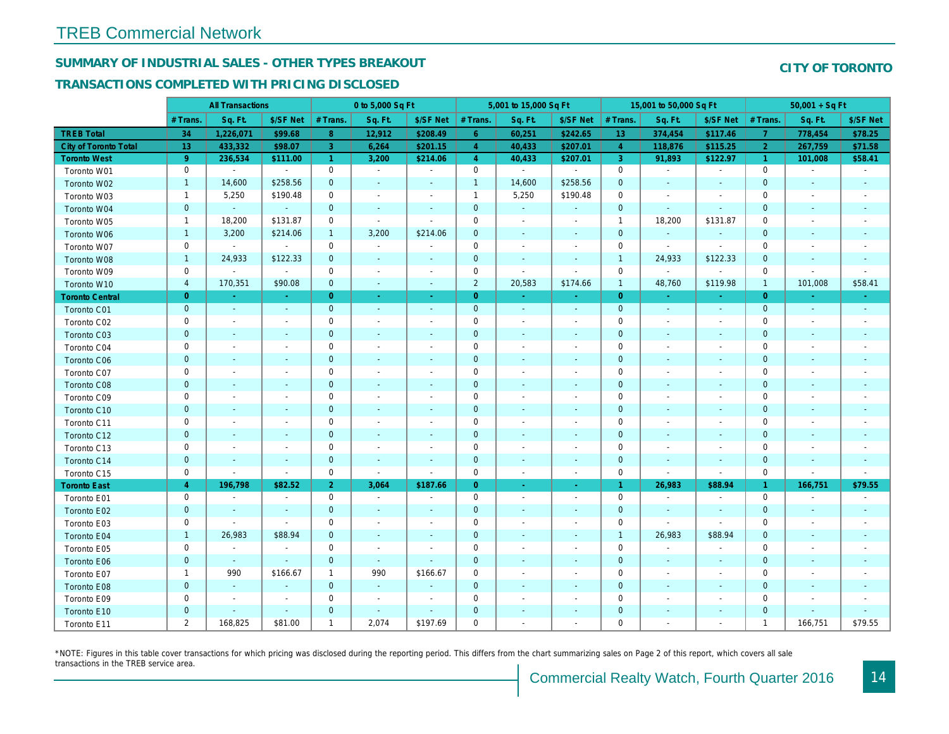## SUMMARY OF INDUSTRIAL SALES - OTHER TYPES BREAKOUT

#### TRANSACTIONS COMPLETED WITH PRICING DISCLOSED

|                              |                | <b>All Transactions</b>  |                          |                      | 0 to 5,000 Sq Ft         |                          |                     | 5,001 to 15,000 Sq Ft    |                          |                | 15,001 to 50,000 Sq Ft   |                          |
|------------------------------|----------------|--------------------------|--------------------------|----------------------|--------------------------|--------------------------|---------------------|--------------------------|--------------------------|----------------|--------------------------|--------------------------|
|                              | # Trans        | Sq. Ft.                  | \$/SF Net                | # Trans.             | Sq. Ft.                  | \$/SF Net                | # Trans.            | Sq. Ft.                  | \$/SF Net                | # Trans.       | Sq. Ft.                  | \$/SF Ne                 |
| <b>TREB Total</b>            | 34             | 1,226,071                | \$99.68                  | 8                    | 12,912                   | \$208.49                 | 6 <sup>°</sup>      | 60,251                   | \$242.65                 | 13             | 374,454                  | \$117.46                 |
| <b>City of Toronto Total</b> | 13             | 433,332                  | \$98.07                  | 3                    | 6,264                    | \$201.15                 | $\overline{4}$      | 40,433                   | \$207.01                 | $\overline{4}$ | 118,876                  | \$115.25                 |
| <b>Toronto West</b>          | 9 <sup>°</sup> | 236,534                  | \$111.00                 | $\blacktriangleleft$ | 3,200                    | \$214.06                 | $\overline{4}$      | 40,433                   | \$207.01                 | $\mathbf{3}$   | 91,893                   | \$122.97                 |
| Toronto W01                  | 0              | $\blacksquare$           | $\sim$                   | $\mathbf 0$          | $\sim$                   | $\blacksquare$           | $\mathsf{O}$        | $\blacksquare$           | $\sim$                   | $\mathbf 0$    | $\blacksquare$           | $\blacksquare$           |
| Toronto W02                  | $\mathbf{1}$   | 14,600                   | \$258.56                 | $\mathbf 0$          | $\sim$                   | $\frac{1}{2}$            | $\mathbf{1}$        | 14,600                   | \$258.56                 | $\mathbf 0$    | $\blacksquare$           | $\blacksquare$           |
| Toronto W03                  | $\mathbf{1}$   | 5,250                    | \$190.48                 | 0                    | $\blacksquare$           | $\sim$                   | $\mathbf{1}$        | 5,250                    | \$190.48                 | $\mathbf 0$    | $\blacksquare$           | $\blacksquare$           |
| Toronto W04                  | $\mathbf 0$    | $\sim$                   | $\sim$                   | $\mathbf 0$          | $\blacksquare$           | $\blacksquare$           | $\mathbf 0$         | $\omega$                 | $\blacksquare$           | $\mathbf 0$    | $\omega$                 | $\blacksquare$           |
| Toronto W05                  | $\mathbf{1}$   | 18,200                   | \$131.87                 | 0                    | $\sim$                   | $\blacksquare$           | $\mathbf 0$         | $\blacksquare$           | $\blacksquare$           | $\mathbf{1}$   | 18,200                   | \$131.87                 |
| Toronto W06                  | $\mathbf{1}$   | 3,200                    | \$214.06                 | $\mathbf{1}$         | 3,200                    | \$214.06                 | $\pmb{0}$           | $\blacksquare$           | $\overline{\phantom{a}}$ | $\mathbf 0$    | $\sim$                   |                          |
| Toronto W07                  | 0              | $\blacksquare$           | $\sim$                   | $\mathbf 0$          | $\sim$                   | $\sim$                   | $\mathsf 0$         | $\blacksquare$           | $\sim$                   | $\mathbf 0$    | $\sim$                   | $\sim$                   |
| Toronto W08                  | $\mathbf{1}$   | 24,933                   | \$122.33                 | $\mathbf 0$          | $\sim$                   | $\blacksquare$           | $\pmb{0}$           | $\blacksquare$           | $\blacksquare$           | $\overline{1}$ | 24,933                   | \$122.33                 |
| Toronto W09                  | 0              | $\blacksquare$           | $\sim$                   | $\mathbf 0$          | $\blacksquare$           | $\overline{\phantom{a}}$ | $\mathbf 0$         | ÷,                       | $\blacksquare$           | $\mathbf 0$    | $\blacksquare$           | $\blacksquare$           |
| Toronto W10                  | 4              | 170,351                  | \$90.08                  | $\mathbf 0$          | $\blacksquare$           | $\blacksquare$           | $\overline{2}$      | 20,583                   | \$174.66                 | $\mathbf{1}$   | 48,760                   | \$119.98                 |
| <b>Toronto Central</b>       | $\overline{0}$ | a.                       | $\sim$                   | $\overline{0}$       | $\omega$                 | $\sim$                   | $\overline{0}$      | ÷.                       | ÷.                       | $\overline{0}$ | $\sim$                   | $\sim$                   |
| Toronto C01                  | $\mathbf 0$    | $\sim$                   | $\sim$                   | $\mathbf 0$          | $\sim$                   | $\sim$                   | $\mathbf{0}$        | $\sim$                   | $\sim$                   | $\mathbf 0$    | $\omega$                 | $\sim$                   |
| Toronto C02                  | 0              | $\overline{\phantom{a}}$ | $\overline{a}$           | $\mathbf 0$          | $\sim$                   | $\blacksquare$           | $\mathbf 0$         | $\overline{a}$           | $\blacksquare$           | $\mathbf 0$    | $\blacksquare$           | $\blacksquare$           |
| Toronto C03                  | $\mathbf 0$    | $\overline{\phantom{a}}$ | $\overline{\phantom{a}}$ | $\mathbf 0$          | $\blacksquare$           | ٠                        | $\mathbf 0$         | $\blacksquare$           | $\blacksquare$           | $\mathbf 0$    | $\blacksquare$           | ٠                        |
| Toronto C04                  | 0              | $\overline{\phantom{a}}$ |                          | $\mathbf 0$          | $\sim$                   | $\blacksquare$           | $\mathbf 0$         | $\overline{a}$           | $\blacksquare$           | $\mathbf 0$    | $\blacksquare$           | $\blacksquare$           |
| Toronto C06                  | $\mathbf 0$    | $\sim$                   | $\blacksquare$           | $\mathbf 0$          | $\blacksquare$           | $\blacksquare$           | $\mathbf 0$         | $\blacksquare$           | $\blacksquare$           | $\mathbf 0$    | $\blacksquare$           | $\blacksquare$           |
| Toronto C07                  | 0              | $\overline{\phantom{a}}$ | $\overline{\phantom{a}}$ | $\mathbf 0$          | $\blacksquare$           | $\frac{1}{2}$            | $\mathbf 0$         | $\overline{a}$           | $\overline{a}$           | $\mathbf 0$    | ÷,                       | $\blacksquare$           |
| Toronto C08                  | $\mathbf{0}$   | $\blacksquare$           |                          | $\mathbf{0}$         | $\blacksquare$           | $\blacksquare$           | $\mathbf{0}$        | ä,                       | $\overline{\phantom{a}}$ | $\mathbf{0}$   | $\blacksquare$           | ٠                        |
| Toronto C09                  | 0              | $\sim$                   | $\overline{\phantom{a}}$ | $\mathsf 0$          | $\sim$                   | $\blacksquare$           | $\mathbf 0$         | $\blacksquare$           | $\blacksquare$           | $\mathbf 0$    | ÷,                       |                          |
| Toronto C10                  | $\mathbf 0$    | $\sim$                   | $\sim$                   | $\mathbf 0$          | $\blacksquare$           | $\blacksquare$           | $\mathbf 0$         | $\blacksquare$           | $\blacksquare$           | $\mathbf 0$    | $\blacksquare$           | $\blacksquare$           |
| Toronto C11                  | 0              | $\overline{\phantom{a}}$ | $\overline{\phantom{a}}$ | $\mathbf 0$          | $\blacksquare$           | $\overline{\phantom{a}}$ | $\mathbf 0$         | $\overline{a}$           | $\overline{a}$           | $\mathbf 0$    | $\overline{\phantom{a}}$ | $\blacksquare$           |
| Toronto C12                  | $\mathbf 0$    | $\sim$                   | $\sim$                   | $\mathbf{0}$         | $\blacksquare$           | $\blacksquare$           | $\mathbf 0$         | $\blacksquare$           | $\blacksquare$           | $\mathbf 0$    | $\sim$                   | ٠                        |
| Toronto C13                  | 0              | $\overline{\phantom{a}}$ | $\overline{\phantom{a}}$ | $\mathbf 0$          | $\sim$                   | $\blacksquare$           | $\mathbf 0$         | $\blacksquare$           | $\blacksquare$           | $\mathbf 0$    | $\sim$                   | $\blacksquare$           |
| Toronto C14                  | $\mathbf 0$    | $\sim$                   | $\sim$                   | $\mathbf 0$          | $\sim$                   | $\sim$                   | $\mathbf 0$         | $\blacksquare$           | $\sim$                   | $\mathbf 0$    | $\sim$                   | $\sim$                   |
| Toronto C15                  | 0              | $\blacksquare$           | $\blacksquare$           | $\mathsf 0$          | $\blacksquare$           | $\blacksquare$           | $\mathsf{O}\xspace$ | $\blacksquare$           | $\blacksquare$           | $\mathbf 0$    | $\blacksquare$           | $\sim$                   |
| <b>Toronto East</b>          | $\overline{4}$ | 196,798                  | \$82.52                  | 2 <sup>1</sup>       | 3,064                    | \$187.66                 | $\overline{0}$      | $\sim$                   | $\omega_{\rm c}$         | $\overline{1}$ | 26,983                   | \$88.94                  |
| Toronto E01                  | 0              | $\blacksquare$           | $\blacksquare$           | $\mathbf 0$          | $\sim$                   | $\overline{\phantom{a}}$ | 0                   | $\sim$                   | $\blacksquare$           | $\mathbf 0$    | $\blacksquare$           | $\sim$                   |
| Toronto E02                  | $\mathbf 0$    | $\sim$                   | $\sim$                   | $\mathbf 0$          | $\sim$                   | $\sim$                   | $\mathbf 0$         | $\blacksquare$           | $\blacksquare$           | $\mathbf{0}$   | $\sim$                   | $\sim$                   |
| Toronto E03                  | 0              | $\sim$                   | $\blacksquare$           | 0                    | $\overline{\phantom{a}}$ | $\overline{\phantom{a}}$ | $\mathbf 0$         | $\blacksquare$           | $\blacksquare$           | 0              | $\blacksquare$           | $\overline{\phantom{a}}$ |
| Toronto E04                  | $\mathbf{1}$   | 26,983                   | \$88.94                  | $\mathbf{0}$         | $\sim$                   | $\blacksquare$           | $\mathbf 0$         | $\blacksquare$           | $\omega$                 | $\overline{1}$ | 26,983                   | \$88.94                  |
| Toronto E05                  | 0              | $\blacksquare$           | $\blacksquare$           | $\mathbf 0$          | $\blacksquare$           | $\blacksquare$           | $\mathbf 0$         | $\blacksquare$           | $\blacksquare$           | $\mathbf 0$    | $\blacksquare$           | $\blacksquare$           |
| Toronto E06                  | $\mathbf 0$    | $\blacksquare$           | $\blacksquare$           | $\mathbf 0$          | $\sim$                   | $\blacksquare$           | $\mathbf 0$         | $\overline{\phantom{a}}$ | ä,                       | $\mathbf 0$    | $\blacksquare$           | $\blacksquare$           |
| Toronto E07                  | $\mathbf{1}$   | 990                      | \$166.67                 | 1                    | 990                      | \$166.67                 | $\mathbf 0$         | $\overline{\phantom{a}}$ | $\blacksquare$           | 0              | $\blacksquare$           | $\blacksquare$           |
| Toronto E08                  | $\mathbf 0$    | $\omega$                 | $\sim$                   | $\mathbf 0$          | $\blacksquare$           | ä,                       | $\mathbf 0$         | ä,                       | $\blacksquare$           | $\mathbf 0$    | $\sim$                   |                          |
| Toronto E09                  | 0              | $\blacksquare$           | $\sim$                   | $\mathbf 0$          | $\blacksquare$           | $\blacksquare$           | $\mathbf 0$         | $\blacksquare$           | $\blacksquare$           | $\mathbf 0$    | $\blacksquare$           | $\blacksquare$           |
| Toronto E10                  | $\mathbf 0$    | $\sim$                   | $\sim$                   | $\mathbf 0$          | $\sim$                   | $\blacksquare$           | $\mathbf 0$         | ٠                        |                          | $\mathbf 0$    | $\blacksquare$           |                          |
| Toronto E11                  | $\mathbf{2}$   | 168,825                  | \$81.00                  | $\mathbf{1}$         | 2,074                    | \$197.69                 | $\mathbf 0$         | $\blacksquare$           | $\blacksquare$           | $\mathbf 0$    | $\blacksquare$           | $\blacksquare$           |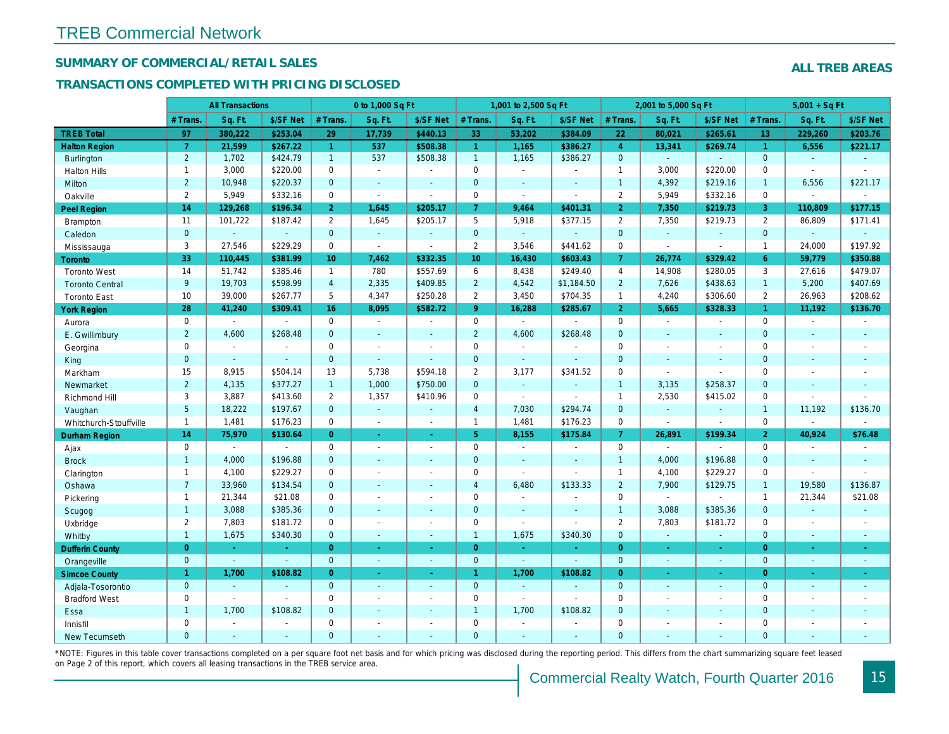## SUMMARY OF COMMERCIAL/RETAIL SALES

#### TRANSACTIONS COMPLETED WITH PRICING DISCLOSED

|                        |                 | <b>All Transactions</b> |                |                 | 0 to 1,000 Sq Ft |                          |                | 1,001 to 2,500 Sq Ft     |                |                | 2,001 to 5,000 Sq Ft |                  |
|------------------------|-----------------|-------------------------|----------------|-----------------|------------------|--------------------------|----------------|--------------------------|----------------|----------------|----------------------|------------------|
|                        | # Trans         | Sq. Ft.                 | \$/SF Net      | # Trans.        | Sq. Ft.          | \$/SF Net                | # Trans.       | Sq. Ft.                  | \$/SF Net      | # Trans.       | Sq. Ft.              | \$/SF Ne         |
| <b>TREB Total</b>      | 97              | 380.222                 | \$253.04       | 29              | 17,739           | \$440.13                 | 33             | 53,202                   | \$384.09       | 22             | 80,021               | \$265.6'         |
| <b>Halton Region</b>   | $\overline{7}$  | 21,599                  | \$267.22       | $\mathbf{1}$    | 537              | \$508.38                 | $\mathbf{1}$   | 1,165                    | \$386.27       | $\overline{4}$ | 13,341               | \$269.74         |
| Burlington             | $\overline{2}$  | 1,702                   | \$424.79       | 1               | 537              | \$508.38                 | 1              | 1,165                    | \$386.27       | $\mathbf{0}$   | $\omega$             |                  |
| <b>Halton Hills</b>    | $\mathbf{1}$    | 3,000                   | \$220.00       | $\Omega$        | $\sim$           |                          | $\mathbf 0$    | $\blacksquare$           | $\overline{a}$ | $\overline{1}$ | 3,000                | \$220.00         |
| Milton                 | $\overline{2}$  | 10,948                  | \$220.37       | $\mathbf{0}$    | $\omega$         | $\blacksquare$           | $\mathbf 0$    | $\blacksquare$           | $\blacksquare$ | $\overline{1}$ | 4,392                | \$219.16         |
| Oakville               | $\overline{2}$  | 5,949                   | \$332.16       | $\mathbf{0}$    | $\mathbf{r}$     | $\sim$                   | 0              | $\overline{\phantom{a}}$ | $\sim$         | $\overline{2}$ | 5,949                | \$332.16         |
| Peel Region            | 14              | 129,268                 | \$196.34       | 2 <sup>1</sup>  | 1,645            | \$205.17                 | $\mathbf{7}$   | 9,464                    | \$401.31       | $\overline{2}$ | 7,350                | \$219.73         |
| <b>Brampton</b>        | 11              | 101,722                 | \$187.42       | $\mathbf{2}$    | 1,645            | \$205.17                 | 5              | 5,918                    | \$377.15       | 2              | 7,350                | \$219.73         |
| Caledon                | $\mathbf{0}$    | $\omega$                | $\blacksquare$ | $\mathbf{0}$    | $\omega$         | $\sim$                   | $\mathbf{0}$   | $\omega_{\rm c}$         | $\blacksquare$ | $\mathbf{0}$   | $\omega$             | $\blacksquare$   |
| Mississauga            | 3               | 27,546                  | \$229.29       | $\Omega$        | $\mathbf{r}$     | $\sim$                   | $\overline{2}$ | 3,546                    | \$441.62       | $\mathbf 0$    | $\blacksquare$       | $\blacksquare$   |
| <b>Toronto</b>         | 33              | 110,445                 | \$381.99       | 10 <sup>°</sup> | 7,462            | \$332.35                 | 10             | 16,430                   | \$603.43       | $\overline{7}$ | 26,774               | \$329.42         |
| <b>Toronto West</b>    | 14              | 51,742                  | \$385.46       | $\mathbf{1}$    | 780              | \$557.69                 | 6              | 8,438                    | \$249.40       | $\overline{4}$ | 14,908               | \$280.05         |
| <b>Toronto Central</b> | 9               | 19,703                  | \$598.99       | $\overline{4}$  | 2,335            | \$409.85                 | $\overline{2}$ | 4,542                    | \$1,184.50     | 2              | 7,626                | \$438.63         |
| <b>Toronto East</b>    | 10              | 39,000                  | \$267.77       | 5               | 4,347            | \$250.28                 | $\overline{2}$ | 3,450                    | \$704.35       | $\mathbf{1}$   | 4,240                | \$306.60         |
| <b>York Region</b>     | 28              | 41,240                  | \$309.41       | 16              | 8,095            | \$582.72                 | 9 <sup>°</sup> | 16,288                   | \$285.67       | $\overline{2}$ | 5,665                | \$328.33         |
| Aurora                 | $\mathbf 0$     | $\sim$                  | $\omega$       | $\mathbf 0$     | $\sim$           | $\sim$                   | $\mathbf 0$    | $\blacksquare$           | $\sim$         | $\mathbf 0$    | $\blacksquare$       | $\sim$           |
| E. Gwillimbury         | $\overline{2}$  | 4,600                   | \$268.48       | $\mathbf{0}$    | ÷.               | $\overline{\phantom{a}}$ | $\overline{2}$ | 4,600                    | \$268.48       | $\mathbf{0}$   | $\blacksquare$       | $\blacksquare$   |
| Georgina               | $\mathbf 0$     | $\blacksquare$          | $\blacksquare$ | $\mathbf 0$     | $\sim$           | $\sim$                   | $\pmb{0}$      | $\bullet$                | $\sim$         | $\mathbf 0$    | $\sim$               | $\sim$           |
| King                   | $\overline{0}$  | $\blacksquare$          | $\blacksquare$ | $\mathbf{0}$    | $\sim$           | $\sim$                   | $\mathbf 0$    | $\blacksquare$           | $\blacksquare$ | $\mathbf{0}$   | $\blacksquare$       | $\sim$           |
| Markham                | 15              | 8,915                   | \$504.14       | 13              | 5,738            | \$594.18                 | $\overline{2}$ | 3,177                    | \$341.52       | $\mathbf 0$    | $\blacksquare$       | $\blacksquare$   |
| Newmarket              | $\overline{2}$  | 4,135                   | \$377.27       | $\mathbf{1}$    | 1,000            | \$750.00                 | $\overline{0}$ | $\omega$                 | $\sim$         | $\overline{1}$ | 3,135                | \$258.37         |
| Richmond Hill          | 3               | 3,887                   | \$413.60       | $\overline{2}$  | 1,357            | \$410.96                 | $\mathbf 0$    | $\blacksquare$           | $\sim$         | $\mathbf{1}$   | 2,530                | \$415.02         |
| Vaughan                | $5\overline{)}$ | 18,222                  | \$197.67       | $\mathbf{0}$    | $\omega$         | $\blacksquare$           | $\overline{4}$ | 7,030                    | \$294.74       | $\mathbf{0}$   | $\omega$             | $\blacksquare$   |
| Whitchurch-Stouffville | $\mathbf{1}$    | 1,481                   | \$176.23       | $\mathbf 0$     | $\mathbf{r}$     | $\sim$                   | $\mathbf{1}$   | 1,481                    | \$176.23       | $\mathbf 0$    | $\sim$               | $\sim$           |
| <b>Durham Region</b>   | 14              | 75,970                  | \$130.64       | $\overline{0}$  | $\bullet$        | $\omega$                 | 5 <sup>5</sup> | 8,155                    | \$175.84       | $\overline{7}$ | 26,891               | \$199.34         |
| Ajax                   | $\mathbf 0$     | $\sim$                  | $\blacksquare$ | $\mathbf 0$     | $\sim$           | $\blacksquare$           | $\pmb{0}$      | $\sim$                   | $\blacksquare$ | $\mathbf 0$    | $\sim$               | $\sim$           |
| <b>Brock</b>           | $\mathbf{1}$    | 4,000                   | \$196.88       | $\Omega$        | $\Delta$         | $\sim$                   | $\mathbf 0$    | $\blacksquare$           | $\sim$         | $\overline{1}$ | 4,000                | \$196.88         |
| Clarington             | $\mathbf{1}$    | 4,100                   | \$229.27       | $\mathbf 0$     | $\blacksquare$   | $\blacksquare$           | $\pmb{0}$      | $\overline{a}$           | $\sim$         | $\mathbf{1}$   | 4,100                | \$229.27         |
| Oshawa                 | $\overline{7}$  | 33,960                  | \$134.54       | $\overline{0}$  | $\mathbf{r}$     | $\blacksquare$           | $\overline{4}$ | 6,480                    | \$133.33       | $\overline{2}$ | 7,900                | \$129.75         |
| Pickering              | $\mathbf{1}$    | 21,344                  | \$21.08        | $\Omega$        | ÷.               |                          | $\pmb{0}$      | $\blacksquare$           | $\blacksquare$ | $\mathbf 0$    | $\sim$               | $\sim$           |
| Scugog                 | $\mathbf{1}$    | 3,088                   | \$385.36       | $\mathbf{0}$    | $\Delta$         | $\sim$                   | $\mathbf 0$    | $\omega$                 | $\blacksquare$ | $\overline{1}$ | 3,088                | \$385.36         |
| Uxbridge               | $\overline{2}$  | 7,803                   | \$181.72       | $\mathbf 0$     | $\blacksquare$   | $\ddot{\phantom{1}}$     | $\mathbf 0$    | $\overline{a}$           | $\blacksquare$ | $\overline{2}$ | 7,803                | \$181.72         |
| Whitby                 | $\mathbf{1}$    | 1,675                   | \$340.30       | $\mathbf{0}$    | $\sim$           | $\sim$                   | $\mathbf{1}$   | 1,675                    | \$340.30       | $\mathbf{0}$   | $\omega$             | $\sim$           |
| <b>Dufferin County</b> | $\overline{0}$  | ÷.                      | $\sim$         | $\overline{0}$  | i.               | $\sim$                   | $\overline{0}$ | $\omega$                 | $\blacksquare$ | $\overline{0}$ | ÷.                   | $\sim$           |
| Orangeville            | $\mathbf{0}$    | $\omega$                | $\omega$       | $\mathbf{0}$    | $\omega$         | $\omega$                 | $\mathbf{0}$   | $\omega$                 | $\omega$       | $\mathbf{0}$   | $\omega$             | $\omega_{\rm c}$ |
| <b>Simcoe County</b>   | $\mathbf{1}$    | 1,700                   | \$108.82       | $\Omega$        | $\omega$         | $\omega$                 | $\mathbf{1}$   | 1,700                    | \$108.82       | $\overline{0}$ | $\blacksquare$       | $\sim$           |
| Adjala-Tosorontio      | $\mathbf{0}$    | $\Delta$                | $\sim$         | $\mathbf{0}$    | $\sim$           | $\sim$                   | $\mathbf{0}$   | $\mathbf{r}$             | ÷.             | $\mathbf{0}$   | $\blacksquare$       | $\sim$           |
| <b>Bradford West</b>   | $\mathbf 0$     | $\blacksquare$          | $\omega$       | $\mathbf 0$     | $\sim$           | $\sim$                   | $\pmb{0}$      | $\omega$                 | $\sim$         | $\mathbf 0$    | $\blacksquare$       | $\blacksquare$   |
| Essa                   | $\mathbf{1}$    | 1,700                   | \$108.82       | $\overline{0}$  |                  |                          | $\mathbf{1}$   | 1,700                    | \$108.82       | $\mathbf{0}$   | $\blacksquare$       |                  |
| Innisfil               | $\mathbf 0$     | $\blacksquare$          | $\blacksquare$ | $\Omega$        | $\sim$           | $\blacksquare$           | $\pmb{0}$      | $\blacksquare$           | $\sim$         | $\mathbf 0$    | $\blacksquare$       | $\blacksquare$   |
| <b>New Tecumseth</b>   | $\Omega$        |                         |                | $\Omega$        |                  |                          | $\Omega$       |                          |                | $\Omega$       |                      |                  |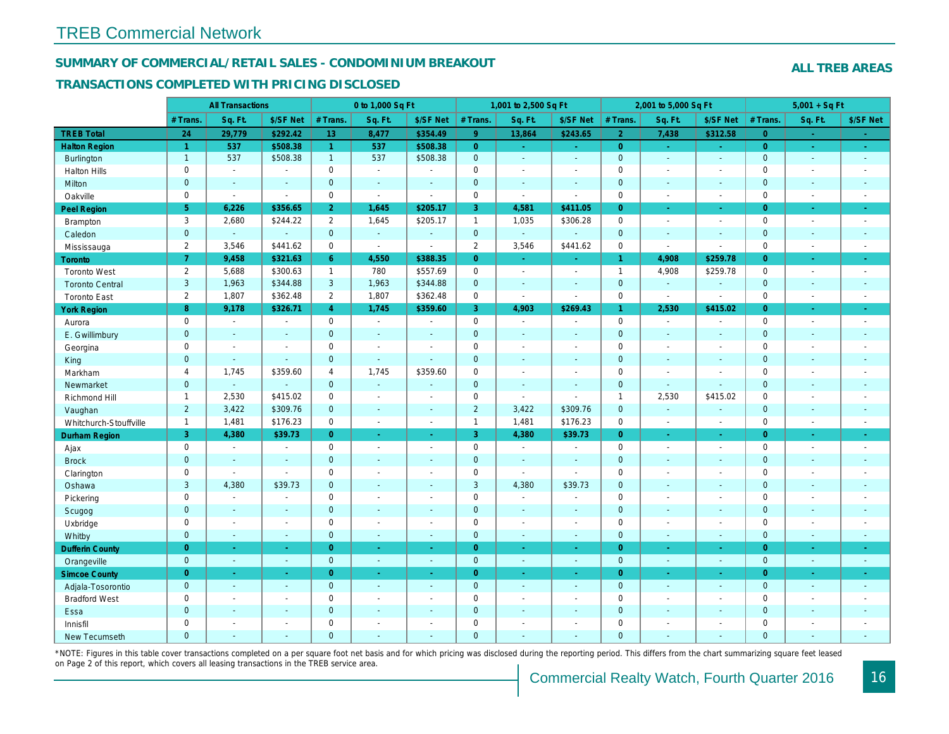#### SUMMARY OF COMMERCIAL/RETAIL SALES - CONDOMINIUM BREAKOUT

#### TRANSACTIONS COMPLETED WITH PRICING DISCLOSED

|                        |                | <b>All Transactions</b> |                |                | 0 to 1,000 Sq Ft |                          |                | 1,001 to 2,500 Sq Ft     |                          |                | 2,001 to 5,000 Sq Ft |                          |
|------------------------|----------------|-------------------------|----------------|----------------|------------------|--------------------------|----------------|--------------------------|--------------------------|----------------|----------------------|--------------------------|
|                        | # Trans.       | Sq. Ft.                 | \$/SF Net      | # Trans.       | Sq. Ft.          | \$/SF Net                | # Trans.       | Sq. Ft.                  | \$/SF Net                | # Trans.       | Sq. Ft.              | \$/SF Ne                 |
| <b>TREB Total</b>      | 24             | 29,779                  | \$292.42       | 13             | 8,477            | \$354.49                 | 9 <sup>°</sup> | 13,864                   | \$243.65                 | $\overline{2}$ | 7,438                | \$312.58                 |
| <b>Halton Region</b>   | $\overline{1}$ | 537                     | \$508.38       | $\mathbf{1}$   | 537              | \$508.38                 | $\overline{0}$ | $\sim$                   | $\sim$ .                 | $\overline{0}$ | $\sim$               | $\omega_{\rm c}$         |
| Burlington             | $\mathbf{1}$   | 537                     | \$508.38       | $\mathbf{1}$   | 537              | \$508.38                 | $\mathbf{0}$   | $\omega$                 | $\omega$                 | $\mathbf 0$    | $\omega$             | $\omega$                 |
| <b>Halton Hills</b>    | $\mathbf 0$    | $\sim$                  | $\sim$         | $\Omega$       | $\sim$           |                          | $\mathbf 0$    | $\blacksquare$           | $\blacksquare$           | $\mathbf 0$    | ÷,                   | $\sim$                   |
| Milton                 | $\mathbf{0}$   | $\blacksquare$          | $\blacksquare$ | $\mathbf{0}$   | $\blacksquare$   | $\blacksquare$           | $\mathbf 0$    | $\blacksquare$           | $\blacksquare$           | $\mathbf 0$    | $\blacksquare$       | $\blacksquare$           |
| Oakville               | $\mathbf 0$    | $\blacksquare$          | $\blacksquare$ | $\mathbf 0$    | $\blacksquare$   | $\sim$                   | 0              | $\tilde{\phantom{a}}$    | $\sim$                   | $\mathbf 0$    | $\blacksquare$       | $\sim$                   |
| <b>Peel Region</b>     | 5 <sup>5</sup> | 6,226                   | \$356.65       | $\overline{2}$ | 1,645            | \$205.17                 | 3              | 4,581                    | \$411.05                 | $\overline{0}$ | $\omega$             | $\bullet$                |
| Brampton               | 3              | 2,680                   | \$244.22       | $\overline{2}$ | 1,645            | \$205.17                 | $\mathbf{1}$   | 1,035                    | \$306.28                 | $\mathbf 0$    | $\blacksquare$       | $\sim$                   |
| Caledon                | $\mathbf{0}$   | $\omega$                | $\blacksquare$ | $\mathbf{0}$   | $\omega$         | $\sim$                   | $\mathbf{0}$   | $\omega_{\rm c}$         | $\omega$                 | $\mathbf 0$    | $\omega$             | $\sim$                   |
| Mississauga            | $\overline{2}$ | 3,546                   | \$441.62       | $\Omega$       | $\blacksquare$   | $\overline{\phantom{a}}$ | $\overline{2}$ | 3,546                    | \$441.62                 | $\mathbf 0$    | $\sim$               | $\blacksquare$           |
| Toronto                | $\overline{7}$ | 9,458                   | \$321.63       | 6              | 4,550            | \$388.35                 | $\overline{0}$ | $\omega$                 | $\blacksquare$           | $\mathbf{1}$   | 4,908                | \$259.7                  |
| <b>Toronto West</b>    | $\overline{2}$ | 5,688                   | \$300.63       | $\mathbf{1}$   | 780              | \$557.69                 | 0              | $\omega$                 | $\blacksquare$           | $\mathbf{1}$   | 4,908                | \$259.78                 |
| <b>Toronto Central</b> | 3              | 1,963                   | \$344.88       | 3              | 1,963            | \$344.88                 | $\mathbf 0$    | $\omega$                 | $\blacksquare$           | $\mathbf 0$    | $\omega$             | $\sim$                   |
| <b>Toronto East</b>    | $\overline{2}$ | 1,807                   | \$362.48       | $\overline{2}$ | 1,807            | \$362.48                 | 0              | $\blacksquare$           | $\sim$                   | $\mathbf 0$    | $\blacksquare$       | $\blacksquare$           |
| <b>York Region</b>     | 8              | 9,178                   | \$326.71       | $\overline{4}$ | 1,745            | \$359.60                 | 3              | 4,903                    | \$269.43                 | 1.             | 2,530                | \$415.02                 |
| Aurora                 | $\mathbf 0$    | $\sim$                  | $\blacksquare$ | $\Omega$       | $\sim$           | $\blacksquare$           | 0              | $\sim$                   | $\sim$                   | $\mathbf 0$    | $\blacksquare$       | $\sim$                   |
| E. Gwillimbury         | $\mathbf{0}$   | $\blacksquare$          | $\blacksquare$ | $\mathbf 0$    | $\sim$           |                          | $\pmb{0}$      | $\blacksquare$           | $\blacksquare$           | $\mathbf 0$    | $\blacksquare$       | $\blacksquare$           |
| Georgina               | $\mathbf 0$    | $\blacksquare$          | $\blacksquare$ | $\mathbf 0$    | $\blacksquare$   | $\sim$                   | $\mathbf 0$    | $\blacksquare$           | $\blacksquare$           | $\mathbf 0$    | $\blacksquare$       | $\blacksquare$           |
| King                   | $\overline{0}$ | $\sim$                  | $\sim$         | $\mathbf{0}$   | $\sim$           | $\sim$                   | $\mathbf 0$    | $\omega$                 | $\blacksquare$           | $\mathbf{0}$   | $\blacksquare$       | $\sim$                   |
| Markham                | $\overline{4}$ | 1,745                   | \$359.60       | $\overline{4}$ | 1,745            | \$359.60                 | $\pmb{0}$      | $\overline{\phantom{a}}$ | $\overline{\phantom{a}}$ | $\mathbf 0$    | $\blacksquare$       | $\blacksquare$           |
| Newmarket              | $\mathbf{0}$   | $\omega$                | $\blacksquare$ | $\mathbf{0}$   | $\omega$         | $\sim$                   | $\mathbf 0$    | $\blacksquare$           | $\blacksquare$           | $\mathbf{0}$   | $\blacksquare$       | $\blacksquare$           |
| Richmond Hill          | $\mathbf{1}$   | 2,530                   | \$415.02       | $\mathbf 0$    | $\sim$           | $\overline{a}$           | $\mathbf 0$    | $\overline{a}$           | $\sim$                   | $\mathbf{1}$   | 2,530                | \$415.02                 |
| Vaughan                | $\overline{2}$ | 3,422                   | \$309.76       | $\mathbf{0}$   | $\sim$           | $\sim$                   | $\overline{2}$ | 3,422                    | \$309.76                 | $\mathbf{0}$   | $\omega$             | $\sim$                   |
| Whitchurch-Stouffville | $\mathbf{1}$   | 1,481                   | \$176.23       | $\mathbf 0$    | $\sim$           | $\sim$                   | $\mathbf{1}$   | 1,481                    | \$176.23                 | $\mathbf 0$    | $\overline{a}$       | $\blacksquare$           |
| <b>Durham Region</b>   | 3              | 4,380                   | \$39.73        | $\overline{0}$ | $\omega$         | $\omega$                 | 3 <sup>1</sup> | 4,380                    | \$39.73                  | $\overline{0}$ | $\omega$             | $\omega$                 |
| Ajax                   | $\mathsf 0$    | $\blacksquare$          | $\blacksquare$ | $\mathsf 0$    | $\sim$           | $\blacksquare$           | $\pmb{0}$      | $\blacksquare$           | $\sim$                   | $\mathbf 0$    | $\blacksquare$       | $\sim$                   |
| <b>Brock</b>           | $\mathbf{0}$   | $\sim$                  | $\blacksquare$ | $\mathbf{0}$   | $\Delta$         | $\sim$                   | $\mathbf 0$    | $\blacksquare$           | $\blacksquare$           | $\mathbf 0$    | $\blacksquare$       | $\sim$                   |
| Clarington             | $\mathbf 0$    | $\blacksquare$          | $\blacksquare$ | $\mathbf 0$    | $\sim$           |                          | $\pmb{0}$      | $\blacksquare$           | $\sim$                   | $\mathbf 0$    | L.                   | $\blacksquare$           |
| Oshawa                 | 3              | 4,380                   | \$39.73        | $\mathbf{0}$   | $\blacksquare$   | $\blacksquare$           | $\mathbf{3}$   | 4,380                    | \$39.73                  | $\mathbf{0}$   | $\blacksquare$       | $\blacksquare$           |
| Pickering              | $\mathbf 0$    | $\blacksquare$          | $\blacksquare$ | $\mathbf 0$    | $\sim$           | $\sim$                   | $\pmb{0}$      | $\blacksquare$           | $\blacksquare$           | $\mathbf 0$    | L.                   | $\blacksquare$           |
| Scugog                 | $\mathbf{0}$   | $\blacksquare$          | $\blacksquare$ | $\mathbf{0}$   | $\sim$           | $\sim$                   | $\mathbf 0$    | $\blacksquare$           | $\blacksquare$           | $\mathbf 0$    | $\blacksquare$       | $\blacksquare$           |
| Uxbridge               | $\mathbf 0$    | $\blacksquare$          | $\blacksquare$ | $\mathbf 0$    | $\overline{a}$   | $\sim$                   | $\pmb{0}$      | $\blacksquare$           | $\blacksquare$           | $\mathbf 0$    | ÷,                   | $\overline{\phantom{a}}$ |
| Whitby                 | $\mathbf{0}$   | $\sim$                  | $\sim$         | $\mathbf{0}$   | $\sim$           | $\blacksquare$           | $\mathbf 0$    | $\blacksquare$           | $\blacksquare$           | $\mathbf{0}$   | $\blacksquare$       | $\sim$                   |
| <b>Dufferin County</b> | $\overline{0}$ | ÷.                      | $\sim$         | $\overline{0}$ | a.               | $\sim$                   | $\overline{0}$ | $\blacksquare$           | $\blacksquare$           | $\overline{0}$ | ×.                   | $\sim$                   |
| Orangeville            | $\mathbf{0}$   | $\omega$                | $\blacksquare$ | $\mathbf 0$    | $\omega$         | ◆                        | $\mathbf{0}$   | $\omega$                 | $\omega$                 | $\mathbf 0$    | $\omega$             | $\sim$                   |
| <b>Simcoe County</b>   | $\overline{0}$ | $\sim$                  | $\omega$       | $\overline{0}$ | $\omega$         | $\omega$                 | $\overline{0}$ | Ξ                        | $\omega$                 | $\overline{0}$ | $\blacksquare$       | $\sigma_{\rm c}$         |
| Adjala-Tosorontio      | $\mathbf{0}$   | $\sim$                  | $\sim$         | $\mathbf 0$    | $\sim$           | $\sim$                   | $\mathbf 0$    | $\omega$                 | $\blacksquare$           | $\mathbf 0$    | $\omega$             | $\sim$                   |
| <b>Bradford West</b>   | $\mathbf 0$    | $\sim$                  | $\blacksquare$ | $\mathbf 0$    | $\sim$           | $\sim$                   | $\pmb{0}$      | $\blacksquare$           | $\blacksquare$           | $\mathbf 0$    | $\blacksquare$       | $\blacksquare$           |
| Essa                   | $\mathbf{0}$   | $\sim$                  | $\blacksquare$ | $\mathbf{0}$   |                  | $\sim$                   | $\pmb{0}$      | $\blacksquare$           | $\blacksquare$           | $\mathbf 0$    | $\blacksquare$       |                          |
| Innisfil               | $\mathbf 0$    | $\blacksquare$          | $\blacksquare$ | $\mathbf 0$    | $\blacksquare$   | $\blacksquare$           | $\pmb{0}$      | $\blacksquare$           | $\blacksquare$           | $\mathbf 0$    | $\blacksquare$       | $\blacksquare$           |
| <b>New Tecumseth</b>   | $\Omega$       |                         |                | $\Omega$       |                  |                          | $\Omega$       |                          |                          | $\Omega$       |                      |                          |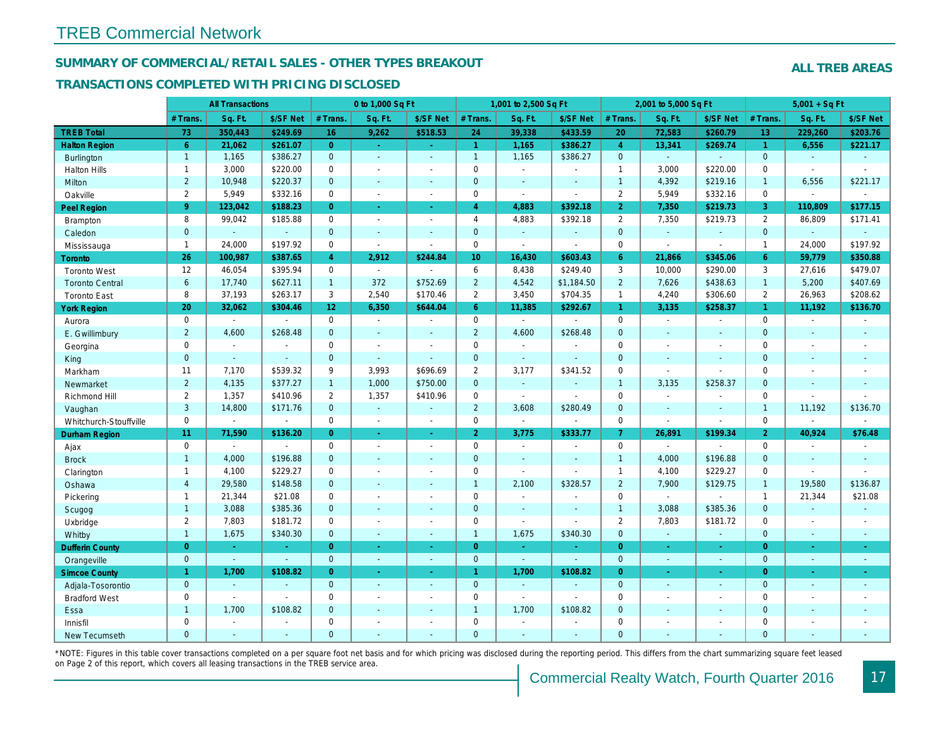#### SUMMARY OF COMMERCIAL/RETAIL SALES - OTHER TYPES BREAKOUT

#### TRANSACTIONS COMPLETED WITH PRICING DISCLOSED

|                        |                | <b>All Transactions</b> |                |                 | 0 to 1,000 Sq Ft |                  |                | 1,001 to 2,500 Sq Ft     |                          |                | 2,001 to 5,000 Sq Ft |                  |
|------------------------|----------------|-------------------------|----------------|-----------------|------------------|------------------|----------------|--------------------------|--------------------------|----------------|----------------------|------------------|
|                        | # Trans.       | Sq. Ft.                 | \$/SF Net      | # Trans.        | Sq. Ft.          | \$/SF Net        | # Trans.       | Sq. Ft.                  | \$/SF Net                | # Trans.       | Sq. Ft.              | \$/SF Ne         |
| <b>TREB Total</b>      | 73             | 350,443                 | \$249.69       | 16              | 9,262            | \$518.53         | 24             | 39,338                   | \$433.59                 | 20             | 72,583               | \$260.79         |
| <b>Halton Region</b>   | $6^{\circ}$    | 21,062                  | \$261.07       | $\overline{0}$  | $\sim$           | $\omega_{\rm c}$ | $\mathbf{1}$   | 1,165                    | \$386.27                 | $\overline{4}$ | 13,341               | \$269.74         |
| <b>Burlington</b>      | $\mathbf{1}$   | 1,165                   | \$386.27       | $\mathbf{0}$    | $\Delta$         | $\mathbf{r}$     | $\mathbf{1}$   | 1,165                    | \$386.27                 | $\mathbf{0}$   | $\omega$             | $\omega$         |
| <b>Halton Hills</b>    | $\mathbf{1}$   | 3,000                   | \$220.00       | $\mathbf 0$     | $\sim$           |                  | $\pmb{0}$      | $\blacksquare$           | $\blacksquare$           | $\mathbf{1}$   | 3,000                | \$220.00         |
| Milton                 | $\overline{2}$ | 10,948                  | \$220.37       | $\mathbf{0}$    | $\sim$           | $\blacksquare$   | $\mathbf 0$    | $\omega$                 | $\blacksquare$           | $\overline{1}$ | 4,392                | \$219.16         |
| Oakville               | $\overline{2}$ | 5,949                   | \$332.16       | $\Omega$        | $\blacksquare$   | $\blacksquare$   | 0              | $\tilde{\phantom{a}}$    | $\blacksquare$           | 2              | 5,949                | \$332.16         |
| <b>Peel Region</b>     | 9              | 123,042                 | \$188.23       | $\overline{0}$  | $\omega$         | $\blacksquare$   | $\overline{4}$ | 4,883                    | \$392.18                 | $\overline{2}$ | 7,350                | \$219.73         |
| <b>Brampton</b>        | 8              | 99,042                  | \$185.88       | $\mathbf{0}$    | $\sim$           | $\sim$           | $\overline{4}$ | 4,883                    | \$392.18                 | 2              | 7,350                | \$219.73         |
| Caledon                | $\mathbf{0}$   | $\Delta$                | $\Delta$       | $\mathbf{0}$    | $\sim$           | $\sim$           | $\mathbf 0$    | $\omega$                 | $\omega$                 | $\mathbf{0}$   | ÷.                   | $\blacksquare$   |
| Mississauga            | $\mathbf{1}$   | 24,000                  | \$197.92       | $\mathbf 0$     | $\sim$           | $\sim$           | 0              | $\blacksquare$           | $\sim$                   | $\mathbf 0$    | $\blacksquare$       | $\blacksquare$   |
| Toronto                | 26             | 100,987                 | \$387.65       | $\overline{4}$  | 2,912            | \$244.84         | 10             | 16,430                   | \$603.43                 | 6              | 21,866               | \$345.06         |
| <b>Toronto West</b>    | 12             | 46,054                  | \$395.94       | $\Omega$        | $\mathbf{r}$     |                  | 6              | 8,438                    | \$249.40                 | 3              | 10,000               | \$290.00         |
| <b>Toronto Central</b> | 6              | 17,740                  | \$627.11       | $\mathbf{1}$    | 372              | \$752.69         | $\overline{2}$ | 4,542                    | \$1,184.50               | $\overline{2}$ | 7,626                | \$438.63         |
| <b>Toronto East</b>    | 8              | 37,193                  | \$263.17       | 3               | 2,540            | \$170.46         | $\overline{2}$ | 3,450                    | \$704.35                 | $\mathbf{1}$   | 4,240                | \$306.60         |
| <b>York Region</b>     | 20             | 32,062                  | \$304.46       | 12 <sup>°</sup> | 6.350            | \$644.04         | 6 <sup>1</sup> | 11,385                   | \$292.67                 | $\mathbf{1}$   | 3,135                | \$258.37         |
| Aurora                 | $\mathbf 0$    | $\blacksquare$          | $\blacksquare$ | $\mathbf 0$     | $\sim$           |                  | $\mathbf 0$    | $\blacksquare$           | $\sim$                   | $\mathbf 0$    | $\blacksquare$       | $\blacksquare$   |
| E. Gwillimbury         | $\overline{2}$ | 4,600                   | \$268.48       | $\mathbf{0}$    | $\sim$           | $\blacksquare$   | $\overline{2}$ | 4,600                    | \$268.48                 | $\mathbf{0}$   | $\blacksquare$       | $\blacksquare$   |
| Georgina               | $\mathbf 0$    | $\sim$                  | $\omega$       | $\Omega$        | $\sim$           | $\blacksquare$   | $\mathbf 0$    | $\sim$                   | $\blacksquare$           | $\mathbf 0$    | $\blacksquare$       | $\blacksquare$   |
| King                   | $\mathbf{0}$   | $\sim$                  | $\blacksquare$ | $\mathbf{0}$    | $\sim$           | $\sim$           | $\mathbf 0$    | $\blacksquare$           | $\blacksquare$           | $\mathbf{0}$   | $\blacksquare$       | $\sim$           |
| Markham                | 11             | 7,170                   | \$539.32       | 9               | 3,993            | \$696.69         | $\overline{2}$ | 3,177                    | \$341.52                 | $\mathbf 0$    | $\sim$               | $\blacksquare$   |
| Newmarket              | $\overline{2}$ | 4,135                   | \$377.27       | $\mathbf{1}$    | 1,000            | \$750.00         | $\mathbf 0$    | $\omega$                 | $\sim$                   | $\overline{1}$ | 3,135                | \$258.37         |
| Richmond Hill          | $\overline{2}$ | 1,357                   | \$410.96       | $\overline{2}$  | 1,357            | \$410.96         | $\mathbf 0$    | $\blacksquare$           | $\sim$                   | $\mathbf 0$    | $\blacksquare$       | $\blacksquare$   |
| Vaughan                | 3              | 14,800                  | \$171.76       | $\mathbf{0}$    | $\omega$         | $\blacksquare$   | $\overline{2}$ | 3,608                    | \$280.49                 | $\mathbf{0}$   | $\mathbf{r}$         | $\sim$           |
| Whitchurch-Stouffville | $\mathbf 0$    | $\blacksquare$          | $\blacksquare$ | $\mathbf 0$     | $\blacksquare$   | $\blacksquare$   | $\mathsf{O}$   | $\omega$                 | $\sim$                   | $\mathbf 0$    | $\sim$               | $\blacksquare$   |
| <b>Durham Region</b>   | 11             | 71,590                  | \$136.20       | $\overline{0}$  | $\bullet$        | $\omega$         | 2 <sup>1</sup> | 3,775                    | \$333.77                 | $\overline{7}$ | 26,891               | \$199.34         |
| Ajax                   | $\mathbf 0$    | $\blacksquare$          | $\sim$         | $\Omega$        | $\sim$           | $\blacksquare$   | $\pmb{0}$      | $\sim$                   | $\sim$                   | $\mathbf 0$    | $\sim$               | $\sim$           |
| <b>Brock</b>           | $\mathbf{1}$   | 4,000                   | \$196.88       | $\mathbf{0}$    | $\omega$         |                  | $\mathbf 0$    | $\omega$                 | $\sim$                   | $\overline{1}$ | 4,000                | \$196.88         |
| Clarington             | $\mathbf{1}$   | 4,100                   | \$229.27       | $\mathbf 0$     | $\blacksquare$   |                  | $\pmb{0}$      | $\overline{a}$           | $\blacksquare$           | $\mathbf{1}$   | 4,100                | \$229.27         |
| Oshawa                 | $\overline{4}$ | 29,580                  | \$148.58       | $\Omega$        | $\sim$           | $\blacksquare$   | $\overline{1}$ | 2,100                    | \$328.57                 | $\overline{2}$ | 7,900                | \$129.75         |
| Pickering              | $\mathbf{1}$   | 21,344                  | \$21.08        | $\mathbf 0$     | $\blacksquare$   | $\sim$           | $\pmb{0}$      | $\blacksquare$           | $\blacksquare$           | $\mathbf 0$    | $\blacksquare$       | $\blacksquare$   |
| Scugog                 | $\mathbf{1}$   | 3,088                   | \$385.36       | $\mathbf{0}$    | $\sim$           | $\sim$           | $\mathbf 0$    | $\blacksquare$           | $\blacksquare$           | $\overline{1}$ | 3,088                | \$385.36         |
| Uxbridge               | $\overline{2}$ | 7,803                   | \$181.72       | $\Omega$        | $\sim$           | ÷.               | $\mathbf 0$    | L.                       | $\sim$                   | $\overline{2}$ | 7,803                | \$181.72         |
| Whitby                 | $\mathbf{1}$   | 1,675                   | \$340.30       | $\overline{0}$  | $\sim$           | $\sim$           | $\mathbf{1}$   | 1,675                    | \$340.30                 | $\mathbf{0}$   | $\omega$             | $\sim$           |
| <b>Dufferin County</b> | $\overline{0}$ | $\omega$                | $\sim$         | $\overline{0}$  | $\omega$         | $\sim$           | $\overline{0}$ | $\omega$                 | ÷.                       | $\overline{0}$ | $\omega$             | $\sim$           |
| Orangeville            | $\mathbf{0}$   | $\omega$                | $\omega$       | $\mathbf{0}$    | $\sim$           | $\Delta$         | $\mathbf{0}$   | $\omega$                 | $\omega$                 | $\mathbf{0}$   | $\omega$             | $\sim$           |
| <b>Simcoe County</b>   | $\mathbf{1}$   | 1,700                   | \$108.82       | $\overline{0}$  | $\sim$           | $\bullet$        | $\mathbf{1}$   | 1,700                    | \$108.82                 | $\overline{0}$ | $\blacksquare$       | $\sigma_{\rm c}$ |
| Adjala-Tosorontio      | $\mathbf{0}$   | $\sim$                  |                | $\mathbf{0}$    | $\sim$           | $\sim$           | $\mathbf 0$    | $\blacksquare$           |                          | $\mathbf{0}$   | $\blacksquare$       | $\sim$           |
| <b>Bradford West</b>   | $\mathbf 0$    | $\sim$                  | $\blacksquare$ | $\Omega$        | $\sim$           | $\sim$           | $\pmb{0}$      | $\blacksquare$           | $\sim$                   | $\mathbf 0$    | $\blacksquare$       | $\blacksquare$   |
| Essa                   | $\mathbf{1}$   | 1,700                   | \$108.82       | $\mathbf{0}$    | $\sim$           | $\blacksquare$   | $\mathbf{1}$   | 1,700                    | \$108.82                 | $\mathbf{0}$   | $\blacksquare$       |                  |
| Innisfil               | $\mathbf 0$    | $\blacksquare$          | $\blacksquare$ | $\mathbf 0$     | $\sim$           | $\blacksquare$   | $\pmb{0}$      | $\overline{\phantom{a}}$ | $\blacksquare$           | $\mathbf 0$    | $\blacksquare$       | $\blacksquare$   |
| <b>New Tecumseth</b>   | $\Omega$       | $\sim$                  | $\sim$         | $\Omega$        |                  |                  | $\overline{0}$ | $\blacksquare$           | $\overline{\phantom{a}}$ | $\mathbf{0}$   | ÷.                   | $\sim$           |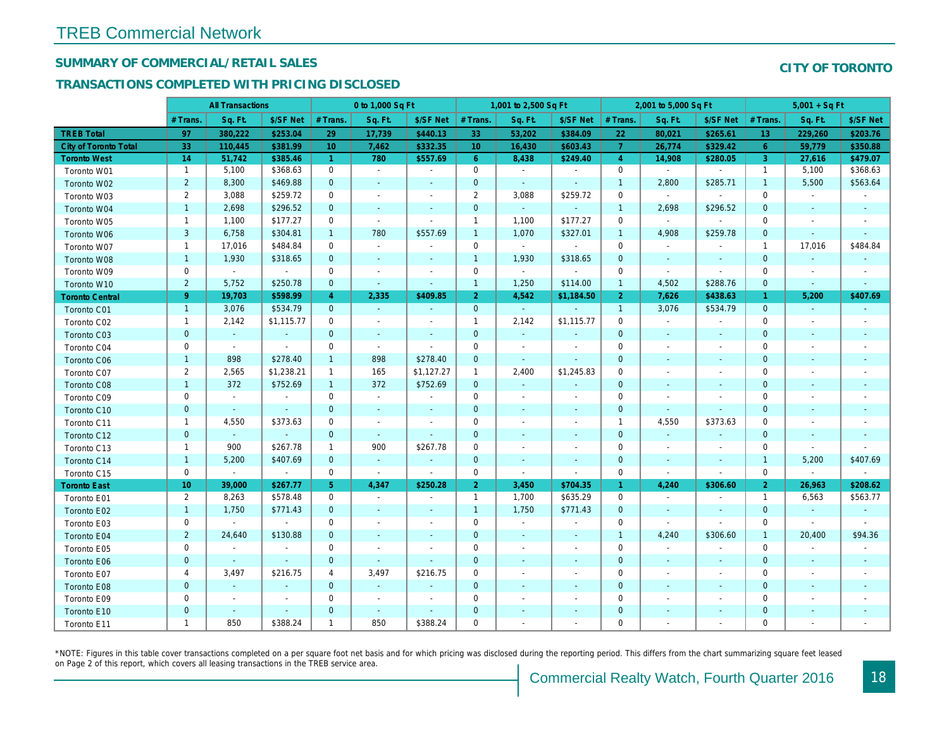## SUMMARY OF COMMERCIAL/RETAIL SALES

#### TRANSACTIONS COMPLETED WITH PRICING DISCLOSED

|                              |                | <b>All Transactions</b>  |                |                | 0 to 1,000 Sq Ft         |                          |                 | 1,001 to 2,500 Sq Ft |                          |                      | 2,001 to 5,000 Sq Ft     |                          |
|------------------------------|----------------|--------------------------|----------------|----------------|--------------------------|--------------------------|-----------------|----------------------|--------------------------|----------------------|--------------------------|--------------------------|
|                              | # Trans.       | Sq. Ft.                  | \$/SF Net      | # Trans.       | Sq. Ft.                  | \$/SF Net                | # Trans.        | Sq. Ft.              | \$/SF Net                | # Trans.             | Sq. Ft.                  | \$/SF Ne                 |
| <b>TREB Total</b>            | 97             | 380,222                  | \$253.04       | 29             | 17,739                   | \$440.13                 | 33              | 53,202               | \$384.09                 | 22                   | 80,021                   | \$265.6'                 |
| <b>City of Toronto Total</b> | 33             | 110,445                  | \$381.99       | 10             | 7,462                    | \$332.35                 | 10 <sup>°</sup> | 16,430               | \$603.43                 | $\overline{7}$       | 26,774                   | \$329.42                 |
| <b>Toronto West</b>          | 14             | 51,742                   | \$385.46       | $\mathbf{1}$   | 780                      | \$557.69                 | $6^{\circ}$     | 8,438                | \$249.40                 | $\overline{4}$       | 14,908                   | \$280.0                  |
| Toronto W01                  | $\mathbf{1}$   | 5,100                    | \$368.63       | $\mathbf 0$    | $\sim$                   | $\omega$                 | $\mathbf 0$     | $\sim$               | $\sim$                   | $\mathbf 0$          | $\blacksquare$           | $\blacksquare$           |
| Toronto W02                  | $\overline{2}$ | 8,300                    | \$469.88       | $\mathbf 0$    | $\blacksquare$           | $\blacksquare$           | $\mathbf 0$     | $\blacksquare$       | $\overline{\phantom{a}}$ | $\mathbf{1}$         | 2,800                    | \$285.7'                 |
| Toronto W03                  | $\overline{2}$ | 3,088                    | \$259.72       | 0              | $\blacksquare$           | $\overline{\phantom{a}}$ | $\overline{2}$  | 3,088                | \$259.72                 | $\mathbf 0$          | $\blacksquare$           | $\blacksquare$           |
| Toronto W04                  | $\mathbf{1}$   | 2,698                    | \$296.52       | $\mathbf{0}$   | $\sim$                   | $\blacksquare$           | $\mathbf 0$     | $\omega_{\rm c}$     | $\sim$                   | $\mathbf{1}$         | 2,698                    | \$296.52                 |
| Toronto W05                  | $\mathbf{1}$   | 1,100                    | \$177.27       | 0              | $\blacksquare$           | $\blacksquare$           | $\mathbf{1}$    | 1,100                | \$177.27                 | $\mathbf 0$          | $\mathbf{r}$             |                          |
| Toronto W06                  | 3              | 6,758                    | \$304.81       | $\mathbf{1}$   | 780                      | \$557.69                 | $\mathbf{1}$    | 1,070                | \$327.01                 | $\mathbf{1}$         | 4,908                    | \$259.78                 |
| Toronto W07                  | $\mathbf{1}$   | 17,016                   | \$484.84       | $\mathbf 0$    | $\sim$                   | $\blacksquare$           | $\mathbf 0$     | $\blacksquare$       | $\sim$                   | $\mathbf 0$          | $\blacksquare$           |                          |
| Toronto W08                  | $\mathbf{1}$   | 1,930                    | \$318.65       | $\mathbf{0}$   | $\sim$                   | $\blacksquare$           | $\mathbf{1}$    | 1,930                | \$318.65                 | $\mathbf{0}$         | $\blacksquare$           | $\blacksquare$           |
| Toronto W09                  | 0              | $\mathbf{r}$             | $\sim$         | 0              | $\blacksquare$           | $\overline{\phantom{a}}$ | $\mathbf 0$     | $\blacksquare$       | $\blacksquare$           | $\mathbf 0$          | $\sim$                   | $\blacksquare$           |
| Toronto W10                  | $\overline{2}$ | 5,752                    | \$250.78       | $\mathbf 0$    | $\blacksquare$           | $\blacksquare$           | $\mathbf{1}$    | 1,250                | \$114.00                 | $\mathbf{1}$         | 4,502                    | \$288.76                 |
| <b>Toronto Central</b>       | 9 <sup>°</sup> | 19,703                   | \$598.99       | $\overline{4}$ | 2,335                    | \$409.85                 | $\overline{2}$  | 4,542                | \$1,184.50               | $\overline{2}$       | 7,626                    | \$438.63                 |
| Toronto C01                  | $\mathbf{1}$   | 3,076                    | \$534.79       | $\mathbf{0}$   | $\sim$                   | $\sim$                   | $\mathbf{0}$    | $\blacksquare$       | $\sim$                   | $\overline{1}$       | 3,076                    | \$534.79                 |
| Toronto C02                  | $\mathbf{1}$   | 2,142                    | \$1,115.77     | 0              | $\overline{\phantom{a}}$ | $\overline{\phantom{a}}$ | $\mathbf{1}$    | 2,142                | \$1,115.77               | 0                    | $\blacksquare$           | $\overline{\phantom{a}}$ |
| Toronto C03                  | $\mathbf{0}$   | $\omega$                 | $\sim$         | $\mathbf 0$    | $\blacksquare$           | $\blacksquare$           | $\mathbf 0$     | $\blacksquare$       | $\blacksquare$           | $\mathbf 0$          | $\blacksquare$           | $\sim$                   |
| Toronto C04                  | 0              | $\sim$                   | $\sim$         | $\mathbf 0$    | $\sim$                   | $\blacksquare$           | $\mathbf 0$     | $\sim$               | $\sim$                   | $\mathbf 0$          | $\blacksquare$           | $\blacksquare$           |
| Toronto C06                  | $\mathbf{1}$   | 898                      | \$278.40       | $\mathbf{1}$   | 898                      | \$278.40                 | $\mathbf 0$     | $\omega$             | $\omega$                 | $\mathbf{0}$         | $\omega$                 | $\sim$                   |
| Toronto C07                  | $\overline{2}$ | 2,565                    | \$1,238.21     | $\mathbf{1}$   | 165                      | \$1,127.27               | $\mathbf{1}$    | 2,400                | \$1,245.83               | 0                    | $\overline{\phantom{a}}$ | $\overline{\phantom{a}}$ |
| Toronto C08                  | $\mathbf{1}$   | 372                      | \$752.69       | $\mathbf{1}$   | 372                      | \$752.69                 | $\mathbf{0}$    | $\blacksquare$       | $\blacksquare$           | $\mathbf{0}$         | $\overline{\phantom{a}}$ | ٠                        |
| Toronto C09                  | 0              | $\blacksquare$           | $\blacksquare$ | $\mathbf 0$    | $\blacksquare$           | $\blacksquare$           | $\mathbf 0$     | $\blacksquare$       | $\blacksquare$           | $\mathbf 0$          | $\blacksquare$           | $\blacksquare$           |
| Toronto C10                  | $\mathbf{0}$   | $\sim$                   | $\sim$         | $\mathbf 0$    | $\sim$                   | $\blacksquare$           | $\mathbf 0$     | $\sim$               | $\sim$                   | $\mathbf 0$          | $\blacksquare$           | $\sim$                   |
| Toronto C11                  | $\mathbf{1}$   | 4,550                    | \$373.63       | 0              | $\blacksquare$           | $\overline{\phantom{a}}$ | $\mathbf 0$     | $\blacksquare$       | $\blacksquare$           | $\mathbf{1}$         | 4,550                    | \$373.63                 |
| Toronto C12                  | $\mathbf{0}$   | $\sim$                   | $\sim$         | $\mathbf{0}$   | $\sim$                   | $\sim$                   | $\mathbf{0}$    | $\sim$               | $\sim$                   | $\mathbf{0}$         | $\sim$                   | $\sim$                   |
| Toronto C13                  | $\mathbf{1}$   | 900                      | \$267.78       | $\mathbf{1}$   | 900                      | \$267.78                 | $\mathbf 0$     | $\blacksquare$       | $\blacksquare$           | $\mathbf 0$          | $\blacksquare$           | $\blacksquare$           |
| Toronto C14                  | $\mathbf{1}$   | 5,200                    | \$407.69       | $\mathbf{0}$   | $\blacksquare$           | $\blacksquare$           | $\mathbf 0$     | ÷,                   | $\blacksquare$           | $\mathbf{0}$         | $\blacksquare$           | $\blacksquare$           |
| Toronto C15                  | 0              | $\blacksquare$           | $\omega$       | 0              | $\blacksquare$           | $\sim$                   | $\mathbf 0$     | $\blacksquare$       | $\blacksquare$           | $\mathbf 0$          | $\blacksquare$           | $\blacksquare$           |
| <b>Toronto East</b>          | 10             | 39,000                   | \$267.77       | 5 <sup>1</sup> | 4,347                    | \$250.28                 | 2 <sup>1</sup>  | 3,450                | \$704.35                 | $\blacktriangleleft$ | 4,240                    | \$306.60                 |
| Toronto E01                  | 2              | 8,263                    | \$578.48       | $\mathbf 0$    | $\sim$                   | $\sim$                   | $\mathbf{1}$    | 1,700                | \$635.29                 | $\mathbf 0$          | $\blacksquare$           | $\sim$                   |
| Toronto E02                  | $\mathbf{1}$   | 1,750                    | \$771.43       | $\mathbf 0$    | $\sim$                   | $\blacksquare$           | $\mathbf{1}$    | 1,750                | \$771.43                 | $\mathbf 0$          | $\blacksquare$           | $\blacksquare$           |
| Toronto E03                  | 0              | $\blacksquare$           | $\sim$         | 0              | $\blacksquare$           | $\overline{\phantom{a}}$ | $\mathbf 0$     | $\blacksquare$       | $\blacksquare$           | 0                    | $\blacksquare$           | $\blacksquare$           |
| Toronto E04                  | $\overline{2}$ | 24,640                   | \$130.88       | $\mathbf{0}$   | $\sim$                   | $\sim$                   | $\mathbf{0}$    | $\blacksquare$       | $\sim$                   | $\overline{1}$       | 4,240                    | \$306.60                 |
| Toronto E05                  | 0              | $\blacksquare$           | $\sim$         | 0              | $\sim$                   | $\blacksquare$           | $\mathbf 0$     | $\sim$               | $\sim$                   | $\mathbf 0$          | $\blacksquare$           | $\blacksquare$           |
| Toronto E06                  | $\mathbf{0}$   | $\sim$                   | $\sim$         | $\mathbf{0}$   | $\sim$                   | $\sim$                   | $\mathbf 0$     | ٠                    | $\blacksquare$           | $\mathbf 0$          | $\blacksquare$           | $\blacksquare$           |
| Toronto E07                  | 4              | 3,497                    | \$216.75       | 4              | 3,497                    | \$216.75                 | 0               | $\blacksquare$       | $\overline{\phantom{a}}$ | 0                    | $\blacksquare$           | $\overline{\phantom{a}}$ |
| Toronto E08                  | $\mathbf{0}$   | $\sim$                   |                | $\mathbf{0}$   | $\omega$                 | $\blacksquare$           | $\mathbf{0}$    | $\sim$               | $\sim$                   | $\mathbf{0}$         | $\omega$                 | $\blacksquare$           |
| Toronto E09                  | 0              | $\overline{\phantom{a}}$ | $\sim$         | $\mathbf 0$    | $\blacksquare$           | $\overline{\phantom{a}}$ | $\mathbf 0$     |                      | $\blacksquare$           | $\mathbf 0$          | $\blacksquare$           | $\blacksquare$           |
| Toronto E10                  | $\mathbf{0}$   | $\blacksquare$           | $\sim$         | $\mathbf 0$    | $\blacksquare$           | $\blacksquare$           | $\mathbf 0$     |                      | $\blacksquare$           | $\mathbf 0$          | $\overline{\phantom{a}}$ |                          |
| Toronto E11                  | $\mathbf{1}$   | 850                      | \$388.24       | $\mathbf{1}$   | 850                      | \$388.24                 | $\mathbf 0$     | $\blacksquare$       | $\blacksquare$           | 0                    |                          |                          |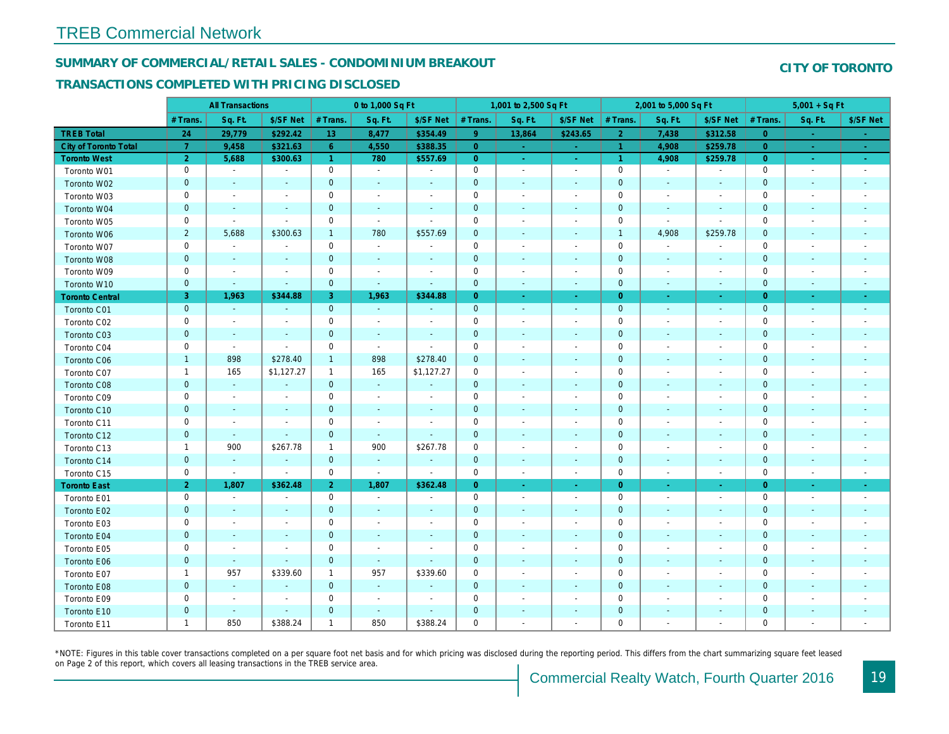#### SUMMARY OF COMMERCIAL/RETAIL SALES - CONDOMINIUM BREAKOUT

#### TRANSACTIONS COMPLETED WITH PRICING DISCLOSED

|                        |                | <b>All Transactions</b>  |                          |                      | 0 to 1,000 Sq Ft         |                          |                | 1,001 to 2,500 Sq Ft     |                          |                | 2,001 to 5,000 Sq Ft     |                          |
|------------------------|----------------|--------------------------|--------------------------|----------------------|--------------------------|--------------------------|----------------|--------------------------|--------------------------|----------------|--------------------------|--------------------------|
|                        | # Trans.       | Sq. Ft.                  | \$/SF Net                | # Trans.             | Sq. Ft.                  | \$/SF Net                | # Trans.       | Sq. Ft.                  | \$/SF Net                | # Trans.       | Sq. Ft.                  | \$/SF Ne                 |
| <b>TREB Total</b>      | 24             | 29,779                   | \$292.42                 | 13                   | 8,477                    | \$354.49                 | 9 <sup>°</sup> | 13,864                   | \$243.65                 | $\overline{2}$ | 7,438                    | \$312.58                 |
| City of Toronto Total  | $\overline{7}$ | 9,458                    | \$321.63                 | 6 <sup>°</sup>       | 4,550                    | \$388.35                 | $\overline{0}$ | $\omega$                 | $\sim$                   | $\overline{1}$ | 4,908                    | \$259.7                  |
| <b>Toronto West</b>    | 2 <sup>1</sup> | 5,688                    | \$300.63                 | $\blacktriangleleft$ | 780                      | \$557.69                 | $\overline{0}$ | $\sim$                   | $\sim$                   | $\vert$ 1      | 4,908                    | \$259.78                 |
| Toronto W01            | 0              | $\sim$                   | $\overline{\phantom{a}}$ | $\mathbf 0$          | $\sim$                   | $\blacksquare$           | $\mathbf 0$    | $\sim$                   | $\sim$                   | $\mathbf 0$    | $\blacksquare$           | $\sim$                   |
| Toronto W02            | $\mathbf{0}$   | $\sim$                   | $\sim$                   | $\mathbf{0}$         | $\sim$                   | $\blacksquare$           | $\mathbf 0$    | $\blacksquare$           | $\sim$                   | $\mathbf{0}$   | $\blacksquare$           | $\blacksquare$           |
| Toronto W03            | 0              | $\overline{\phantom{a}}$ | $\overline{\phantom{a}}$ | $\mathbf 0$          | $\blacksquare$           | $\overline{\phantom{a}}$ | $\pmb{0}$      | $\blacksquare$           | $\blacksquare$           | 0              | $\blacksquare$           | $\blacksquare$           |
| Toronto W04            | $\mathbf{0}$   | $\blacksquare$           | $\sim$                   | $\mathbf{0}$         | $\blacksquare$           | $\blacksquare$           | $\mathbf 0$    | $\blacksquare$           | $\blacksquare$           | $\mathbf{0}$   | $\blacksquare$           | $\blacksquare$           |
| Toronto W05            | 0              | $\blacksquare$           | $\sim$                   | $\mathbf 0$          | $\blacksquare$           | $\sim$                   | $\mathbf 0$    | $\sim$                   | $\blacksquare$           | $\mathbf 0$    | $\blacksquare$           | $\blacksquare$           |
| Toronto W06            | $\overline{2}$ | 5,688                    | \$300.63                 | $\mathbf{1}$         | 780                      | \$557.69                 | $\mathbf 0$    |                          | ٠                        | $\mathbf{1}$   | 4,908                    | \$259.78                 |
| Toronto W07            | 0              | $\blacksquare$           | $\overline{\phantom{a}}$ | $\mathbf 0$          | $\sim$                   | $\blacksquare$           | $\mathbf 0$    | $\blacksquare$           | $\blacksquare$           | $\mathbf 0$    | $\overline{\phantom{a}}$ | $\blacksquare$           |
| Toronto W08            | $\mathbf{0}$   | $\sim$                   | $\sim$                   | $\mathbf 0$          | $\omega$                 | $\blacksquare$           | $\mathbf 0$    | $\omega$                 | $\sim$                   | $\mathbf{0}$   | $\blacksquare$           | $\blacksquare$           |
| Toronto W09            | 0              | $\sim$                   | $\sim$                   | 0                    | $\sim$                   | $\blacksquare$           | $\mathbf 0$    | $\sim$                   | $\blacksquare$           | 0              | $\blacksquare$           | $\overline{\phantom{a}}$ |
| Toronto W10            | $\mathbf{0}$   | $\sim$                   | $\sim$                   | $\mathbf{0}$         | $\blacksquare$           | $\blacksquare$           | $\mathbf{0}$   | $\blacksquare$           | $\blacksquare$           | $\mathbf{0}$   | $\blacksquare$           | $\sim$                   |
| <b>Toronto Central</b> | 3              | 1,963                    | \$344.88                 | 3                    | 1,963                    | \$344.88                 | $\overline{0}$ | $\sim$                   | $\sim$                   | $\overline{0}$ | $\sim$                   | $\sim$                   |
| Toronto C01            | $\pmb{0}$      | $\omega$                 | $\sim$                   | $\mathbf{0}$         | $\sim$                   | $\blacksquare$           | $\mathbf 0$    | $\blacksquare$           | $\blacksquare$           | $\mathbf{0}$   | $\blacksquare$           | $\sim$                   |
| Toronto C02            | 0              | $\blacksquare$           | $\overline{\phantom{a}}$ | $\mathbf 0$          | $\overline{\phantom{a}}$ | ۰                        | $\mathbf 0$    | $\overline{a}$           | $\overline{a}$           | $\mathbf 0$    | $\overline{\phantom{a}}$ | $\blacksquare$           |
| Toronto C03            | $\mathbf 0$    | $\sim$                   | $\sim$                   | $\mathbf{0}$         | $\blacksquare$           | $\blacksquare$           | $\mathbf 0$    | ٠                        | $\blacksquare$           | $\mathbf{0}$   | $\blacksquare$           | $\blacksquare$           |
| Toronto C04            | 0              | $\blacksquare$           | $\sim$                   | $\mathbf 0$          | $\blacksquare$           | $\blacksquare$           | $\mathbf 0$    | $\blacksquare$           | $\sim$                   | $\mathbf 0$    | $\blacksquare$           | $\blacksquare$           |
| <b>Toronto C06</b>     | $\mathbf{1}$   | 898                      | \$278.40                 | $\mathbf{1}$         | 898                      | \$278.40                 | $\mathbf 0$    | ٠                        | $\blacksquare$           | $\mathbf 0$    | $\blacksquare$           | $\blacksquare$           |
| Toronto C07            | $\mathbf{1}$   | 165                      | \$1,127.27               | $\mathbf{1}$         | 165                      | \$1,127.27               | $\mathbf 0$    |                          | $\sim$                   | $\mathbf 0$    | J.                       | $\blacksquare$           |
| Toronto C08            | $\mathbf{0}$   | $\omega$                 | $\sim$                   | $\mathbf 0$          | $\sim$                   | $\blacksquare$           | $\mathbf 0$    | ÷,                       | $\blacksquare$           | $\mathbf{0}$   | $\blacksquare$           | $\blacksquare$           |
| Toronto C09            | 0              | $\blacksquare$           | $\overline{\phantom{a}}$ | 0                    | $\overline{\phantom{a}}$ | $\overline{\phantom{a}}$ | 0              | $\overline{\phantom{a}}$ | $\blacksquare$           | $\mathbf 0$    | $\overline{\phantom{a}}$ | $\overline{\phantom{a}}$ |
| Toronto C10            | $\mathbf{0}$   | $\sim$                   | $\sim$                   | $\mathbf 0$          | $\omega$                 | $\blacksquare$           | $\mathbf 0$    | $\omega$                 | $\omega$                 | $\mathbf{0}$   | $\omega$                 | $\sim$                   |
| Toronto C11            | 0              | $\blacksquare$           | $\sim$                   | $\mathbf 0$          | $\sim$                   | $\blacksquare$           | $\pmb{0}$      | $\sim$                   | $\blacksquare$           | 0              | $\blacksquare$           | $\overline{\phantom{a}}$ |
| Toronto C12            | $\mathbf 0$    | $\sim$                   | $\sim$                   | $\mathbf 0$          | $\blacksquare$           | $\blacksquare$           | $\mathbf 0$    | $\sim$                   | $\sim$                   | $\mathbf 0$    | $\sim$                   | $\overline{\phantom{a}}$ |
| Toronto C13            | $\mathbf{1}$   | 900                      | \$267.78                 | $\mathbf{1}$         | 900                      | \$267.78                 | $\mathbf 0$    | $\blacksquare$           | $\overline{\phantom{a}}$ | $\mathbf 0$    | $\blacksquare$           | $\blacksquare$           |
| Toronto C14            | $\mathbf 0$    | $\blacksquare$           | $\sim$                   | $\mathbf{0}$         | $\sim$                   | $\blacksquare$           | $\mathbf 0$    | $\blacksquare$           | $\blacksquare$           | $\mathbf{0}$   | $\blacksquare$           | $\blacksquare$           |
| Toronto C15            | 0              | $\blacksquare$           | $\blacksquare$           | $\mathbf 0$          | $\bullet$                | $\overline{\phantom{a}}$ | $\mathbf 0$    | $\blacksquare$           | $\blacksquare$           | 0              | $\overline{\phantom{a}}$ | $\blacksquare$           |
| <b>Toronto East</b>    | 2 <sup>1</sup> | 1,807                    | \$362.48                 | 2 <sup>1</sup>       | 1,807                    | \$362.48                 | $\overline{0}$ | $\omega$                 | $\omega$                 | $\overline{0}$ | $\omega$                 | $\sim$                   |
| Toronto E01            | 0              | $\sim$                   | $\sim$                   | $\mathbf 0$          | $\sim$                   | $\blacksquare$           | $\mathsf 0$    | $\blacksquare$           | $\blacksquare$           | $\mathbf 0$    | $\blacksquare$           | $\sim$                   |
| Toronto E02            | $\mathbf 0$    | $\blacksquare$           |                          | $\mathbf 0$          | $\blacksquare$           | $\blacksquare$           | $\mathbf 0$    | ÷,                       | ÷,                       | $\mathbf 0$    | ÷,                       | $\blacksquare$           |
| Toronto E03            | $\mathbf 0$    | $\blacksquare$           | $\sim$                   | $\mathbf 0$          | $\blacksquare$           | $\blacksquare$           | $\mathbf 0$    | $\blacksquare$           | $\blacksquare$           | $\mathbf 0$    | $\blacksquare$           | $\blacksquare$           |
| Toronto E04            | $\pmb{0}$      | $\sim$                   |                          | $\mathbf{0}$         | $\blacksquare$           | $\blacksquare$           | $\mathbf 0$    | $\blacksquare$           | $\blacksquare$           | $\mathbf{0}$   | $\blacksquare$           | $\overline{\phantom{a}}$ |
| Toronto E05            | 0              | $\blacksquare$           | $\sim$                   | $\mathbf 0$          | $\overline{\phantom{a}}$ | $\blacksquare$           | $\mathbf 0$    | $\blacksquare$           | $\blacksquare$           | 0              | $\blacksquare$           | $\overline{\phantom{a}}$ |
| Toronto E06            | $\mathbf{0}$   | $\sim$                   | $\sim$                   | $\mathbf{0}$         | $\omega$                 | $\omega$                 | $\mathbf 0$    | ٠                        | ٠                        | $\mathbf 0$    | $\sim$                   | $\sim$                   |
| Toronto E07            | $\mathbf{1}$   | 957                      | \$339.60                 | $\mathbf{1}$         | 957                      | \$339.60                 | $\mathbf 0$    | $\blacksquare$           | $\blacksquare$           | 0              | ٠                        | $\overline{\phantom{a}}$ |
| Toronto E08            | $\mathbf 0$    | $\blacksquare$           | $\sim$                   | $\mathbf 0$          | $\blacksquare$           | $\blacksquare$           | $\mathbf 0$    | $\overline{\phantom{a}}$ | $\blacksquare$           | $\mathbf 0$    | $\blacksquare$           |                          |
| Toronto E09            | 0              | $\overline{\phantom{a}}$ | $\sim$                   | $\mathbf 0$          | $\blacksquare$           | $\blacksquare$           | $\mathbf 0$    |                          | $\overline{\phantom{a}}$ | $\mathbf 0$    |                          | $\blacksquare$           |
| Toronto E10            | $\mathbf 0$    | $\blacksquare$           | $\sim$                   | $\mathbf 0$          | $\blacksquare$           | $\blacksquare$           | $\mathbf 0$    |                          | ٠                        | $\mathbf 0$    | $\overline{\phantom{a}}$ |                          |
| Toronto E11            | $\mathbf{1}$   | 850                      | \$388.24                 | $\mathbf{1}$         | 850                      | \$388.24                 | $\mathbf 0$    |                          | $\blacksquare$           | $\mathbf 0$    |                          | $\sim$                   |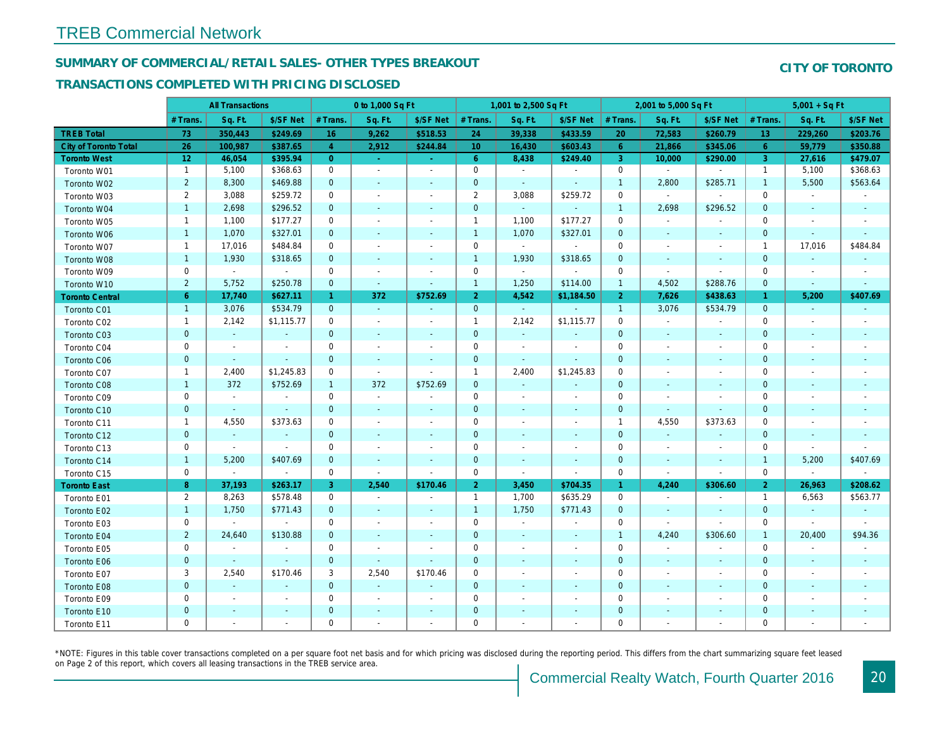## SUMMARY OF COMMERCIAL/RETAIL SALES- OTHER TYPES BREAKOUT

#### TRANSACTIONS COMPLETED WITH PRICING DISCLOSED

|                              |                | <b>All Transactions</b>  |                          |                      | 0 to 1,000 Sq Ft |                          |                     | 1,001 to 2,500 Sq Ft         |                          |                      | 2,001 to 5,000 Sq Ft |                          |
|------------------------------|----------------|--------------------------|--------------------------|----------------------|------------------|--------------------------|---------------------|------------------------------|--------------------------|----------------------|----------------------|--------------------------|
|                              | # Trans.       | Sq. Ft.                  | \$/SF Net                | # Trans.             | Sq. Ft.          | \$/SF Net                | # Trans.            | Sq. Ft.                      | \$/SF Net                | # Trans.             | Sq. Ft.              | \$/SF Ne                 |
| <b>TREB Total</b>            | 73             | 350,443                  | \$249.69                 | 16                   | 9,262            | \$518.53                 | 24                  | 39,338                       | \$433.59                 | 20                   | 72,583               | \$260.79                 |
| <b>City of Toronto Total</b> | 26             | 100,987                  | \$387.65                 | $\overline{4}$       | 2,912            | \$244.84                 | 10 <sup>°</sup>     | 16,430                       | \$603.43                 | $6^{\circ}$          | 21,866               | \$345.0                  |
| <b>Toronto West</b>          | 12             | 46,054                   | \$395.94                 | $\overline{0}$       | $\sim$           | $\bullet$ .              | $6^{\circ}$         | 8,438                        | \$249.40                 | $\mathbf{3}$         | 10,000               | \$290.00                 |
| Toronto W01                  | $\overline{1}$ | 5,100                    | \$368.63                 | $\mathbf 0$          | $\sim$           | $\blacksquare$           | $\mathsf{O}$        | $\sim$                       | $\sim$                   | $\mathbf 0$          | $\omega$             | $\sim$                   |
| Toronto W02                  | $\overline{2}$ | 8,300                    | \$469.88                 | $\mathbf{0}$         | $\sim$           | $\blacksquare$           | $\mathbf 0$         | $\sim$                       | $\blacksquare$           | $\mathbf{1}$         | 2,800                | \$285.7'                 |
| Toronto W03                  | $\mathbf{2}$   | 3,088                    | \$259.72                 | $\mathbf 0$          | $\sim$           | $\blacksquare$           | $\overline{2}$      | 3,088                        | \$259.72                 | $\mathbf 0$          | $\blacksquare$       | $\blacksquare$           |
| Toronto W04                  | $\mathbf{1}$   | 2,698                    | \$296.52                 | $\mathbf 0$          | $\sim$           | $\sim$                   | $\mathbf 0$         | $\omega$                     | $\sim$                   | $\mathbf{1}$         | 2,698                | \$296.52                 |
| Toronto W05                  | $\mathbf{1}$   | 1,100                    | \$177.27                 | 0                    | $\blacksquare$   | $\frac{1}{2}$            | $\mathbf{1}$        | 1,100                        | \$177.27                 | 0                    | $\blacksquare$       | $\blacksquare$           |
| Toronto W06                  | $\mathbf{1}$   | 1,070                    | \$327.01                 | $\mathbf{0}$         | $\blacksquare$   | $\blacksquare$           | $\mathbf{1}$        | 1,070                        | \$327.01                 | $\mathbf{0}$         | $\blacksquare$       | $\sim$                   |
| Toronto W07                  | $\mathbf{1}$   | 17,016                   | \$484.84                 | $\mathbf 0$          | $\sim$           | $\blacksquare$           | $\mathbf 0$         | $\blacksquare$               | $\sim$                   | $\mathbf 0$          | $\blacksquare$       | $\blacksquare$           |
| Toronto W08                  | $\mathbf{1}$   | 1,930                    | \$318.65                 | $\mathbf 0$          | $\blacksquare$   | $\blacksquare$           | $\mathbf{1}$        | 1,930                        | \$318.65                 | $\mathbf{0}$         | $\blacksquare$       |                          |
| Toronto W09                  | 0              | $\omega$                 | $\blacksquare$           | $\mathbf 0$          | $\blacksquare$   |                          | $\mathsf{O}\xspace$ | $\sim$                       | $\blacksquare$           | $\mathbf 0$          | $\sim$               | $\blacksquare$           |
| Toronto W10                  | $\overline{2}$ | 5,752                    | \$250.78                 | $\mathbf 0$          | $\blacksquare$   | $\blacksquare$           | $\mathbf{1}$        | 1,250                        | \$114.00                 | $\mathbf{1}$         | 4,502                | \$288.76                 |
| <b>Toronto Central</b>       | 6              | 17,740                   | \$627.11                 | $\blacktriangleleft$ | 372              | \$752.69                 | $\overline{2}$      | 4,542                        | \$1,184.50               | $\overline{2}$       | 7,626                | \$438.63                 |
| Toronto C01                  | $\overline{1}$ | 3,076                    | \$534.79                 | $\mathbf{0}$         | $\sim$           | $\omega$                 | $\overline{0}$      | ¥.                           | $\sim$                   | $\overline{1}$       | 3,076                | \$534.79                 |
| Toronto C02                  | $\mathbf{1}$   | 2,142                    | \$1,115.77               | 0                    | $\sim$           | $\blacksquare$           | $\mathbf{1}$        | 2,142                        | \$1,115.77               | $\mathbf 0$          | $\sim$               | $\blacksquare$           |
| Toronto C03                  | $\mathbf 0$    | $\blacksquare$           | $\sim$                   | $\mathbf{0}$         | $\blacksquare$   | $\blacksquare$           | $\mathbf 0$         | $\sim$                       | $\blacksquare$           | $\mathbf{0}$         | $\blacksquare$       | $\sim$                   |
| Toronto C04                  | 0              | $\overline{\phantom{a}}$ | $\overline{\phantom{a}}$ | 0                    | $\blacksquare$   | $\blacksquare$           | $\mathbf 0$         | $\blacksquare$               | $\overline{\phantom{a}}$ | 0                    | $\blacksquare$       | $\blacksquare$           |
| Toronto C06                  | $\mathbf{0}$   | $\blacksquare$           | $\sim$                   | $\mathbf 0$          | $\blacksquare$   | $\blacksquare$           | $\mathbf{0}$        | $\blacksquare$               | $\blacksquare$           | $\mathbf 0$          | $\blacksquare$       | $\sim$                   |
| Toronto C07                  | $\mathbf{1}$   | 2,400                    | \$1,245.83               | $\mathbf 0$          | $\mathbf{r}$     | $\blacksquare$           | $\mathbf{1}$        | 2,400                        | \$1,245.83               | $\mathbf 0$          | $\blacksquare$       | $\blacksquare$           |
| Toronto C08                  | $\mathbf{1}$   | 372                      | \$752.69                 | $\mathbf{1}$         | 372              | \$752.69                 | $\overline{0}$      | $\omega$                     | $\blacksquare$           | $\mathbf{0}$         | $\omega$             | $\sim$                   |
| Toronto C09                  | 0              | $\blacksquare$           | $\blacksquare$           | 0                    | $\blacksquare$   | $\overline{\phantom{a}}$ | $\mathbf 0$         | $\blacksquare$               | $\blacksquare$           | 0                    | $\sim$               | $\blacksquare$           |
| Toronto C10                  | $\mathbf 0$    | $\blacksquare$           | $\sim$                   | $\mathbf 0$          | $\sim$           | $\overline{\phantom{a}}$ | $\mathbf 0$         | $\blacksquare$               | $\blacksquare$           | $\mathbf 0$          | $\sim$               | $\blacksquare$           |
| Toronto C11                  | $\mathbf{1}$   | 4,550                    | \$373.63                 | 0                    | $\blacksquare$   | $\overline{\phantom{a}}$ | $\mathbf 0$         | $\blacksquare$               | $\overline{\phantom{a}}$ | $\mathbf{1}$         | 4,550                | \$373.63                 |
| Toronto C12                  | $\mathbf{0}$   | $\omega$                 | $\sim$                   | $\mathbf{0}$         | $\mathbf{r}$     | $\sim$                   | $\mathbf{0}$        | $\blacksquare$               | $\blacksquare$           | $\mathbf{0}$         | $\omega$             | $\sim$                   |
| Toronto C13                  | 0              | $\sim$                   | $\blacksquare$           | $\mathbf 0$          | $\sim$           | $\overline{\phantom{a}}$ | $\mathbf 0$         | $\blacksquare$               | $\blacksquare$           | $\mathbf 0$          | $\blacksquare$       | $\overline{\phantom{a}}$ |
| Toronto C14                  | $\mathbf{1}$   | 5,200                    | \$407.69                 | $\mathbf 0$          | $\sim$           | $\sim$                   | $\mathbf 0$         | $\sim$                       | $\sim$                   | $\mathbf{0}$         | $\sim$               | $\sim$                   |
| Toronto C15                  | 0              | $\blacksquare$           | $\blacksquare$           | 0                    | $\blacksquare$   | $\blacksquare$           | $\mathbf 0$         | $\blacksquare$               | $\blacksquare$           | $\mathbf 0$          | $\blacksquare$       | $\bullet$                |
| <b>Toronto East</b>          | 8              | 37,193                   | \$263.17                 | 3                    | 2,540            | \$170.46                 | 2 <sup>1</sup>      | 3,450                        | \$704.35                 | $\blacktriangleleft$ | 4,240                | \$306.60                 |
| Toronto E01                  | $\overline{2}$ | 8,263                    | \$578.48                 | 0                    | $\sim$           | $\overline{\phantom{a}}$ | $\mathbf{1}$        | 1,700                        | \$635.29                 | $\mathbf{0}$         | $\blacksquare$       | $\sim$                   |
| Toronto E02                  | $\mathbf{1}$   | 1,750                    | \$771.43                 | $\mathbf{0}$         | $\sim$           | $\blacksquare$           | $\overline{1}$      | 1,750                        | \$771.43                 | $\mathbf{0}$         | $\sim$               | $\sim$                   |
| Toronto E03                  | 0              | $\blacksquare$           | $\sim$                   | $\mathbf 0$          | $\blacksquare$   | $\blacksquare$           | $\mathbf 0$         | $\sim$                       | $\blacksquare$           | $\mathbf 0$          | $\omega$             | $\blacksquare$           |
| Toronto E04                  | $\overline{2}$ | 24,640                   | \$130.88                 | $\mathbf{0}$         | $\sim$           | $\blacksquare$           | $\mathbf 0$         | $\sim$                       | $\blacksquare$           | $\overline{1}$       | 4,240                | \$306.60                 |
| Toronto E05                  | 0              | $\blacksquare$           | $\blacksquare$           | 0                    | $\blacksquare$   | $\blacksquare$           | $\mathbf 0$         | $\overline{\phantom{a}}$     | $\blacksquare$           | $\mathbf 0$          | $\blacksquare$       | $\blacksquare$           |
| Toronto E06                  | $\mathbf{0}$   | $\blacksquare$           | $\blacksquare$           | $\mathbf{0}$         | $\blacksquare$   |                          | $\mathbf{0}$        | $\overline{\phantom{a}}$     | $\overline{\phantom{a}}$ | $\mathbf{0}$         | $\blacksquare$       | $\blacksquare$           |
| Toronto E07                  | 3              | 2,540                    | \$170.46                 | 3                    | 2,540            | \$170.46                 | $\mathbf 0$         | $\blacksquare$               | $\blacksquare$           | $\mathbf 0$          | $\blacksquare$       | $\overline{\phantom{a}}$ |
| Toronto E08                  | $\mathbf 0$    | $\omega$                 | $\sim$                   | $\mathbf 0$          | $\omega$         | $\blacksquare$           | $\mathbf 0$         | $\blacksquare$               | $\blacksquare$           | $\mathbf 0$          | $\blacksquare$       | $\blacksquare$           |
| Toronto E09                  | 0              | $\blacksquare$           | $\sim$                   | 0                    | $\blacksquare$   | $\blacksquare$           | $\mathbf 0$         | $\blacksquare$               | $\blacksquare$           | $\mathbf 0$          | $\blacksquare$       | $\blacksquare$           |
| Toronto E10                  | $\mathbf 0$    | $\sim$                   |                          | $\mathbf 0$          | $\blacksquare$   | $\blacksquare$           | $\mathbf 0$         | $\qquad \qquad \blacksquare$ | $\blacksquare$           | $\mathbf 0$          | $\blacksquare$       |                          |
| Toronto E11                  | $\mathbf{0}$   | $\blacksquare$           | $\overline{\phantom{a}}$ | $\mathbf 0$          | $\blacksquare$   | $\blacksquare$           | $\mathbf 0$         | $\blacksquare$               | $\blacksquare$           | $\mathbf 0$          | $\blacksquare$       | $\blacksquare$           |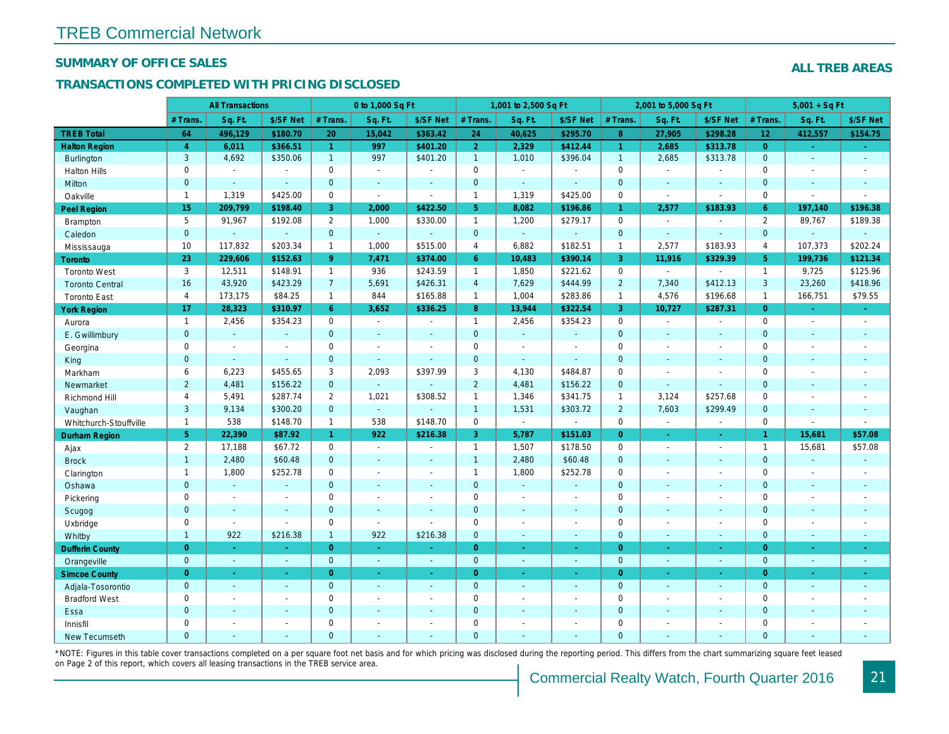#### SUMMARY OF OFFICE SALES

#### TRANSACTIONS COMPLETED WITH PRICING DISCLOSED

|                        |                | <b>All Transactions</b> |                          |                      | 0 to 1,000 Sq Ft |                          |                     | 1,001 to 2,500 Sq Ft |                |                | 2,001 to 5,000 Sq Ft |                          |
|------------------------|----------------|-------------------------|--------------------------|----------------------|------------------|--------------------------|---------------------|----------------------|----------------|----------------|----------------------|--------------------------|
|                        | # Trans.       | Sq. Ft.                 | \$/SF Net                | # Trans.             | Sq. Ft.          | \$/SF Net                | # Trans.            | Sq. Ft.              | \$/SF Net      | # Trans.       | Sq. Ft.              | \$/SF Ne                 |
| <b>TREB Total</b>      | 64             | 496,129                 | \$180.70                 | 20                   | 15,042           | \$363.42                 | 24                  | 40,625               | \$295.70       | 8 <sup>°</sup> | 27,905               | \$298.28                 |
| <b>Halton Region</b>   | $\overline{4}$ | 6,011                   | \$366.51                 | $\blacktriangleleft$ | 997              | \$401.20                 | 2 <sup>1</sup>      | 2,329                | \$412.44       | $\mathbf{1}$   | 2,685                | \$313.78                 |
| <b>Burlington</b>      | 3              | 4,692                   | \$350.06                 | 1                    | 997              | \$401.20                 | $\mathbf{1}$        | 1,010                | \$396.04       | $\mathbf{1}$   | 2,685                | \$313.78                 |
| <b>Halton Hills</b>    | $\mathbf{0}$   | $\sim$                  | $\sim$                   | $\mathbf 0$          | $\sim$           |                          | $\mathsf{O}$        | $\blacksquare$       | $\overline{a}$ | $\mathbf 0$    | $\overline{a}$       | $\blacksquare$           |
| <b>Milton</b>          | $\overline{0}$ | $\sim$                  | $\sim$                   | $\overline{0}$       | $\omega$         | $\sim$                   | $\overline{0}$      | ¥.                   | $\overline{a}$ | $\mathbf{0}$   | $\Delta$             | $\sim$                   |
| Oakville               | $\mathbf{1}$   | 1,319                   | \$425.00                 | $\mathbf 0$          | $\blacksquare$   | $\blacksquare$           | $\mathbf{1}$        | 1,319                | \$425.00       | $\mathbf 0$    | $\sim$               | $\blacksquare$           |
| <b>Peel Region</b>     | 15             | 209,799                 | \$198.40                 | 3                    | 2,000            | \$422.50                 | 5 <sup>5</sup>      | 8,082                | \$196.86       | $\mathbf{1}$   | 2,577                | \$183.93                 |
| <b>Brampton</b>        | 5              | 91,967                  | \$192.08                 | $\overline{2}$       | 1,000            | \$330.00                 | $\mathbf{1}$        | 1,200                | \$279.17       | $\mathbf 0$    | $\sim$               | $\blacksquare$           |
| Caledon                | $\mathbf 0$    | $\sim$                  | $\omega$                 | $\mathbf 0$          | $\omega$         | $\omega$                 | $\pmb{0}$           | $\omega_{\rm c}$     | $\omega$       | $\mathbf{0}$   | $\omega$             | $\blacksquare$           |
| Mississauga            | 10             | 117,832                 | \$203.34                 | $\mathbf{1}$         | 1,000            | \$515.00                 | 4                   | 6,882                | \$182.51       | $\mathbf{1}$   | 2,577                | \$183.93                 |
| Toronto                | 23             | 229,606                 | \$152.63                 | 9 <sup>°</sup>       | 7,471            | \$374.00                 | 6 <sup>°</sup>      | 10,483               | \$390.14       | $\mathbf{3}$   | 11,916               | \$329.39                 |
| <b>Toronto West</b>    | 3              | 12,511                  | \$148.91                 | $\mathbf{1}$         | 936              | \$243.59                 | $\mathbf{1}$        | 1,850                | \$221.62       | $\Omega$       |                      | $\sim$                   |
| <b>Toronto Central</b> | 16             | 43,920                  | \$423.29                 | $\overline{7}$       | 5,691            | \$426.31                 | $\overline{4}$      | 7,629                | \$444.99       | $\overline{2}$ | 7,340                | \$412.13                 |
| <b>Toronto East</b>    | $\overline{4}$ | 173,175                 | \$84.25                  | $\mathbf{1}$         | 844              | \$165.88                 | $\mathbf{1}$        | 1,004                | \$283.86       | $\mathbf{1}$   | 4,576                | \$196.68                 |
| <b>York Region</b>     | 17             | 28,323                  | \$310.97                 | 6                    | 3,652            | \$336.25                 | 8 <sup>°</sup>      | 13,944               | \$322.54       | $\mathbf{3}$   | 10,727               | \$287.3'                 |
| Aurora                 | $\overline{1}$ | 2,456                   | \$354.23                 | 0                    | $\sim$           | $\blacksquare$           | $\mathbf{1}$        | 2,456                | \$354.23       | $\mathbf 0$    | $\omega$             | $\blacksquare$           |
| E. Gwillimbury         | $\mathbf{0}$   | $\omega$                | $\sim$                   | $\mathbf 0$          | $\sim$           | $\blacksquare$           | $\mathbf{0}$        | $\sim$               | $\blacksquare$ | $\mathbf{0}$   | $\sim$               | $\sim$                   |
| Georgina               | $\mathbf{0}$   | $\sim$                  | $\sim$                   | 0                    | $\sim$           | $\overline{\phantom{a}}$ | $\mathbf 0$         | $\blacksquare$       | $\blacksquare$ | $\mathbf 0$    | $\blacksquare$       | $\blacksquare$           |
| King                   | $\overline{0}$ | $\sim$                  | $\sim$                   | $\mathbf{0}$         | $\overline{a}$   | $\overline{\phantom{a}}$ | $\mathbf{0}$        | $\blacksquare$       | ä,             | $\mathbf{0}$   | $\sim$               | $\blacksquare$           |
| Markham                | 6              | 6,223                   | \$455.65                 | 3                    | 2,093            | \$397.99                 | 3                   | 4,130                | \$484.87       | $\mathbf 0$    | $\blacksquare$       | $\blacksquare$           |
| Newmarket              | $\overline{2}$ | 4,481                   | \$156.22                 | $\mathbf 0$          | $\omega$         |                          | $\overline{2}$      | 4,481                | \$156.22       | $\mathbf{0}$   | $\Delta$             | $\overline{\phantom{a}}$ |
| Richmond Hill          | 4              | 5,491                   | \$287.74                 | $\overline{2}$       | 1,021            | \$308.52                 | $\mathbf{1}$        | 1,346                | \$341.75       | $\mathbf{1}$   | 3,124                | \$257.68                 |
| Vaughan                | 3              | 9,134                   | \$300.20                 | $\Omega$             | $\omega$         |                          | $\mathbf{1}$        | 1,531                | \$303.72       | $\overline{2}$ | 7,603                | \$299.49                 |
| Whitchurch-Stouffville | $\mathbf{1}$   | 538                     | \$148.70                 | $\mathbf{1}$         | 538              | \$148.70                 | $\mathsf{O}$        | $\bullet$            | $\blacksquare$ | $\mathbf 0$    | $\blacksquare$       | $\blacksquare$           |
| <b>Durham Region</b>   | 5 <sup>5</sup> | 22,390                  | \$87.92                  | $\mathbf{1}$         | 922              | \$216.38                 | 3 <sup>°</sup>      | 5,787                | \$151.03       | $\overline{0}$ | $\bullet$            | $\sigma_{\rm c}$         |
| Ajax                   | $\overline{2}$ | 17,188                  | \$67.72                  | $\mathbf 0$          | $\sim$           |                          | $\mathbf{1}$        | 1,507                | \$178.50       | $\mathbf 0$    | $\blacksquare$       | $\sim$                   |
| <b>Brock</b>           | $\mathbf{1}$   | 2,480                   | \$60.48                  | $\mathbf 0$          | $\omega$         | $\blacksquare$           | $\mathbf{1}$        | 2,480                | \$60.48        | $\mathbf 0$    | $\omega$             | $\blacksquare$           |
| Clarington             | $\mathbf{1}$   | 1,800                   | \$252.78                 | $\mathbf 0$          | $\sim$           | $\blacksquare$           | $\mathbf{1}$        | 1,800                | \$252.78       | $\mathbf 0$    | $\sim$               | $\blacksquare$           |
| Oshawa                 | $\overline{0}$ | $\sim$                  | $\sim$                   | $\mathbf{0}$         | $\blacksquare$   | $\blacksquare$           | $\mathbf{0}$        | $\blacksquare$       | $\blacksquare$ | $\mathbf{0}$   | $\blacksquare$       | $\blacksquare$           |
| Pickering              | 0              | $\sim$                  | $\overline{\phantom{a}}$ | $\mathbf 0$          | $\blacksquare$   | $\blacksquare$           | $\mathbf 0$         | $\blacksquare$       | $\blacksquare$ | $\mathbf 0$    | $\sim$               | $\blacksquare$           |
| Scugog                 | $\mathbf{0}$   | $\sim$                  | $\blacksquare$           | $\mathbf 0$          | $\omega$         | $\blacksquare$           | $\mathbf 0$         | $\blacksquare$       | $\blacksquare$ | $\mathbf{0}$   | $\blacksquare$       | $\blacksquare$           |
| Uxbridge               | 0              | $\sim$                  | $\sim$                   | 0                    | $\mathbf{r}$     |                          | $\mathbf 0$         | ä,                   | $\blacksquare$ | $\mathbf 0$    | $\blacksquare$       | $\blacksquare$           |
| Whitby                 | $\mathbf{1}$   | 922                     | \$216.38                 | $\mathbf{1}$         | 922              | \$216.38                 | $\mathbf{0}$        | $\blacksquare$       | $\omega$       | $\mathbf{0}$   | $\blacksquare$       | $\sim$                   |
| <b>Dufferin County</b> | $\overline{0}$ | $\sim$                  | $\sim$                   | $\overline{0}$       | $\omega$         | ÷                        | $\overline{0}$      | ÷.                   | ÷.             | $\overline{0}$ | ÷.                   | $\sim$                   |
| Orangeville            | $\mathbf{0}$   | $\omega$                | $\omega$                 | $\overline{0}$       | $\omega$         | $\omega$                 | $\overline{0}$      | $\omega$             | $\blacksquare$ | $\mathbf{0}$   | $\Box$               | $\sim$                   |
| <b>Simcoe County</b>   | $\overline{0}$ | $\omega$                | $\sim$                   | $\overline{0}$       | $\omega$         | $\omega$                 | $\overline{0}$      | $\omega$             | ÷.             | $\overline{0}$ | $\omega$             | $\omega_{\rm c}$         |
| Adjala-Tosorontio      | $\mathbf{0}$   | $\omega$                | $\sim$                   | $\overline{0}$       | $\omega$         | $\blacksquare$           | $\mathbf{0}$        | $\blacksquare$       | $\blacksquare$ | $\mathbf{0}$   | $\Delta$             | $\sim$                   |
| <b>Bradford West</b>   | 0              | $\blacksquare$          | $\blacksquare$           | 0                    | $\sim$           | $\sim$                   | $\mathsf{O}\xspace$ | $\blacksquare$       | $\blacksquare$ | $\mathbf 0$    | $\blacksquare$       | $\blacksquare$           |
| Essa                   | $\mathbf{0}$   | $\sim$                  | $\sim$                   | $\mathbf 0$          | $\blacksquare$   | $\blacksquare$           | $\mathbf 0$         | ä,                   | ä,             | $\mathbf{0}$   | $\sim$               |                          |
| Innisfil               | 0              | $\sim$                  | $\sim$                   | 0                    | $\blacksquare$   | $\blacksquare$           | $\mathbf 0$         | $\blacksquare$       | $\blacksquare$ | $\mathbf 0$    | $\sim$               | $\blacksquare$           |
| <b>New Tecumseth</b>   | $\Omega$       |                         |                          | $\Omega$             |                  |                          | $\mathbf{0}$        |                      |                | $\Omega$       |                      |                          |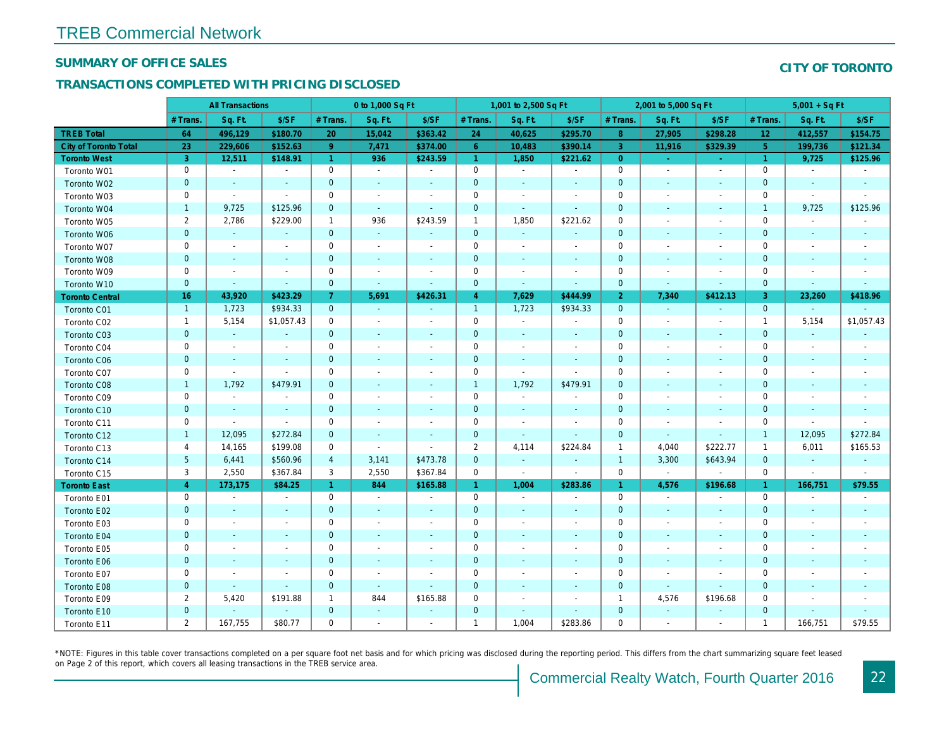#### SUMMARY OF OFFICE SALES

#### TRANSACTIONS COMPLETED WITH PRICING DISCLOSED

|                              |                | <b>All Transactions</b>  |                |                | 0 to 1,000 Sq Ft         |                          |                | 1,001 to 2,500 Sq Ft     |                          |                | 2,001 to 5,000 Sq Ft     |                          |
|------------------------------|----------------|--------------------------|----------------|----------------|--------------------------|--------------------------|----------------|--------------------------|--------------------------|----------------|--------------------------|--------------------------|
|                              | # Trans.       | Sq. Ft.                  | \$/SF          | # Trans.       | Sq. Ft.                  | \$/SF                    | # Trans.       | Sq. Ft.                  | \$/SF                    | # Trans.       | Sq. Ft.                  | \$/SF                    |
| <b>TREB Total</b>            | 64             | 496,129                  | \$180.70       | 20             | 15,042                   | \$363.42                 | 24             | 40,625                   | \$295.70                 | 8              | 27,905                   | \$298.28                 |
| <b>City of Toronto Total</b> | 23             | 229,606                  | \$152.63       | $9^{\circ}$    | 7,471                    | \$374.00                 | 6              | 10,483                   | \$390.14                 | 3              | 11,916                   | \$329.39                 |
| <b>Toronto West</b>          | 3              | 12,511                   | \$148.91       | $\mathbf{1}$   | 936                      | \$243.59                 | $\mathbf{1}$   | 1,850                    | \$221.62                 | $\overline{0}$ | $\sim$                   | $\omega_{\rm c}$         |
| Toronto W01                  | 0              | $\sim$                   | $\blacksquare$ | 0              | $\sim$                   | $\blacksquare$           | 0              | $\sim$                   | $\sim$                   | $\mathbf 0$    | $\sim$                   | $\sim$                   |
| Toronto W02                  | $\mathbf 0$    | $\blacksquare$           | $\blacksquare$ | $\mathbf 0$    | $\sim$                   | $\sim$                   | $\mathbf 0$    | $\sim$                   | $\sim$                   | $\mathbf 0$    | $\sim$                   | $\sim$                   |
| Toronto W03                  | 0              | $\blacksquare$           | $\blacksquare$ | 0              | $\overline{\phantom{a}}$ | $\blacksquare$           | 0              | $\overline{\phantom{a}}$ | $\sim$                   | $\mathbf 0$    | $\overline{a}$           | $\sim$                   |
| Toronto W04                  | $\mathbf{1}$   | 9,725                    | \$125.96       | $\mathbf 0$    | $\sim$                   | $\blacksquare$           | $\mathbf{0}$   | $\sim$                   | $\sim$                   | $\mathbf 0$    | $\sim$                   | $\blacksquare$           |
| Toronto W05                  | $\overline{2}$ | 2,786                    | \$229.00       | $\mathbf{1}$   | 936                      | \$243.59                 | $\mathbf{1}$   | 1,850                    | \$221.62                 | $\mathbf 0$    | $\sim$                   |                          |
| Toronto W06                  | $\mathbf 0$    | $\blacksquare$           | $\blacksquare$ | $\mathbf 0$    | $\blacksquare$           | $\blacksquare$           | $\mathbf 0$    | $\bullet$                |                          | $\mathbf 0$    | $\blacksquare$           |                          |
| Toronto W07                  | 0              | $\blacksquare$           | $\blacksquare$ | $\mathbf 0$    | $\blacksquare$           | $\overline{\phantom{a}}$ | $\mathbf 0$    | $\blacksquare$           |                          | $\mathbf 0$    | $\blacksquare$           |                          |
| Toronto W08                  | $\pmb{0}$      | $\blacksquare$           | $\blacksquare$ | $\mathbf 0$    | $\blacksquare$           | $\blacksquare$           | $\pmb{0}$      | $\sim$                   | $\blacksquare$           | $\mathbf 0$    | $\sim$                   |                          |
| Toronto W09                  | 0              | $\blacksquare$           | $\blacksquare$ | 0              | $\overline{\phantom{a}}$ | $\blacksquare$           | 0              | $\overline{\phantom{a}}$ | $\overline{\phantom{a}}$ | $\mathbf 0$    | $\blacksquare$           |                          |
| Toronto W10                  | $\mathbf 0$    | $\blacksquare$           | $\blacksquare$ | $\mathbf 0$    | $\blacksquare$           | $\blacksquare$           | $\mathbf 0$    | $\blacksquare$           | $\blacksquare$           | $\pmb{0}$      | $\blacksquare$           | $\blacksquare$           |
| <b>Toronto Central</b>       | 16             | 43,920                   | \$423.29       | $\overline{7}$ | 5,691                    | \$426.31                 | $\overline{4}$ | 7,629                    | \$444.99                 | $\overline{2}$ | 7,340                    | \$412.13                 |
| Toronto C01                  | $\overline{1}$ | 1,723                    | \$934.33       | $\overline{0}$ | $\omega$                 | $\sim$                   | $\mathbf{1}$   | 1,723                    | \$934.33                 | $\mathbf 0$    | $\blacksquare$           | $\sim$                   |
| Toronto C02                  | $\mathbf{1}$   | 5,154                    | \$1,057.43     | 0              | $\blacksquare$           | $\blacksquare$           | $\mathsf 0$    | $\blacksquare$           | $\blacksquare$           | $\mathbf 0$    | $\sim$                   |                          |
| Toronto C03                  | $\pmb{0}$      | $\sim$                   | $\blacksquare$ | $\mathbf 0$    | $\overline{\phantom{a}}$ | $\blacksquare$           | $\mathbf 0$    | $\blacksquare$           | $\overline{\phantom{a}}$ | $\mathbf 0$    | $\overline{\phantom{a}}$ | $\sim$                   |
| Toronto C04                  | 0              | $\blacksquare$           | $\blacksquare$ | 0              | $\overline{\phantom{a}}$ | $\blacksquare$           | 0              | $\sim$                   | $\overline{\phantom{a}}$ | $\mathbf 0$    | $\sim$                   | $\overline{\phantom{a}}$ |
| Toronto C06                  | $\mathbf 0$    | $\sim$                   | $\sim$         | $\mathbf 0$    | $\sim$                   | $\sim$                   | $\mathbf{0}$   | $\sim$                   | $\sim$                   | $\mathbf 0$    | $\sim$                   | $\sim$                   |
| Toronto C07                  | 0              | $\blacksquare$           | $\blacksquare$ | 0              | $\overline{\phantom{a}}$ | $\overline{\phantom{a}}$ | 0              | $\overline{\phantom{a}}$ | $\blacksquare$           | $\mathbf 0$    | $\overline{\phantom{a}}$ |                          |
| Toronto C08                  | $\mathbf{1}$   | 1,792                    | \$479.91       | $\mathbf{0}$   | $\overline{\phantom{a}}$ | $\blacksquare$           | $\mathbf{1}$   | 1,792                    | \$479.91                 | $\mathbf{0}$   | $\overline{\phantom{a}}$ | $\sim$                   |
| Toronto C09                  | 0              | $\sim$                   | $\blacksquare$ | $\mathbf 0$    | $\overline{\phantom{a}}$ | $\blacksquare$           | 0              | $\blacksquare$           | $\overline{\phantom{a}}$ | $\mathbf 0$    | $\sim$                   | $\overline{\phantom{a}}$ |
| Toronto C10                  | $\mathbf 0$    | $\sim$                   | $\sim$         | $\mathbf 0$    | $\sim$                   | $\sim$                   | $\mathbf{0}$   | $\sim$                   | $\sim$                   | $\mathbf 0$    | $\sim$                   | $\sim$                   |
| Toronto C11                  | 0              | $\blacksquare$           | $\blacksquare$ | 0              | $\overline{\phantom{a}}$ | $\blacksquare$           | 0              | $\overline{\phantom{a}}$ | $\overline{\phantom{a}}$ | $\mathbf 0$    | $\overline{\phantom{a}}$ |                          |
| Toronto C12                  | $\mathbf{1}$   | 12,095                   | \$272.84       | $\mathbf{0}$   | $\sim$                   | $\sim$                   | $\mathbf{0}$   | $\sim$                   | $\sim$                   | $\mathbf{0}$   | $\sim$                   | $\sim$                   |
| Toronto C13                  | $\overline{4}$ | 14,165                   | \$199.08       | $\mathbf 0$    | $\blacksquare$           | $\blacksquare$           | $\overline{2}$ | 4,114                    | \$224.84                 | $\mathbf{1}$   | 4,040                    | \$222.77                 |
| Toronto C14                  | 5 <sup>5</sup> | 6,441                    | \$560.96       | $\overline{4}$ | 3,141                    | \$473.78                 | $\mathbf 0$    | $\blacksquare$           | $\blacksquare$           | $\mathbf{1}$   | 3,300                    | \$643.94                 |
| Toronto C15                  | 3              | 2,550                    | \$367.84       | 3              | 2,550                    | \$367.84                 | 0              | $\sim$                   | $\blacksquare$           | $\mathbf 0$    | $\omega$                 | $\blacksquare$           |
| <b>Toronto East</b>          | $\overline{4}$ | 173,175                  | \$84.25        | $\mathbf{1}$   | 844                      | \$165.88                 | $\mathbf{1}$   | 1,004                    | \$283.86                 | $\mathbf{1}$   | 4,576                    | \$196.68                 |
| Toronto E01                  | 0              | $\sim$                   | $\blacksquare$ | 0              | $\blacksquare$           | $\blacksquare$           | $\mathbf 0$    | $\blacksquare$           | $\sim$                   | $\pmb{0}$      | $\bullet$                | $\blacksquare$           |
| Toronto E02                  | $\pmb{0}$      | $\sim$                   | $\sim$         | $\mathbf{0}$   | $\sim$                   | $\overline{\phantom{a}}$ | $\mathbf 0$    | $\sim$                   |                          | $\mathbf 0$    |                          | $\blacksquare$           |
| Toronto E03                  | 0              | $\sim$                   | $\blacksquare$ | 0              | $\sim$                   | $\blacksquare$           | 0              | $\blacksquare$           | $\overline{\phantom{a}}$ | $\mathbf 0$    | $\blacksquare$           | $\overline{\phantom{a}}$ |
| Toronto E04                  | $\mathbf 0$    | $\sim$                   | $\sim$         | $\mathbf{0}$   | $\sim$                   | $\sim$                   | $\mathbf{0}$   | $\sim$                   | $\sim$                   | $\mathbf 0$    | $\sim$                   | $\sim$                   |
| Toronto E05                  | 0              | $\blacksquare$           | $\blacksquare$ | 0              | $\sim$                   | $\sim$                   | $\mathbf 0$    | $\sim$                   |                          | $\mathbf 0$    | $\sim$                   |                          |
| Toronto E06                  | $\mathbf 0$    | $\overline{\phantom{a}}$ | $\sim$         | $\mathbf{0}$   |                          | $\overline{\phantom{a}}$ | $\mathbf{0}$   | $\sim$                   |                          | $\mathbf 0$    |                          |                          |
| Toronto E07                  | 0              | $\sim$                   | $\blacksquare$ | 0              | $\overline{\phantom{a}}$ | $\overline{\phantom{a}}$ | 0              | $\overline{\phantom{a}}$ | $\overline{\phantom{a}}$ | $\mathbf 0$    | $\overline{\phantom{a}}$ |                          |
| Toronto E08                  | $\mathbf{0}$   | $\sim$                   | $\blacksquare$ | $\overline{0}$ | $\omega$                 | $\sim$                   | $\mathbf{0}$   | $\sim$                   | $\sim$                   | $\mathbf 0$    | $\sim$                   | $\sim$                   |
| Toronto E09                  | $\overline{2}$ | 5,420                    | \$191.88       | $\mathbf{1}$   | 844                      | \$165.88                 | 0              | $\sim$                   | $\sim$                   | $\mathbf{1}$   | 4,576                    | \$196.68                 |
| Toronto E10                  | $\mathbf 0$    | $\blacksquare$           | $\blacksquare$ | $\mathbf{0}$   | $\blacksquare$           | $\overline{\phantom{a}}$ | $\mathbf 0$    |                          | $\sim$                   | $\mathbf 0$    | $\sim$                   | $\blacksquare$           |
| Toronto E11                  | $\overline{2}$ | 167,755                  | \$80.77        | $\mathbf 0$    | $\sim$                   | $\blacksquare$           | $\mathbf{1}$   | 1,004                    | \$283.86                 | $\mathbf 0$    | $\sim$                   |                          |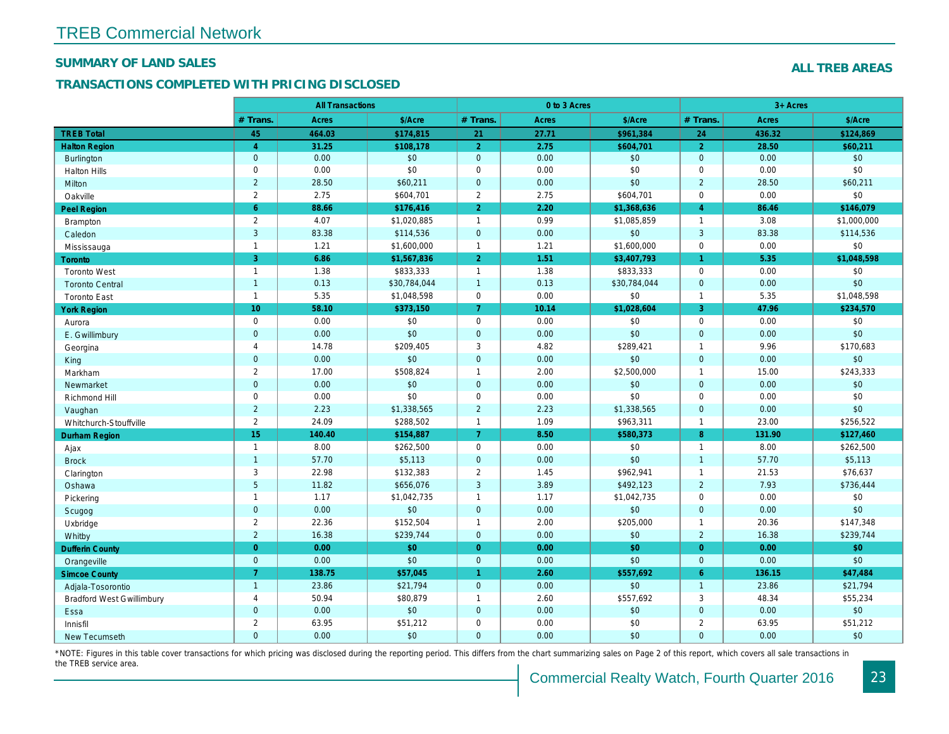#### SUMMARY OF LAND SALES

#### TRANSACTIONS COMPLETED WITH PRICING DISCLOSED

|                                  |                | <b>All Transactions</b> |              |                      | 0 to 3 Acres |              |                |
|----------------------------------|----------------|-------------------------|--------------|----------------------|--------------|--------------|----------------|
|                                  | # Trans.       | <b>Acres</b>            | \$/Acre      | # Trans.             | Acres        | \$/Acre      | $#$ Trans.     |
| <b>TREB Total</b>                | 45             | 464.03                  | \$174,815    | 21                   | 27.71        | \$961,384    | 24             |
| <b>Halton Region</b>             | $\overline{4}$ | 31.25                   | \$108,178    | $\overline{2}$       | 2.75         | \$604,701    | $\overline{2}$ |
| <b>Burlington</b>                | $\mathbf{0}$   | 0.00                    | \$0          | $\mathbf 0$          | 0.00         | \$0          | $\mathbf{0}$   |
| <b>Halton Hills</b>              | $\mathbf 0$    | 0.00                    | \$0          | $\mathbf 0$          | 0.00         | \$0          | $\mathbf 0$    |
| Milton                           | $\overline{2}$ | 28.50                   | \$60,211     | $\mathbf 0$          | 0.00         | \$0          | $\overline{2}$ |
| Oakville                         | $\overline{2}$ | 2.75                    | \$604,701    | $\mathbf{2}$         | 2.75         | \$604,701    | $\mathbf 0$    |
| <b>Peel Region</b>               | $6^{\circ}$    | 88.66                   | \$176,416    | $\overline{2}$       | 2.20         | \$1,368,636  | $\overline{4}$ |
| <b>Brampton</b>                  | $\overline{2}$ | 4.07                    | \$1,020,885  | $\mathbf{1}$         | 0.99         | \$1,085,859  | $\overline{1}$ |
| Caledon                          | 3              | 83.38                   | \$114,536    | $\mathbf 0$          | 0.00         | \$0          | $\mathbf{3}$   |
| Mississauga                      | $\mathbf{1}$   | 1.21                    | \$1,600,000  | $\mathbf{1}$         | 1.21         | \$1,600,000  | $\mathbf 0$    |
| Toronto                          | $\overline{3}$ | 6.86                    | \$1,567,836  | $\overline{2}$       | 1.51         | \$3,407,793  | $\mathbf{1}$   |
| <b>Toronto West</b>              | $\mathbf{1}$   | 1.38                    | \$833,333    | $\mathbf{1}$         | 1.38         | \$833,333    | $\mathbf 0$    |
| <b>Toronto Central</b>           | $\overline{1}$ | 0.13                    | \$30,784,044 | $\mathbf{1}$         | 0.13         | \$30,784,044 | $\mathbf{0}$   |
| <b>Toronto East</b>              | $\mathbf{1}$   | 5.35                    | \$1,048,598  | $\pmb{0}$            | 0.00         | \$0          | $\overline{1}$ |
| <b>York Region</b>               | 10             | 58.10                   | \$373,150    | $\overline{7}$       | 10.14        | \$1,028,604  | $\mathbf{3}$   |
| Aurora                           | $\mathbf 0$    | 0.00                    | \$0          | $\mathbf 0$          | 0.00         | \$0          | $\mathbf 0$    |
| E. Gwillimbury                   | $\mathbf{0}$   | 0.00                    | \$0          | $\mathbf 0$          | 0.00         | \$0          | $\mathbf{0}$   |
| Georgina                         | 4              | 14.78                   | \$209,405    | 3                    | 4.82         | \$289,421    | $\overline{1}$ |
| King                             | $\mathbf 0$    | 0.00                    | \$0          | $\mathbf 0$          | 0.00         | \$0          | $\mathbf 0$    |
| Markham                          | $\mathbf{2}$   | 17.00                   | \$508,824    | $\mathbf{1}$         | 2.00         | \$2,500,000  | $\overline{1}$ |
| Newmarket                        | $\mathbf 0$    | 0.00                    | $$0$         | $\mathbf 0$          | 0.00         | \$0          | $\mathbf 0$    |
| Richmond Hill                    | $\mathbf 0$    | 0.00                    | \$0          | $\pmb{0}$            | 0.00         | \$0          | $\mathbf 0$    |
| Vaughan                          | $\overline{2}$ | 2.23                    | \$1,338,565  | $\sqrt{2}$           | 2.23         | \$1,338,565  | $\overline{0}$ |
| Whitchurch-Stouffville           | $\mathbf{2}$   | 24.09                   | \$288,502    | $\mathbf{1}$         | 1.09         | \$963,311    | $\overline{1}$ |
| <b>Durham Region</b>             | 15             | 140.40                  | \$154,887    | $\overline{7}$       | 8.50         | \$580,373    | 8              |
| Ajax                             | $\mathbf{1}$   | 8.00                    | \$262,500    | $\mathbf 0$          | 0.00         | \$0          | $\overline{1}$ |
| <b>Brock</b>                     | $\overline{1}$ | 57.70                   | \$5,113      | $\mathbf 0$          | 0.00         | \$0          | $\overline{1}$ |
| Clarington                       | $\mathbf{3}$   | 22.98                   | \$132,383    | $\boldsymbol{2}$     | 1.45         | \$962,941    | $\overline{1}$ |
| Oshawa                           | $\overline{5}$ | 11.82                   | \$656,076    | $\mathbf{3}$         | 3.89         | \$492,123    | $\overline{2}$ |
| Pickering                        | $\mathbf{1}$   | 1.17                    | \$1,042,735  | $\mathbf{1}$         | 1.17         | \$1,042,735  | $\mathbf 0$    |
| Scugog                           | $\mathbf{0}$   | 0.00                    | \$0          | $\mathbf 0$          | 0.00         | \$0          | $\mathbf{0}$   |
| Uxbridge                         | $\overline{2}$ | 22.36                   | \$152,504    | $\mathbf{1}$         | 2.00         | \$205,000    | $\overline{1}$ |
| Whitby                           | $\overline{2}$ | 16.38                   | \$239,744    | $\mathbf 0$          | 0.00         | \$0          | $\overline{2}$ |
| <b>Dufferin County</b>           | $\overline{0}$ | 0.00                    | \$0          | $\overline{0}$       | 0.00         | \$0          | $\overline{0}$ |
| Orangeville                      | $\mathbf 0$    | 0.00                    | \$0          | $\mathbf 0$          | 0.00         | \$0          | $\mathbf{0}$   |
| <b>Simcoe County</b>             | $\overline{7}$ | 138.75                  | \$57,045     | $\blacktriangleleft$ | 2.60         | \$557,692    | $6^{\circ}$    |
| Adjala-Tosorontio                | $\mathbf{1}$   | 23.86                   | \$21,794     | $\mathbf 0$          | 0.00         | \$0          | $\overline{1}$ |
| <b>Bradford West Gwillimbury</b> | $\overline{4}$ | 50.94                   | \$80,879     | $\mathbf{1}$         | 2.60         | \$557,692    | 3              |
| Essa                             | $\mathbf{0}$   | 0.00                    | $$0$         | $\mathbf{0}$         | 0.00         | $$0$         | $\mathbf{0}$   |
| Innisfil                         | $\overline{2}$ | 63.95                   | \$51,212     | $\pmb{0}$            | 0.00         | \$0          | 2              |
| New Tecumseth                    | $\Omega$       | 0.00                    | \$0          | $\mathbf{0}$         | 0.00         | \$0          | $\mathbf{0}$   |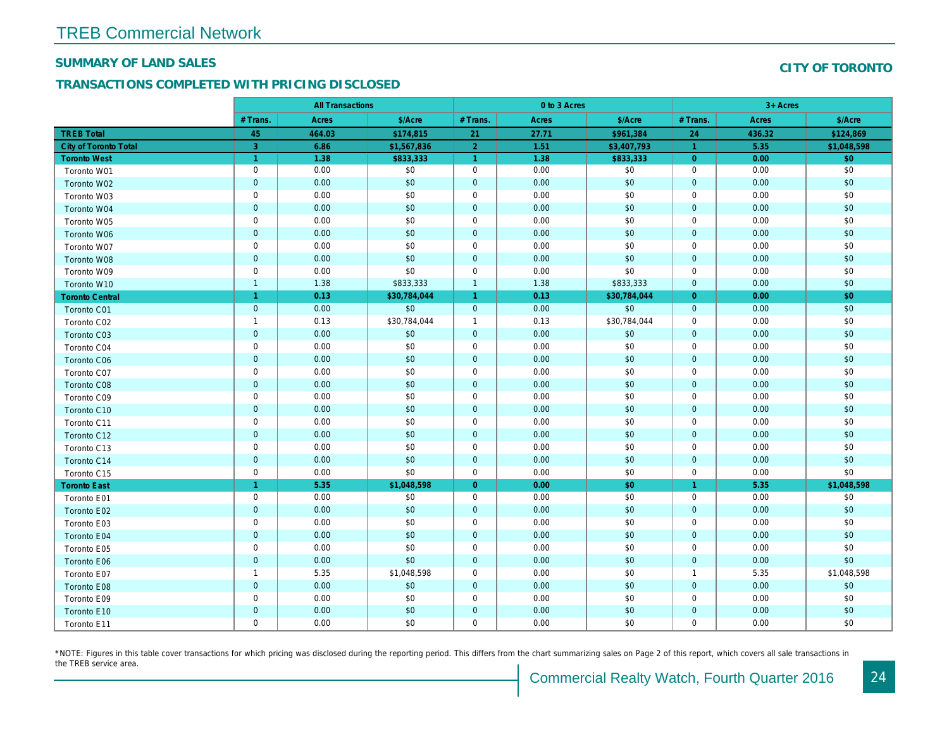#### SUMMARY OF LAND SALES

## TRANSACTIONS COMPLETED WITH PRICING DISCLOSED

|                              |                      | <b>All Transactions</b> |              |                      | 0 to 3 Acres |              |                      |  |
|------------------------------|----------------------|-------------------------|--------------|----------------------|--------------|--------------|----------------------|--|
|                              | # Trans.             | Acres                   | \$/Acre      | # Trans.             | Acres        | \$/Acre      | # Trans.             |  |
| <b>TREB Total</b>            | 45                   | 464.03                  | \$174,815    | 21                   | 27.71        | \$961,384    | 24                   |  |
| <b>City of Toronto Total</b> | 3                    | 6.86                    | \$1,567,836  | $\overline{2}$       | 1.51         | \$3,407,793  | $\blacktriangleleft$ |  |
| <b>Toronto West</b>          | $\blacktriangleleft$ | 1.38                    | \$833,333    | $\overline{1}$       | 1.38         | \$833,333    | $\overline{0}$       |  |
| Toronto W01                  | $\pmb{0}$            | 0.00                    | \$0          | $\mathbf 0$          | 0.00         | \$0          | $\mathbf 0$          |  |
| Toronto W02                  | $\pmb{0}$            | 0.00                    | \$0          | $\pmb{0}$            | 0.00         | \$0          | $\mathbf{0}$         |  |
| Toronto W03                  | $\mathbf 0$          | 0.00                    | \$0          | $\mathbf 0$          | 0.00         | \$0          | $\mathbf 0$          |  |
| Toronto W04                  | $\mathbf 0$          | 0.00                    | \$0          | $\mathbf 0$          | 0.00         | \$0          | $\mathbf{0}$         |  |
| Toronto W05                  | $\mathbf 0$          | 0.00                    | \$0          | $\mathbf 0$          | 0.00         | \$0          | $\mathbf 0$          |  |
| Toronto W06                  | $\pmb{0}$            | 0.00                    | \$0          | $\pmb{0}$            | 0.00         | \$0          | $\mathbf 0$          |  |
| Toronto W07                  | $\mathbf 0$          | 0.00                    | \$0          | $\mathbf 0$          | 0.00         | \$0          | $\mathbf 0$          |  |
| Toronto W08                  | $\mathbf 0$          | 0.00                    | \$0          | $\mathbf 0$          | 0.00         | \$0          | $\overline{0}$       |  |
| Toronto W09                  | $\mathbf 0$          | 0.00                    | \$0          | $\mathbf 0$          | 0.00         | \$0          | $\mathbf 0$          |  |
| Toronto W10                  | $\mathbf{1}$         | 1.38                    | \$833,333    | $\overline{1}$       | 1.38         | \$833,333    | $\mathbf{0}$         |  |
| <b>Toronto Central</b>       | $\overline{1}$       | 0.13                    | \$30,784,044 | $\blacktriangleleft$ | 0.13         | \$30,784,044 | $\overline{0}$       |  |
| Toronto C01                  | $\mathbf 0$          | 0.00                    | \$0          | $\mathbf 0$          | 0.00         | \$0          | $\overline{0}$       |  |
| Toronto C02                  | $\mathbf{1}$         | 0.13                    | \$30,784,044 | $\overline{1}$       | 0.13         | \$30,784,044 | $\mathbf 0$          |  |
| Toronto C03                  | $\pmb{0}$            | 0.00                    | \$0          | $\mathbf 0$          | 0.00         | \$0          | $\mathbf 0$          |  |
| Toronto C04                  | $\pmb{0}$            | 0.00                    | \$0          | $\mathbf 0$          | 0.00         | \$0          | $\mathbf 0$          |  |
| <b>Toronto C06</b>           | $\pmb{0}$            | 0.00                    | \$0          | $\mathbf 0$          | 0.00         | \$0          | $\mathbf 0$          |  |
| Toronto C07                  | $\pmb{0}$            | 0.00                    | \$0          | $\mathbf 0$          | 0.00         | \$0          | $\mathbf 0$          |  |
| <b>Toronto C08</b>           | $\pmb{0}$            | 0.00                    | \$0          | $\mathbf 0$          | 0.00         | \$0          | $\mathbf 0$          |  |
| Toronto C09                  | $\pmb{0}$            | 0.00                    | \$0          | $\mathbf 0$          | 0.00         | \$0          | $\mathbf 0$          |  |
| Toronto C10                  | $\mathbf 0$          | 0.00                    | \$0          | $\mathbf 0$          | 0.00         | \$0          | $\mathbf 0$          |  |
| Toronto C11                  | $\mathbf 0$          | 0.00                    | \$0          | $\mathbf 0$          | 0.00         | \$0          | $\mathbf 0$          |  |
| Toronto C12                  | $\mathbf 0$          | 0.00                    | \$0          | $\mathbf 0$          | 0.00         | \$0          | $\mathbf{0}$         |  |
| Toronto C13                  | $\pmb{0}$            | 0.00                    | \$0          | $\mathbf 0$          | 0.00         | \$0          | $\mathbf 0$          |  |
| Toronto C14                  | $\mathbf 0$          | 0.00                    | \$0          | $\mathbf 0$          | 0.00         | \$0          | $\mathbf 0$          |  |
| Toronto C15                  | $\pmb{0}$            | 0.00                    | \$0          | $\mathbf 0$          | 0.00         | \$0          | $\mathbf 0$          |  |
| <b>Toronto East</b>          | $\blacktriangleleft$ | 5.35                    | \$1,048,598  | $\overline{0}$       | 0.00         | \$0          | $\mathbf{1}$         |  |
| Toronto E01                  | $\pmb{0}$            | 0.00                    | \$0          | $\mathbf 0$          | 0.00         | \$0          | $\mathbf 0$          |  |
| Toronto E02                  | $\mathbf 0$          | 0.00                    | \$0          | $\mathbf 0$          | 0.00         | \$0          | $\mathbf 0$          |  |
| Toronto E03                  | $\pmb{0}$            | 0.00                    | \$0          | $\pmb{0}$            | 0.00         | \$0          | $\mathbf 0$          |  |
| Toronto E04                  | $\mathbf 0$          | 0.00                    | \$0          | $\overline{0}$       | 0.00         | \$0          | $\mathbf{0}$         |  |
| Toronto E05                  | $\pmb{0}$            | 0.00                    | \$0          | $\mathbf 0$          | 0.00         | \$0          | $\mathbf 0$          |  |
| <b>Toronto E06</b>           | $\mathbf 0$          | 0.00                    | \$0          | $\mathbf 0$          | 0.00         | \$0          | $\mathbf 0$          |  |
| Toronto E07                  | $\mathbf{1}$         | 5.35                    | \$1,048,598  | $\mathbf 0$          | 0.00         | \$0          | $\overline{1}$       |  |
| Toronto E08                  | $\mathbf 0$          | 0.00                    | \$0          | $\mathbf 0$          | 0.00         | \$0          | $\mathbf{0}$         |  |
| Toronto E09                  | $\mathbf 0$          | 0.00                    | \$0          | $\mathbf 0$          | 0.00         | \$0          | $\mathbf 0$          |  |
| Toronto E10                  | $\mathbf 0$          | 0.00                    | \$0          | $\mathbf 0$          | 0.00         | \$0          | $\mathbf 0$          |  |
| Toronto E11                  | $\mathbf 0$          | 0.00                    | \$0          | $\mathbf 0$          | 0.00         | \$0          | $\mathbf 0$          |  |